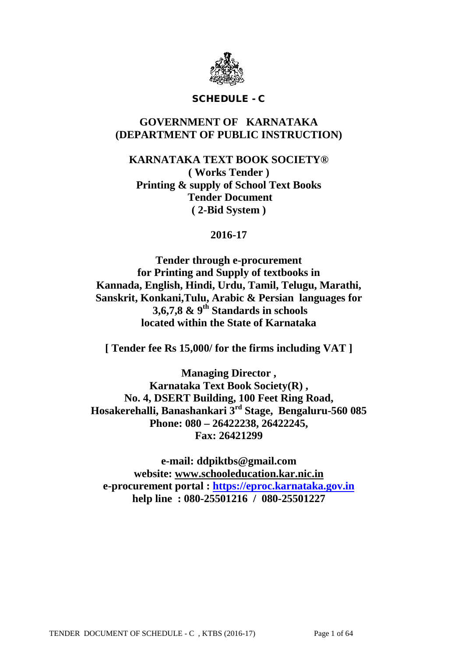

# SCHEDULE - C

# **GOVERNMENT OF KARNATAKA (DEPARTMENT OF PUBLIC INSTRUCTION)**

**KARNATAKA TEXT BOOK SOCIETY® ( Works Tender ) Printing & supply of School Text Books Tender Document ( 2-Bid System )**

**2016-17**

**Tender through e-procurement for Printing and Supply of textbooks in Kannada, English, Hindi, Urdu, Tamil, Telugu, Marathi, Sanskrit, Konkani,Tulu, Arabic & Persian languages for 3,6,7,8 & 9th Standards in schools located within the State of Karnataka**

**[ Tender fee Rs 15,000/ for the firms including VAT ]**

**Managing Director , Karnataka Text Book Society(R) , No. 4, DSERT Building, 100 Feet Ring Road, Hosakerehalli, Banashankari 3rd Stage, Bengaluru-560 085 Phone: 080 – 26422238, 26422245, Fax: 26421299**

**e-mail: ddpiktbs@gmail.com website: [www.schooleducation.kar.nic.in](http://www.schooleducation.kar.nic.in/) e-procurement portal : [https://eproc.karnataka.gov.in](https://eproc.karnataka.gov.in/) help line : 080-25501216 / 080-25501227**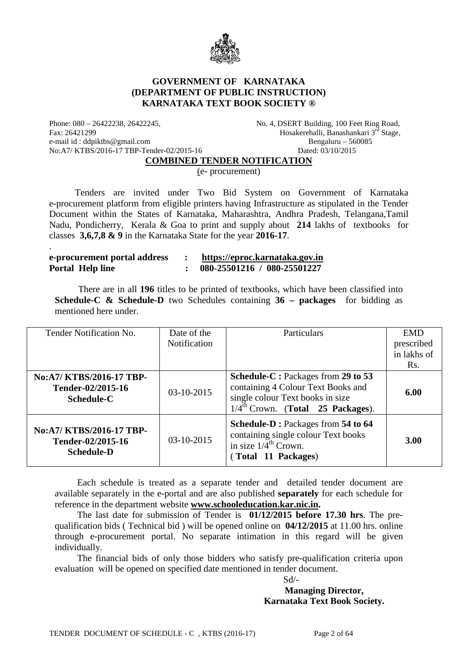

# **GOVERNMENT OF KARNATAKA (DEPARTMENT OF PUBLIC INSTRUCTION) KARNATAKA TEXT BOOK SOCIETY ®**

e-mail id : ddpiktbs@gmail.com Bengaluru – 560085<br>No:A7/KTBS/2016-17 TBP-Tender-02/2015-16 Dated: 03/10/2015 No:A7/ KTBS/2016-17 TBP-Tender-02/2015-16

.

Phone: 080 – 26422238, 26422245, No. 4, DSERT Building, 100 Feet Ring Road, Fax: 26421299 Feet Ring Road, Fax: 26421299 Hosakerehalli, Banashankari 3<sup>rd</sup> Stage,

**COMBINED TENDER NOTIFICATION**

(e- procurement)

 Tenders are invited under Two Bid System on Government of Karnataka e-procurement platform from eligible printers having Infrastructure as stipulated in the Tender Document within the States of Karnataka, Maharashtra, Andhra Pradesh, Telangana,Tamil Nadu, Pondicherry, Kerala & Goa to print and supply about **214** lakhs of textbooks for classes **3,6,7,8 & 9** in the Karnataka State for the year **2016-17**.

| e-procurement portal address |  | https://eproc.karnataka.gov.in |  |
|------------------------------|--|--------------------------------|--|
| Portal Help line             |  | 080-25501216 / 080-25501227    |  |

 There are in all **196** titles to be printed of textbooks, which have been classified into **Schedule-C & Schedule-D** two Schedules containing **36 – packages** for bidding as mentioned here under.

| Tender Notification No.                                            | Date of the<br>Notification | Particulars                                                                                                                                                   | <b>EMD</b><br>prescribed<br>in lakhs of<br>Rs. |
|--------------------------------------------------------------------|-----------------------------|---------------------------------------------------------------------------------------------------------------------------------------------------------------|------------------------------------------------|
| No:A7/ KTBS/2016-17 TBP-<br>Tender-02/2015-16<br><b>Schedule-C</b> | 03-10-2015                  | Schedule-C: Packages from 29 to 53<br>containing 4 Colour Text Books and<br>single colour Text books in size<br>$1/4^{\text{th}}$ Crown. (Total 25 Packages). | 6.00                                           |
| No:A7/KTBS/2016-17TBP-<br>Tender-02/2015-16<br><b>Schedule-D</b>   | $03-10-2015$                | Schedule-D: Packages from 54 to 64<br>containing single colour Text books<br>in size $1/4^{\text{th}}$ Crown.<br>(Total 11 Packages)                          | 3.00                                           |

Each schedule is treated as a separate tender and detailed tender document are available separately in the e-portal and are also published **separately** for each schedule for reference in the department website **[www.schooleducation.kar.nic.in.](http://www.schooleducation.kar.nic.in/)**

The last date for submission of Tender is **01/12/2015 before 17.30 hrs**. The prequalification bids ( Technical bid ) will be opened online on **04/12/2015** at 11.00 hrs. online through e-procurement portal. No separate intimation in this regard will be given individually.

The financial bids of only those bidders who satisfy pre-qualification criteria upon evaluation will be opened on specified date mentioned in tender document.

Sd/-

**Managing Director, Karnataka Text Book Society.**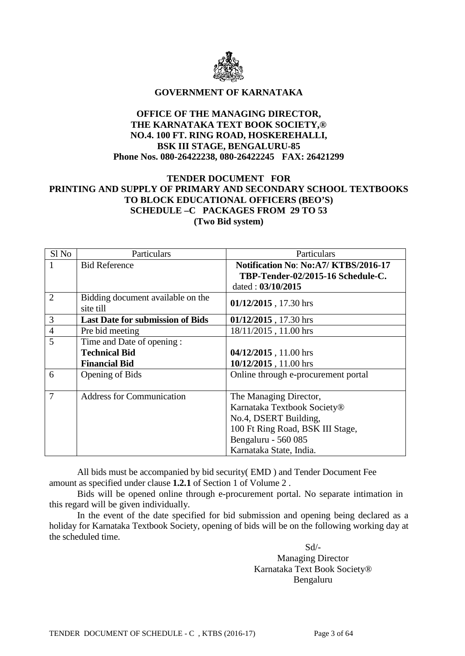

#### **GOVERNMENT OF KARNATAKA**

# **OFFICE OF THE MANAGING DIRECTOR, THE KARNATAKA TEXT BOOK SOCIETY,® NO.4. 100 FT. RING ROAD, HOSKEREHALLI, BSK III STAGE, BENGALURU-85 Phone Nos. 080-26422238, 080-26422245 FAX: 26421299**

# **TENDER DOCUMENT FOR PRINTING AND SUPPLY OF PRIMARY AND SECONDARY SCHOOL TEXTBOOKS TO BLOCK EDUCATIONAL OFFICERS (BEO'S) SCHEDULE –C PACKAGES FROM 29 TO 53 (Two Bid system)**

| Sl <sub>No</sub> | Particulars                                    | Particulars                                |  |  |
|------------------|------------------------------------------------|--------------------------------------------|--|--|
|                  | <b>Bid Reference</b>                           | <b>Notification No: No:A7/KTBS/2016-17</b> |  |  |
|                  |                                                | TBP-Tender-02/2015-16 Schedule-C.          |  |  |
|                  |                                                | dated: 03/10/2015                          |  |  |
| $\overline{2}$   | Bidding document available on the<br>site till | 01/12/2015, 17.30 hrs                      |  |  |
| 3                | <b>Last Date for submission of Bids</b>        | 01/12/2015, 17.30 hrs                      |  |  |
| $\overline{4}$   | Pre bid meeting                                | 18/11/2015, 11.00 hrs                      |  |  |
| 5                | Time and Date of opening:                      |                                            |  |  |
|                  | <b>Technical Bid</b>                           | 04/12/2015, 11.00 hrs                      |  |  |
|                  | <b>Financial Bid</b>                           | 10/12/2015, 11.00 hrs                      |  |  |
| 6                | Opening of Bids                                | Online through e-procurement portal        |  |  |
|                  |                                                |                                            |  |  |
| $\overline{7}$   | <b>Address for Communication</b>               | The Managing Director,                     |  |  |
|                  |                                                | Karnataka Textbook Society®                |  |  |
|                  |                                                | No.4, DSERT Building,                      |  |  |
|                  |                                                | 100 Ft Ring Road, BSK III Stage,           |  |  |
|                  |                                                | Bengaluru - 560 085                        |  |  |
|                  |                                                | Karnataka State, India.                    |  |  |

All bids must be accompanied by bid security( EMD ) and Tender Document Fee amount as specified under clause **1.2.1** of Section 1 of Volume 2 .

Bids will be opened online through e-procurement portal. No separate intimation in this regard will be given individually.

In the event of the date specified for bid submission and opening being declared as a holiday for Karnataka Textbook Society, opening of bids will be on the following working day at the scheduled time.

> Sd/- Managing Director Karnataka Text Book Society® Bengaluru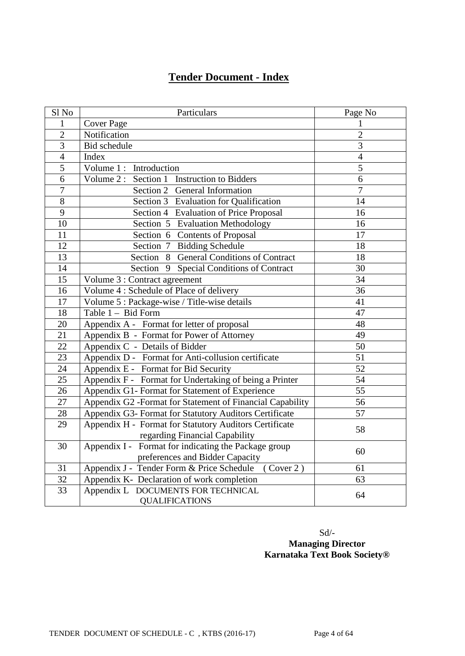# **Tender Document - Index**

| Sl No           | Particulars                                                 | Page No         |
|-----------------|-------------------------------------------------------------|-----------------|
| $\mathbf{1}$    | <b>Cover Page</b>                                           | $\mathbf{1}$    |
| $\overline{2}$  | Notification                                                | $\overline{2}$  |
| $\overline{3}$  | <b>Bid schedule</b>                                         | $\overline{3}$  |
| $\overline{4}$  | Index                                                       | $\overline{4}$  |
| 5               | Volume 1: Introduction                                      | 5               |
| $\overline{6}$  | Volume 2: Section 1 Instruction to Bidders                  | $\overline{6}$  |
| $\overline{7}$  | Section 2 General Information                               | $\overline{7}$  |
| $\overline{8}$  | Section 3 Evaluation for Qualification                      | 14              |
| $\overline{9}$  | Section 4 Evaluation of Price Proposal                      | 16              |
| $\overline{10}$ | Section 5 Evaluation Methodology                            | 16              |
| 11              | Section 6 Contents of Proposal                              | 17              |
| 12              | Section 7 Bidding Schedule                                  | 18              |
| 13              | Section 8 General Conditions of Contract                    | 18              |
| 14              | Section 9 Special Conditions of Contract                    | 30              |
| 15              | Volume 3 : Contract agreement                               | $\overline{34}$ |
| 16              | Volume 4 : Schedule of Place of delivery                    | 36              |
| 17              | Volume 5 : Package-wise / Title-wise details                | 41              |
| 18              | Table 1 - Bid Form                                          | 47              |
| $\overline{20}$ | Appendix A - Format for letter of proposal                  | $\overline{48}$ |
| $\overline{21}$ | Appendix B - Format for Power of Attorney                   | 49              |
| $\overline{22}$ | Appendix C - Details of Bidder                              | $\overline{50}$ |
| 23              | Appendix D - Format for Anti-collusion certificate          | 51              |
| $\overline{24}$ | Appendix E - Format for Bid Security                        | $\overline{52}$ |
| 25              | Appendix F - Format for Undertaking of being a Printer      | 54              |
| 26              | Appendix G1- Format for Statement of Experience             | $\overline{55}$ |
| 27              | Appendix G2 -Format for Statement of Financial Capability   | 56              |
| $28\,$          | Appendix G3- Format for Statutory Auditors Certificate      | 57              |
| 29              | Appendix H - Format for Statutory Auditors Certificate      | 58              |
|                 | regarding Financial Capability                              |                 |
| 30              | Appendix I - Format for indicating the Package group        | 60              |
|                 | preferences and Bidder Capacity                             |                 |
| 31              | Appendix J - Tender Form & Price Schedule (Cover 2)         | 61              |
| 32              | Appendix K- Declaration of work completion                  | 63              |
| 33              | Appendix L DOCUMENTS FOR TECHNICAL<br><b>QUALIFICATIONS</b> | 64              |

Sd/- **Managing Director Karnataka Text Book Society®**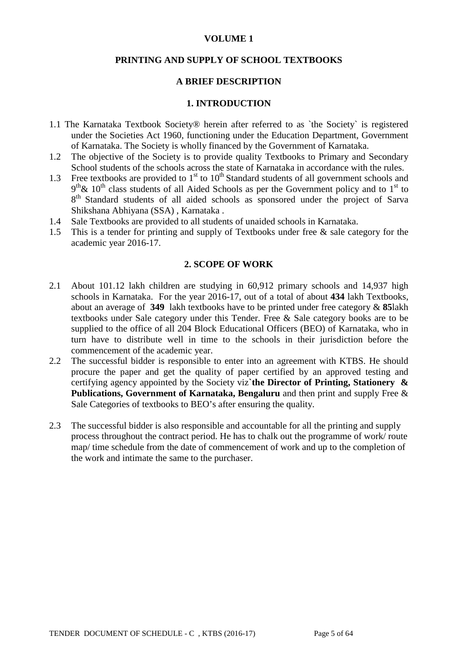#### **VOLUME 1**

#### **PRINTING AND SUPPLY OF SCHOOL TEXTBOOKS**

#### **A BRIEF DESCRIPTION**

#### **1. INTRODUCTION**

- 1.1 The Karnataka Textbook Society® herein after referred to as `the Society` is registered under the Societies Act 1960, functioning under the Education Department, Government of Karnataka. The Society is wholly financed by the Government of Karnataka.
- 1.2 The objective of the Society is to provide quality Textbooks to Primary and Secondary School students of the schools across the state of Karnataka in accordance with the rules.
- 1.3 Free textbooks are provided to  $1<sup>st</sup>$  to  $10<sup>th</sup>$  Standard students of all government schools and  $9<sup>th</sup>$ &  $10<sup>th</sup>$  class students of all Aided Schools as per the Government policy and to 1<sup>st</sup> to 8<sup>th</sup> Standard students of all aided schools as sponsored under the project of Sarva Shikshana Abhiyana (SSA) , Karnataka .
- 1.4 Sale Textbooks are provided to all students of unaided schools in Karnataka.
- 1.5 This is a tender for printing and supply of Textbooks under free & sale category for the academic year 2016-17.

#### **2. SCOPE OF WORK**

- 2.1 About 101.12 lakh children are studying in 60,912 primary schools and 14,937 high schools in Karnataka. For the year 2016-17, out of a total of about **434** lakh Textbooks, about an average of **349** lakh textbooks have to be printed under free category & **85**lakh textbooks under Sale category under this Tender. Free & Sale category books are to be supplied to the office of all 204 Block Educational Officers (BEO) of Karnataka, who in turn have to distribute well in time to the schools in their jurisdiction before the commencement of the academic year.
- 2.2 The successful bidder is responsible to enter into an agreement with KTBS. He should procure the paper and get the quality of paper certified by an approved testing and certifying agency appointed by the Society viz**`the Director of Printing, Stationery & Publications, Government of Karnataka, Bengaluru** and then print and supply Free & Sale Categories of textbooks to BEO's after ensuring the quality.
- 2.3 The successful bidder is also responsible and accountable for all the printing and supply process throughout the contract period. He has to chalk out the programme of work/ route map/ time schedule from the date of commencement of work and up to the completion of the work and intimate the same to the purchaser.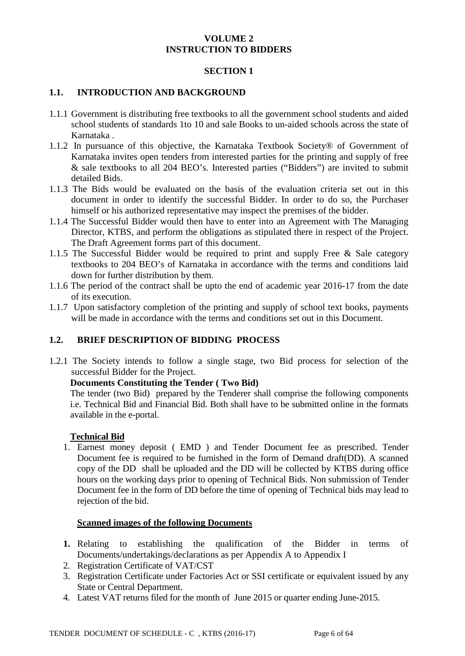# **VOLUME 2 INSTRUCTION TO BIDDERS**

### **SECTION 1**

# **1.1. INTRODUCTION AND BACKGROUND**

- 1.1.1 Government is distributing free textbooks to all the government school students and aided school students of standards 1to 10 and sale Books to un-aided schools across the state of Karnataka .
- 1.1.2 In pursuance of this objective, the Karnataka Textbook Society® of Government of Karnataka invites open tenders from interested parties for the printing and supply of free & sale textbooks to all 204 BEO's. Interested parties ("Bidders") are invited to submit detailed Bids.
- 1.1.3 The Bids would be evaluated on the basis of the evaluation criteria set out in this document in order to identify the successful Bidder. In order to do so, the Purchaser himself or his authorized representative may inspect the premises of the bidder.
- 1.1.4 The Successful Bidder would then have to enter into an Agreement with The Managing Director, KTBS, and perform the obligations as stipulated there in respect of the Project. The Draft Agreement forms part of this document.
- 1.1.5 The Successful Bidder would be required to print and supply Free & Sale category textbooks to 204 BEO's of Karnataka in accordance with the terms and conditions laid down for further distribution by them.
- 1.1.6 The period of the contract shall be upto the end of academic year 2016-17 from the date of its execution.
- 1.1.7 Upon satisfactory completion of the printing and supply of school text books, payments will be made in accordance with the terms and conditions set out in this Document.

# **1.2. BRIEF DESCRIPTION OF BIDDING PROCESS**

1.2.1 The Society intends to follow a single stage, two Bid process for selection of the successful Bidder for the Project.

# **Documents Constituting the Tender ( Two Bid)**

The tender (two Bid) prepared by the Tenderer shall comprise the following components i.e. Technical Bid and Financial Bid. Both shall have to be submitted online in the formats available in the e-portal.

#### **Technical Bid**

1. Earnest money deposit ( EMD ) and Tender Document fee as prescribed. Tender Document fee is required to be furnished in the form of Demand draft(DD). A scanned copy of the DD shall be uploaded and the DD will be collected by KTBS during office hours on the working days prior to opening of Technical Bids. Non submission of Tender Document fee in the form of DD before the time of opening of Technical bids may lead to rejection of the bid.

#### **Scanned images of the following Documents**

- **1.** Relating to establishing the qualification of the Bidder in terms of Documents/undertakings/declarations as per Appendix A to Appendix I
- 2. Registration Certificate of VAT/CST
- 3. Registration Certificate under Factories Act or SSI certificate or equivalent issued by any State or Central Department.
- 4. Latest VAT returns filed for the month of June 2015 or quarter ending June-2015.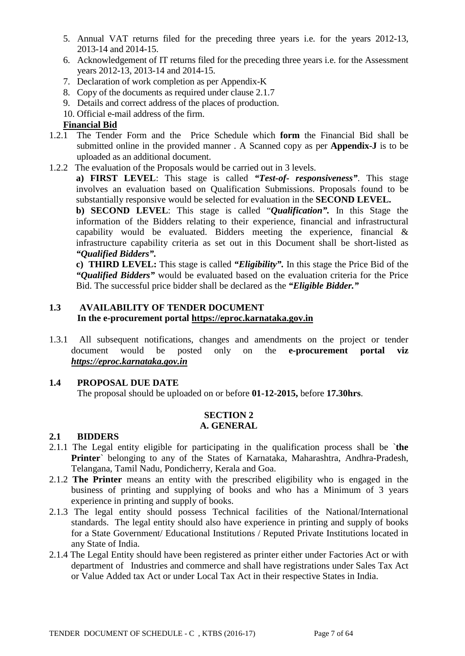- 5. Annual VAT returns filed for the preceding three years i.e. for the years 2012-13, 2013-14 and 2014-15.
- 6. Acknowledgement of IT returns filed for the preceding three years i.e. for the Assessment years 2012-13, 2013-14 and 2014-15.
- 7. Declaration of work completion as per Appendix-K
- 8. Copy of the documents as required under clause 2.1.7
- 9. Details and correct address of the places of production.
- 10. Official e-mail address of the firm.

# **Financial Bid**

- 1.2.1 The Tender Form and the Price Schedule which **form** the Financial Bid shall be submitted online in the provided manner . A Scanned copy as per **Appendix-J** is to be uploaded as an additional document.
- 1.2.2 The evaluation of the Proposals would be carried out in 3 levels.

**a) FIRST LEVEL**: This stage is called *"Test-of- responsiveness"*. This stage involves an evaluation based on Qualification Submissions. Proposals found to be substantially responsive would be selected for evaluation in the **SECOND LEVEL.**

**b) SECOND LEVEL**: This stage is called "*Qualification".* In this Stage the information of the Bidders relating to their experience, financial and infrastructural capability would be evaluated. Bidders meeting the experience, financial & infrastructure capability criteria as set out in this Document shall be short-listed as *"Qualified Bidders".*

**c) THIRD LEVEL:** This stage is called *"Eligibility".* In this stage the Price Bid of the *"Qualified Bidders"* would be evaluated based on the evaluation criteria for the Price Bid. The successful price bidder shall be declared as the *"Eligible Bidder."*

# **1.3 AVAILABILITY OF TENDER DOCUMENT In the e-procurement portal [https://eproc.karnataka.gov.in](https://eproc.karnataka.gov.in/)**

1.3.1 All subsequent notifications, changes and amendments on the project or tender document would be posted only on the **e-procurement portal viz** *[https://eproc.karnataka.gov.in](https://eproc.karnataka.gov.in/)*

# **1.4 PROPOSAL DUE DATE**

The proposal should be uploaded on or before **01-12-2015,** before **17.30hrs**.

#### **SECTION 2 A. GENERAL**

# **2.1 BIDDERS**

- 2.1.1 The Legal entity eligible for participating in the qualification process shall be `**the Printer**` belonging to any of the States of Karnataka, Maharashtra, Andhra-Pradesh, Telangana, Tamil Nadu, Pondicherry, Kerala and Goa.
- 2.1.2 **The Printer** means an entity with the prescribed eligibility who is engaged in the business of printing and supplying of books and who has a Minimum of 3 years experience in printing and supply of books.
- 2.1.3 The legal entity should possess Technical facilities of the National/International standards. The legal entity should also have experience in printing and supply of books for a State Government/ Educational Institutions / Reputed Private Institutions located in any State of India.
- 2.1.4 The Legal Entity should have been registered as printer either under Factories Act or with department of Industries and commerce and shall have registrations under Sales Tax Act or Value Added tax Act or under Local Tax Act in their respective States in India.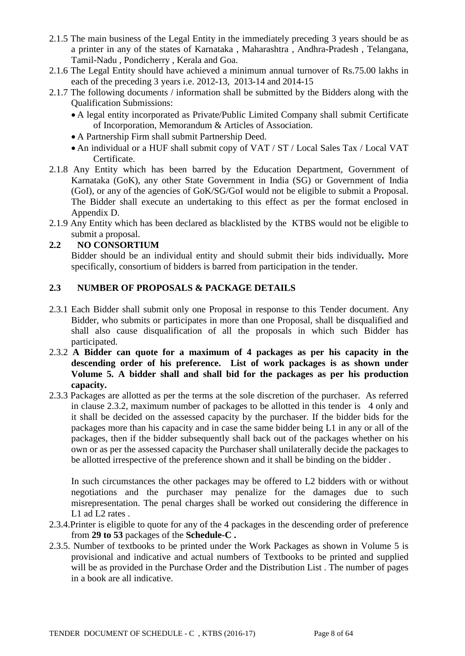- 2.1.5 The main business of the Legal Entity in the immediately preceding 3 years should be as a printer in any of the states of Karnataka , Maharashtra , Andhra-Pradesh , Telangana, Tamil-Nadu , Pondicherry , Kerala and Goa.
- 2.1.6 The Legal Entity should have achieved a minimum annual turnover of Rs.75.00 lakhs in each of the preceding 3 years i.e. 2012-13, 2013-14 and 2014-15
- 2.1.7 The following documents / information shall be submitted by the Bidders along with the Qualification Submissions:
	- A legal entity incorporated as Private/Public Limited Company shall submit Certificate of Incorporation, Memorandum & Articles of Association.
	- A Partnership Firm shall submit Partnership Deed.
	- An individual or a HUF shall submit copy of VAT / ST / Local Sales Tax / Local VAT Certificate.
- 2.1.8 Any Entity which has been barred by the Education Department, Government of Karnataka (GoK), any other State Government in India (SG) or Government of India (GoI), or any of the agencies of GoK/SG/GoI would not be eligible to submit a Proposal. The Bidder shall execute an undertaking to this effect as per the format enclosed in Appendix D.
- 2.1.9 Any Entity which has been declared as blacklisted by the KTBS would not be eligible to submit a proposal.

# **2.2 NO CONSORTIUM**

Bidder should be an individual entity and should submit their bids individually*.* More specifically, consortium of bidders is barred from participation in the tender.

# **2.3 NUMBER OF PROPOSALS & PACKAGE DETAILS**

- 2.3.1 Each Bidder shall submit only one Proposal in response to this Tender document. Any Bidder, who submits or participates in more than one Proposal, shall be disqualified and shall also cause disqualification of all the proposals in which such Bidder has participated.
- 2.3.2 **A Bidder can quote for a maximum of 4 packages as per his capacity in the descending order of his preference. List of work packages is as shown under Volume 5. A bidder shall and shall bid for the packages as per his production capacity.**
- 2.3.3 Packages are allotted as per the terms at the sole discretion of the purchaser. As referred in clause 2.3.2, maximum number of packages to be allotted in this tender is 4 only and it shall be decided on the assessed capacity by the purchaser. If the bidder bids for the packages more than his capacity and in case the same bidder being L1 in any or all of the packages, then if the bidder subsequently shall back out of the packages whether on his own or as per the assessed capacity the Purchaser shall unilaterally decide the packages to be allotted irrespective of the preference shown and it shall be binding on the bidder .

In such circumstances the other packages may be offered to L2 bidders with or without negotiations and the purchaser may penalize for the damages due to such misrepresentation. The penal charges shall be worked out considering the difference in L1 ad L2 rates.

- 2.3.4.Printer is eligible to quote for any of the 4 packages in the descending order of preference from **29 to 53** packages of the **Schedule-C .**
- 2.3.5. Number of textbooks to be printed under the Work Packages as shown in Volume 5 is provisional and indicative and actual numbers of Textbooks to be printed and supplied will be as provided in the Purchase Order and the Distribution List . The number of pages in a book are all indicative.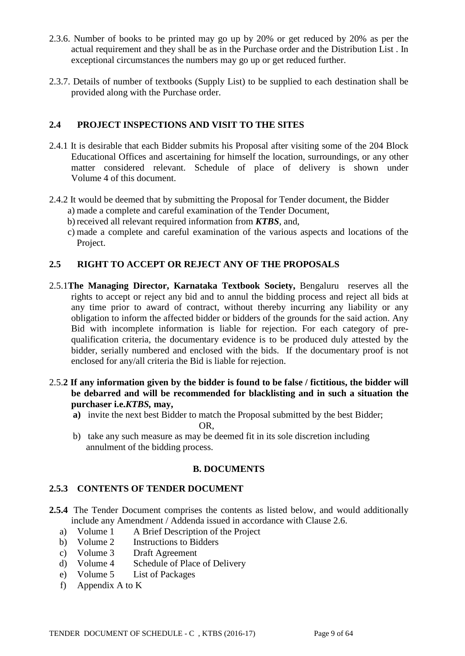- 2.3.6. Number of books to be printed may go up by 20% or get reduced by 20% as per the actual requirement and they shall be as in the Purchase order and the Distribution List . In exceptional circumstances the numbers may go up or get reduced further.
- 2.3.7. Details of number of textbooks (Supply List) to be supplied to each destination shall be provided along with the Purchase order.

# **2.4 PROJECT INSPECTIONS AND VISIT TO THE SITES**

- 2.4.1 It is desirable that each Bidder submits his Proposal after visiting some of the 204 Block Educational Offices and ascertaining for himself the location, surroundings, or any other matter considered relevant. Schedule of place of delivery is shown under Volume 4 of this document.
- 2.4.2 It would be deemed that by submitting the Proposal for Tender document, the Bidder
	- a) made a complete and careful examination of the Tender Document,
	- b) received all relevant required information from *KTBS*, and,
	- c) made a complete and careful examination of the various aspects and locations of the Project.

# **2.5 RIGHT TO ACCEPT OR REJECT ANY OF THE PROPOSALS**

- 2.5.1**The Managing Director, Karnataka Textbook Society,** Bengaluru reserves all the rights to accept or reject any bid and to annul the bidding process and reject all bids at any time prior to award of contract, without thereby incurring any liability or any obligation to inform the affected bidder or bidders of the grounds for the said action. Any Bid with incomplete information is liable for rejection. For each category of prequalification criteria, the documentary evidence is to be produced duly attested by the bidder, serially numbered and enclosed with the bids. If the documentary proof is not enclosed for any/all criteria the Bid is liable for rejection.
- 2.5.**2 If any information given by the bidder is found to be false / fictitious, the bidder will be debarred and will be recommended for blacklisting and in such a situation the purchaser i.e.***KTBS,* **may,**
	- **a)** invite the next best Bidder to match the Proposal submitted by the best Bidder; OR,
	- b) take any such measure as may be deemed fit in its sole discretion including annulment of the bidding process.

#### **B. DOCUMENTS**

#### **2.5.3 CONTENTS OF TENDER DOCUMENT**

- **2.5.4** The Tender Document comprises the contents as listed below, and would additionally include any Amendment / Addenda issued in accordance with Clause 2.6.
	- a) Volume 1 A Brief Description of the Project
	- b) Volume 2 Instructions to Bidders
	- c) Volume 3 Draft Agreement
	- d) Volume 4 Schedule of Place of Delivery
	- e) Volume 5 List of Packages
	- f) Appendix A to K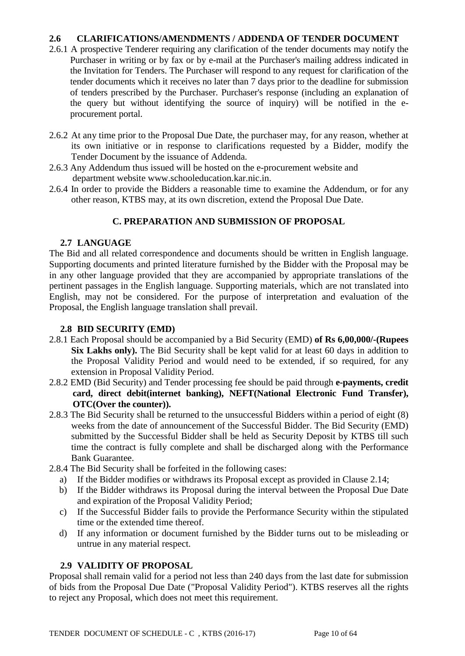# **2.6 CLARIFICATIONS/AMENDMENTS / ADDENDA OF TENDER DOCUMENT**

- 2.6.1 A prospective Tenderer requiring any clarification of the tender documents may notify the Purchaser in writing or by fax or by e-mail at the Purchaser's mailing address indicated in the Invitation for Tenders. The Purchaser will respond to any request for clarification of the tender documents which it receives no later than 7 days prior to the deadline for submission of tenders prescribed by the Purchaser. Purchaser's response (including an explanation of the query but without identifying the source of inquiry) will be notified in the eprocurement portal.
- 2.6.2 At any time prior to the Proposal Due Date, the purchaser may, for any reason, whether at its own initiative or in response to clarifications requested by a Bidder, modify the Tender Document by the issuance of Addenda.
- 2.6.3 Any Addendum thus issued will be hosted on the e-procurement website and department website www.schooleducation.kar.nic.in.
- 2.6.4 In order to provide the Bidders a reasonable time to examine the Addendum, or for any other reason, KTBS may, at its own discretion, extend the Proposal Due Date.

# **C. PREPARATION AND SUBMISSION OF PROPOSAL**

#### **2.7 LANGUAGE**

The Bid and all related correspondence and documents should be written in English language. Supporting documents and printed literature furnished by the Bidder with the Proposal may be in any other language provided that they are accompanied by appropriate translations of the pertinent passages in the English language. Supporting materials, which are not translated into English, may not be considered. For the purpose of interpretation and evaluation of the Proposal, the English language translation shall prevail.

#### **2.8 BID SECURITY (EMD)**

- 2.8.1 Each Proposal should be accompanied by a Bid Security (EMD) **of Rs 6,00,000/-(Rupees Six Lakhs only).** The Bid Security shall be kept valid for at least 60 days in addition to the Proposal Validity Period and would need to be extended, if so required, for any extension in Proposal Validity Period.
- 2.8.2 EMD (Bid Security) and Tender processing fee should be paid through **e-payments, credit card, direct debit(internet banking), NEFT(National Electronic Fund Transfer), OTC(Over the counter)).**
- 2.8.3 The Bid Security shall be returned to the unsuccessful Bidders within a period of eight (8) weeks from the date of announcement of the Successful Bidder. The Bid Security (EMD) submitted by the Successful Bidder shall be held as Security Deposit by KTBS till such time the contract is fully complete and shall be discharged along with the Performance Bank Guarantee.
- 2.8.4 The Bid Security shall be forfeited in the following cases:
	- a) If the Bidder modifies or withdraws its Proposal except as provided in Clause 2.14;
	- b) If the Bidder withdraws its Proposal during the interval between the Proposal Due Date and expiration of the Proposal Validity Period;
	- c) If the Successful Bidder fails to provide the Performance Security within the stipulated time or the extended time thereof.
	- d) If any information or document furnished by the Bidder turns out to be misleading or untrue in any material respect.

#### **2.9 VALIDITY OF PROPOSAL**

Proposal shall remain valid for a period not less than 240 days from the last date for submission of bids from the Proposal Due Date ("Proposal Validity Period"). KTBS reserves all the rights to reject any Proposal, which does not meet this requirement.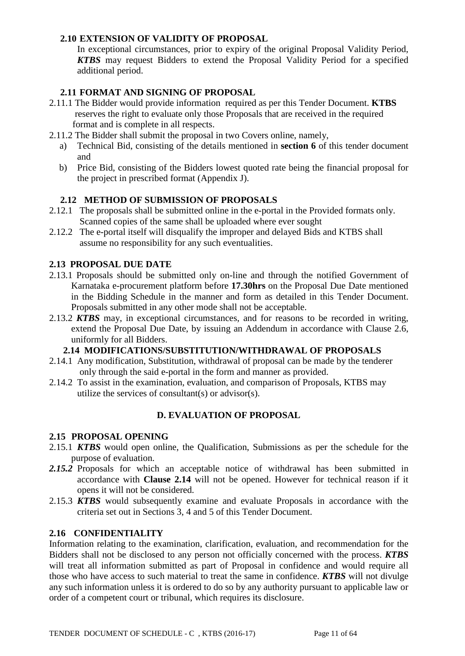# **2.10 EXTENSION OF VALIDITY OF PROPOSAL**

In exceptional circumstances, prior to expiry of the original Proposal Validity Period, *KTBS* may request Bidders to extend the Proposal Validity Period for a specified additional period.

# **2.11 FORMAT AND SIGNING OF PROPOSAL**

- 2.11.1 The Bidder would provide information required as per this Tender Document. **KTBS**  reserves the right to evaluate only those Proposals that are received in the required format and is complete in all respects.
- 2.11.2 The Bidder shall submit the proposal in two Covers online, namely,
	- a) Technical Bid, consisting of the details mentioned in **section 6** of this tender document and
	- b) Price Bid, consisting of the Bidders lowest quoted rate being the financial proposal for the project in prescribed format (Appendix J).

# **2.12 METHOD OF SUBMISSION OF PROPOSALS**

- 2.12.1 The proposals shall be submitted online in the e-portal in the Provided formats only. Scanned copies of the same shall be uploaded where ever sought
- 2.12.2 The e-portal itself will disqualify the improper and delayed Bids and KTBS shall assume no responsibility for any such eventualities.

# **2.13 PROPOSAL DUE DATE**

- 2.13.1 Proposals should be submitted only on-line and through the notified Government of Karnataka e-procurement platform before **17.30hrs** on the Proposal Due Date mentioned in the Bidding Schedule in the manner and form as detailed in this Tender Document. Proposals submitted in any other mode shall not be acceptable.
- 2.13.2 *KTBS* may, in exceptional circumstances, and for reasons to be recorded in writing, extend the Proposal Due Date, by issuing an Addendum in accordance with Clause 2.6, uniformly for all Bidders.

# **2.14 MODIFICATIONS/SUBSTITUTION/WITHDRAWAL OF PROPOSALS**

- 2.14.1 Any modification, Substitution, withdrawal of proposal can be made by the tenderer only through the said e-portal in the form and manner as provided.
- 2.14.2 To assist in the examination, evaluation, and comparison of Proposals, KTBS may utilize the services of consultant(s) or advisor(s).

# **D. EVALUATION OF PROPOSAL**

#### **2.15 PROPOSAL OPENING**

- 2.15.1 *KTBS* would open online, the Qualification, Submissions as per the schedule for the purpose of evaluation.
- *2.15.2* Proposals for which an acceptable notice of withdrawal has been submitted in accordance with **Clause 2.14** will not be opened. However for technical reason if it opens it will not be considered.
- 2.15.3 *KTBS* would subsequently examine and evaluate Proposals in accordance with the criteria set out in Sections 3, 4 and 5 of this Tender Document.

#### **2.16 CONFIDENTIALITY**

Information relating to the examination, clarification, evaluation, and recommendation for the Bidders shall not be disclosed to any person not officially concerned with the process. *KTBS* will treat all information submitted as part of Proposal in confidence and would require all those who have access to such material to treat the same in confidence. *KTBS* will not divulge any such information unless it is ordered to do so by any authority pursuant to applicable law or order of a competent court or tribunal, which requires its disclosure.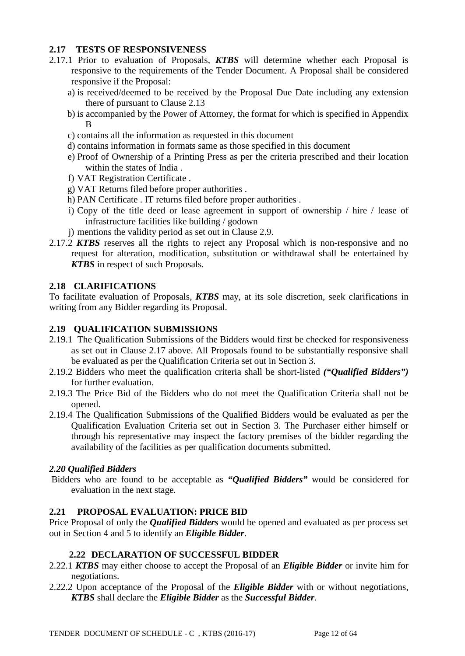# **2.17 TESTS OF RESPONSIVENESS**

- 2.17.1 Prior to evaluation of Proposals, *KTBS* will determine whether each Proposal is responsive to the requirements of the Tender Document. A Proposal shall be considered responsive if the Proposal:
	- a) is received/deemed to be received by the Proposal Due Date including any extension there of pursuant to Clause 2.13
	- b) is accompanied by the Power of Attorney, the format for which is specified in Appendix B
	- c) contains all the information as requested in this document
	- d) contains information in formats same as those specified in this document
	- e) Proof of Ownership of a Printing Press as per the criteria prescribed and their location within the states of India .
	- f) VAT Registration Certificate .
	- g) VAT Returns filed before proper authorities .
	- h) PAN Certificate . IT returns filed before proper authorities .
	- i) Copy of the title deed or lease agreement in support of ownership / hire / lease of infrastructure facilities like building / godown
- j) mentions the validity period as set out in Clause 2.9.
- 2.17.2 *KTBS* reserves all the rights to reject any Proposal which is non-responsive and no request for alteration, modification, substitution or withdrawal shall be entertained by *KTBS* in respect of such Proposals.

#### **2.18 CLARIFICATIONS**

To facilitate evaluation of Proposals, *KTBS* may, at its sole discretion, seek clarifications in writing from any Bidder regarding its Proposal.

#### **2.19 QUALIFICATION SUBMISSIONS**

- 2.19.1 The Qualification Submissions of the Bidders would first be checked for responsiveness as set out in Clause 2.17 above. All Proposals found to be substantially responsive shall be evaluated as per the Qualification Criteria set out in Section 3.
- 2.19.2 Bidders who meet the qualification criteria shall be short-listed *("Qualified Bidders")* for further evaluation.
- 2.19.3 The Price Bid of the Bidders who do not meet the Qualification Criteria shall not be opened.
- 2.19.4 The Qualification Submissions of the Qualified Bidders would be evaluated as per the Qualification Evaluation Criteria set out in Section 3. The Purchaser either himself or through his representative may inspect the factory premises of the bidder regarding the availability of the facilities as per qualification documents submitted.

#### *2.20 Qualified Bidders*

Bidders who are found to be acceptable as *"Qualified Bidders"* would be considered for evaluation in the next stage.

#### **2.21 PROPOSAL EVALUATION: PRICE BID**

Price Proposal of only the *Qualified Bidders* would be opened and evaluated as per process set out in Section 4 and 5 to identify an *Eligible Bidder*.

#### **2.22 DECLARATION OF SUCCESSFUL BIDDER**

- 2.22.1 *KTBS* may either choose to accept the Proposal of an *Eligible Bidder* or invite him for negotiations.
- 2.22.2 Upon acceptance of the Proposal of the *Eligible Bidder* with or without negotiations, *KTBS* shall declare the *Eligible Bidder* as the *Successful Bidder*.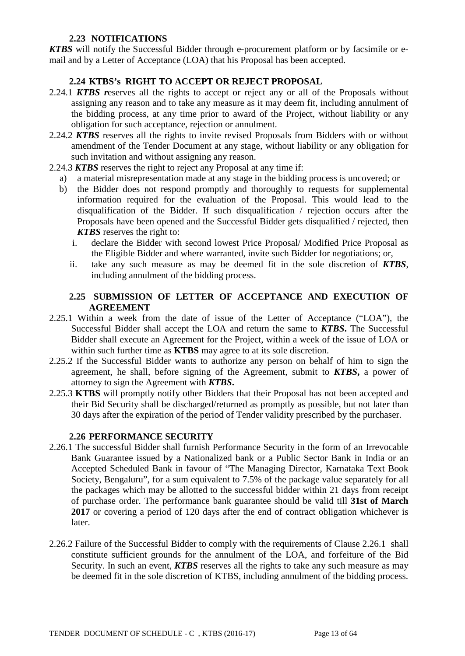# **2.23 NOTIFICATIONS**

*KTBS* will notify the Successful Bidder through e-procurement platform or by facsimile or email and by a Letter of Acceptance (LOA) that his Proposal has been accepted.

# **2.24 KTBS's RIGHT TO ACCEPT OR REJECT PROPOSAL**

- 2.24.1 *KTBS r*eserves all the rights to accept or reject any or all of the Proposals without assigning any reason and to take any measure as it may deem fit, including annulment of the bidding process, at any time prior to award of the Project, without liability or any obligation for such acceptance, rejection or annulment.
- 2.24.2 *KTBS* reserves all the rights to invite revised Proposals from Bidders with or without amendment of the Tender Document at any stage, without liability or any obligation for such invitation and without assigning any reason.
- 2.24.3 *KTBS* reserves the right to reject any Proposal at any time if:
	- a) a material misrepresentation made at any stage in the bidding process is uncovered; or
	- b) the Bidder does not respond promptly and thoroughly to requests for supplemental information required for the evaluation of the Proposal. This would lead to the disqualification of the Bidder. If such disqualification / rejection occurs after the Proposals have been opened and the Successful Bidder gets disqualified / rejected, then *KTBS* reserves the right to:
		- i. declare the Bidder with second lowest Price Proposal/ Modified Price Proposal as the Eligible Bidder and where warranted, invite such Bidder for negotiations; or,
		- ii. take any such measure as may be deemed fit in the sole discretion of *KTBS*, including annulment of the bidding process.

# **2.25 SUBMISSION OF LETTER OF ACCEPTANCE AND EXECUTION OF AGREEMENT**

- 2.25.1 Within a week from the date of issue of the Letter of Acceptance ("LOA"), the Successful Bidder shall accept the LOA and return the same to *KTBS***.** The Successful Bidder shall execute an Agreement for the Project, within a week of the issue of LOA or within such further time as **KTBS** may agree to at its sole discretion.
- 2.25.2 If the Successful Bidder wants to authorize any person on behalf of him to sign the agreement, he shall, before signing of the Agreement, submit to *KTBS***,** a power of attorney to sign the Agreement with *KTBS***.**
- 2.25.3 **KTBS** will promptly notify other Bidders that their Proposal has not been accepted and their Bid Security shall be discharged/returned as promptly as possible, but not later than 30 days after the expiration of the period of Tender validity prescribed by the purchaser.

#### **2.26 PERFORMANCE SECURITY**

- 2.26.1 The successful Bidder shall furnish Performance Security in the form of an Irrevocable Bank Guarantee issued by a Nationalized bank or a Public Sector Bank in India or an Accepted Scheduled Bank in favour of "The Managing Director, Karnataka Text Book Society, Bengaluru", for a sum equivalent to 7.5% of the package value separately for all the packages which may be allotted to the successful bidder within 21 days from receipt of purchase order. The performance bank guarantee should be valid till **31st of March 2017** or covering a period of 120 days after the end of contract obligation whichever is later.
- 2.26.2 Failure of the Successful Bidder to comply with the requirements of Clause 2.26.1 shall constitute sufficient grounds for the annulment of the LOA, and forfeiture of the Bid Security. In such an event, *KTBS* reserves all the rights to take any such measure as may be deemed fit in the sole discretion of KTBS, including annulment of the bidding process.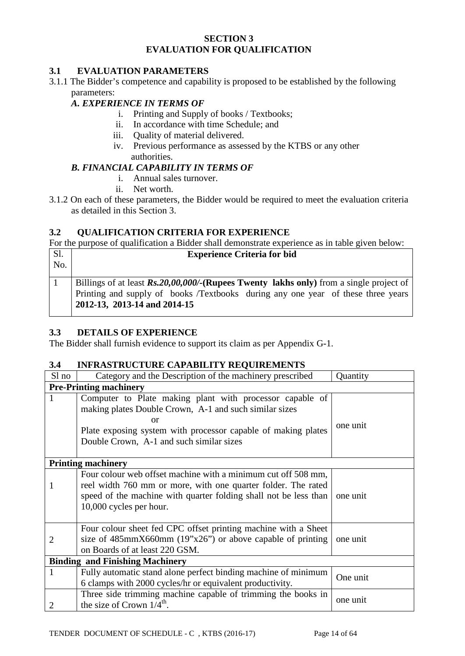# **SECTION 3 EVALUATION FOR QUALIFICATION**

# **3.1 EVALUATION PARAMETERS**

3.1.1 The Bidder's competence and capability is proposed to be established by the following parameters:

#### *A. EXPERIENCE IN TERMS OF*

- i. Printing and Supply of books / Textbooks;
- ii. In accordance with time Schedule; and
- iii. Quality of material delivered.
- iv. Previous performance as assessed by the KTBS or any other authorities.

# *B. FINANCIAL CAPABILITY IN TERMS OF*

- i. Annual sales turnover.
- ii. Net worth.
- 3.1.2 On each of these parameters, the Bidder would be required to meet the evaluation criteria as detailed in this Section 3.

# **3.2 QUALIFICATION CRITERIA FOR EXPERIENCE**

For the purpose of qualification a Bidder shall demonstrate experience as in table given below:

| Sl.<br>No. | <b>Experience Criteria for bid</b>                                                                                                                                                                                   |  |  |  |  |
|------------|----------------------------------------------------------------------------------------------------------------------------------------------------------------------------------------------------------------------|--|--|--|--|
|            | Billings of at least $\mathbf{Rs}20,00,000/$ (Rupees Twenty lakhs only) from a single project of<br>Printing and supply of books /Textbooks during any one year of these three years<br>2012-13, 2013-14 and 2014-15 |  |  |  |  |

#### **3.3 DETAILS OF EXPERIENCE**

The Bidder shall furnish evidence to support its claim as per Appendix G-1.

#### **3.4 INFRASTRUCTURE CAPABILITY REQUIREMENTS**

| Sl no                                  | Category and the Description of the machinery prescribed         | Quantity |  |  |  |  |
|----------------------------------------|------------------------------------------------------------------|----------|--|--|--|--|
|                                        | <b>Pre-Printing machinery</b>                                    |          |  |  |  |  |
| 1                                      | Computer to Plate making plant with processor capable of         |          |  |  |  |  |
|                                        | making plates Double Crown, A-1 and such similar sizes           |          |  |  |  |  |
|                                        | or                                                               | one unit |  |  |  |  |
|                                        | Plate exposing system with processor capable of making plates    |          |  |  |  |  |
|                                        | Double Crown, A-1 and such similar sizes                         |          |  |  |  |  |
|                                        |                                                                  |          |  |  |  |  |
|                                        | <b>Printing machinery</b>                                        |          |  |  |  |  |
|                                        | Four colour web offset machine with a minimum cut off 508 mm,    |          |  |  |  |  |
| 1                                      | reel width 760 mm or more, with one quarter folder. The rated    |          |  |  |  |  |
|                                        | speed of the machine with quarter folding shall not be less than | one unit |  |  |  |  |
|                                        | 10,000 cycles per hour.                                          |          |  |  |  |  |
|                                        |                                                                  |          |  |  |  |  |
|                                        | Four colour sheet fed CPC offset printing machine with a Sheet   |          |  |  |  |  |
| 2                                      | size of $485$ mmX660mm $(19"x26")$ or above capable of printing  | one unit |  |  |  |  |
|                                        | on Boards of at least 220 GSM.                                   |          |  |  |  |  |
| <b>Binding and Finishing Machinery</b> |                                                                  |          |  |  |  |  |
| 1                                      | Fully automatic stand alone perfect binding machine of minimum   | One unit |  |  |  |  |
|                                        | 6 clamps with 2000 cycles/hr or equivalent productivity.         |          |  |  |  |  |
|                                        | Three side trimming machine capable of trimming the books in     |          |  |  |  |  |
|                                        | the size of Crown $1/4^{\text{th}}$ .                            | one unit |  |  |  |  |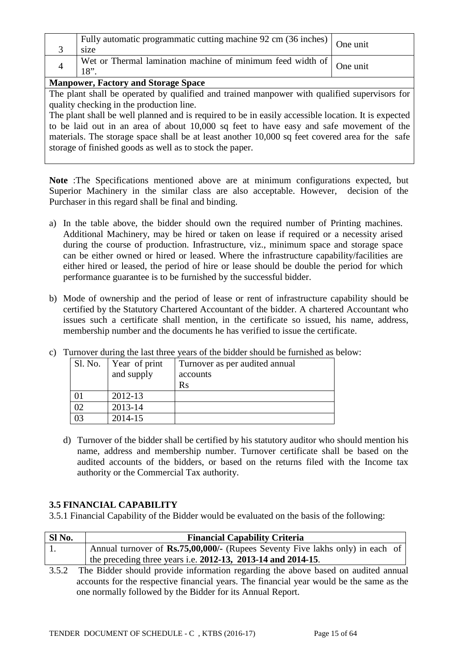|                                          | Fully automatic programmatic cutting machine 92 cm (36 inches) One unit<br>size                     |  |  |  |  |  |
|------------------------------------------|-----------------------------------------------------------------------------------------------------|--|--|--|--|--|
|                                          | Wet or Thermal lamination machine of minimum feed width of $\Big $ One unit<br>18"                  |  |  |  |  |  |
|                                          | <b>Manpower, Factory and Storage Space</b>                                                          |  |  |  |  |  |
|                                          | The plant shall be operated by qualified and trained manpower with qualified supervisors for        |  |  |  |  |  |
| quality checking in the production line. |                                                                                                     |  |  |  |  |  |
|                                          | The plant shall be well planned and is required to be in easily accessible location. It is expected |  |  |  |  |  |

ned and is required to be in easily accessible location. It is expected to be laid out in an area of about 10,000 sq feet to have easy and safe movement of the materials. The storage space shall be at least another 10,000 sq feet covered area for the safe storage of finished goods as well as to stock the paper.

**Note** :The Specifications mentioned above are at minimum configurations expected, but Superior Machinery in the similar class are also acceptable. However, decision of the Purchaser in this regard shall be final and binding.

- a) In the table above, the bidder should own the required number of Printing machines. Additional Machinery, may be hired or taken on lease if required or a necessity arised during the course of production. Infrastructure, viz., minimum space and storage space can be either owned or hired or leased. Where the infrastructure capability/facilities are either hired or leased, the period of hire or lease should be double the period for which performance guarantee is to be furnished by the successful bidder.
- b) Mode of ownership and the period of lease or rent of infrastructure capability should be certified by the Statutory Chartered Accountant of the bidder. A chartered Accountant who issues such a certificate shall mention, in the certificate so issued, his name, address, membership number and the documents he has verified to issue the certificate.

| Sl. No. | Year of print<br>and supply | Turnover as per audited annual<br>accounts<br>Rs |
|---------|-----------------------------|--------------------------------------------------|
|         | 2012-13                     |                                                  |
|         | 2013-14                     |                                                  |
|         | 2014-15                     |                                                  |

c) Turnover during the last three years of the bidder should be furnished as below:

d) Turnover of the bidder shall be certified by his statutory auditor who should mention his name, address and membership number. Turnover certificate shall be based on the audited accounts of the bidders, or based on the returns filed with the Income tax authority or the Commercial Tax authority.

# **3.5 FINANCIAL CAPABILITY**

3.5.1 Financial Capability of the Bidder would be evaluated on the basis of the following:

| Sl No. | <b>Financial Capability Criteria</b>                                                 |
|--------|--------------------------------------------------------------------------------------|
|        | Annual turnover of <b>Rs.75,00,000/-</b> (Rupees Seventy Five lakhs only) in each of |
|        | the preceding three years i.e. $2012-13$ , $2013-14$ and $2014-15$ .                 |

3.5.2 The Bidder should provide information regarding the above based on audited annual accounts for the respective financial years. The financial year would be the same as the one normally followed by the Bidder for its Annual Report.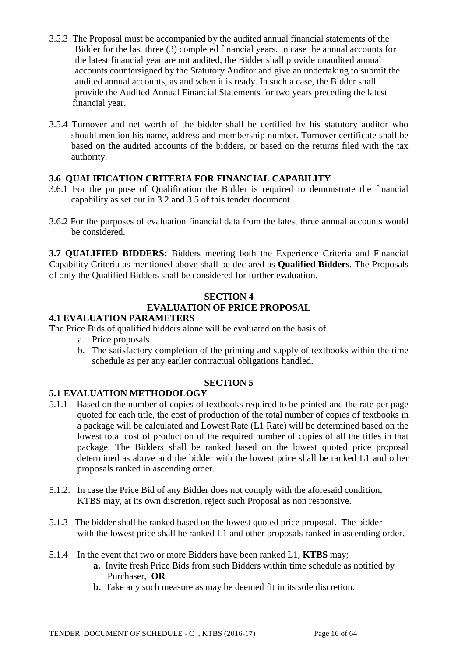- 3.5.3 The Proposal must be accompanied by the audited annual financial statements of the Bidder for the last three (3) completed financial years. In case the annual accounts for the latest financial year are not audited, the Bidder shall provide unaudited annual accounts countersigned by the Statutory Auditor and give an undertaking to submit the audited annual accounts, as and when it is ready. In such a case, the Bidder shall provide the Audited Annual Financial Statements for two years preceding the latest financial year.
- 3.5.4 Turnover and net worth of the bidder shall be certified by his statutory auditor who should mention his name, address and membership number. Turnover certificate shall be based on the audited accounts of the bidders, or based on the returns filed with the tax authority.

# **3.6 QUALIFICATION CRITERIA FOR FINANCIAL CAPABILITY**

- 3.6.1 For the purpose of Qualification the Bidder is required to demonstrate the financial capability as set out in 3.2 and 3.5 of this tender document.
- 3.6.2 For the purposes of evaluation financial data from the latest three annual accounts would be considered.

**3.7 QUALIFIED BIDDERS:** Bidders meeting both the Experience Criteria and Financial Capability Criteria as mentioned above shall be declared as **Qualified Bidders**. The Proposals of only the Qualified Bidders shall be considered for further evaluation.

# **SECTION 4**

# **EVALUATION OF PRICE PROPOSAL**

# **4.1 EVALUATION PARAMETERS**

The Price Bids of qualified bidders alone will be evaluated on the basis of

- a. Price proposals
- b. The satisfactory completion of the printing and supply of textbooks within the time schedule as per any earlier contractual obligations handled.

# **SECTION 5**

# **5.1 EVALUATION METHODOLOGY**

- 5.1.1 Based on the number of copies of textbooks required to be printed and the rate per page quoted for each title, the cost of production of the total number of copies of textbooks in a package will be calculated and Lowest Rate (L1 Rate) will be determined based on the lowest total cost of production of the required number of copies of all the titles in that package. The Bidders shall be ranked based on the lowest quoted price proposal determined as above and the bidder with the lowest price shall be ranked L1 and other proposals ranked in ascending order.
- 5.1.2. In case the Price Bid of any Bidder does not comply with the aforesaid condition, KTBS may, at its own discretion, reject such Proposal as non responsive.
- 5.1.3 The bidder shall be ranked based on the lowest quoted price proposal. The bidder with the lowest price shall be ranked L1 and other proposals ranked in ascending order.
- 5.1.4 In the event that two or more Bidders have been ranked L1, **KTBS** may;
	- **a.** Invite fresh Price Bids from such Bidders within time schedule as notified by Purchaser, **OR**
	- **b.** Take any such measure as may be deemed fit in its sole discretion.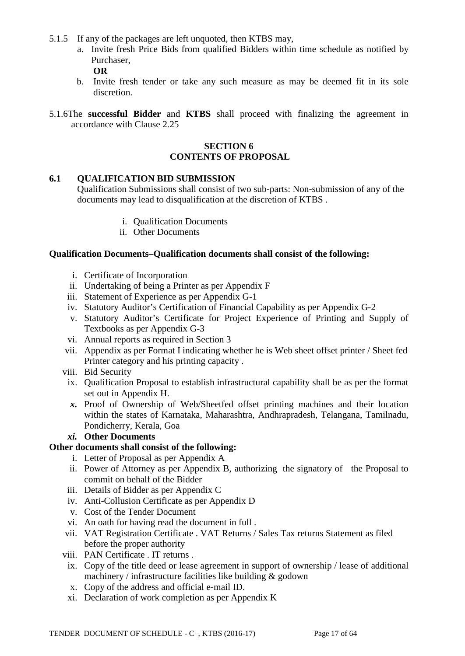- 5.1.5 If any of the packages are left unquoted, then KTBS may,
	- a. Invite fresh Price Bids from qualified Bidders within time schedule as notified by Purchaser, **OR**
	- b. Invite fresh tender or take any such measure as may be deemed fit in its sole discretion.
- 5.1.6The **successful Bidder** and **KTBS** shall proceed with finalizing the agreement in accordance with Clause 2.25

#### **SECTION 6 CONTENTS OF PROPOSAL**

#### **6.1 QUALIFICATION BID SUBMISSION**

Qualification Submissions shall consist of two sub-parts: Non-submission of any of the documents may lead to disqualification at the discretion of KTBS .

- i. Qualification Documents
- ii. Other Documents

#### **Qualification Documents***–***Qualification documents shall consist of the following:**

- i. Certificate of Incorporation
- ii. Undertaking of being a Printer as per Appendix F
- iii. Statement of Experience as per Appendix G-1
- iv. Statutory Auditor's Certification of Financial Capability as per Appendix G-2
- v. Statutory Auditor's Certificate for Project Experience of Printing and Supply of Textbooks as per Appendix G-3
- vi. Annual reports as required in Section 3
- vii. Appendix as per Format I indicating whether he is Web sheet offset printer / Sheet fed Printer category and his printing capacity .
- viii. Bid Security
	- ix. Qualification Proposal to establish infrastructural capability shall be as per the format set out in Appendix H.
	- *x.* Proof of Ownership of Web/Sheetfed offset printing machines and their location within the states of Karnataka, Maharashtra, Andhrapradesh, Telangana, Tamilnadu, Pondicherry, Kerala, Goa
	- *xi.* **Other Documents**

#### **Other documents shall consist of the following:**

- i. Letter of Proposal as per Appendix A
- ii. Power of Attorney as per Appendix B, authorizing the signatory of the Proposal to commit on behalf of the Bidder
- iii. Details of Bidder as per Appendix C
- iv. Anti-Collusion Certificate as per Appendix D
- v. Cost of the Tender Document
- vi. An oath for having read the document in full .
- vii. VAT Registration Certificate . VAT Returns / Sales Tax returns Statement as filed before the proper authority
- viii. PAN Certificate . IT returns .
- ix. Copy of the title deed or lease agreement in support of ownership / lease of additional machinery / infrastructure facilities like building & godown
- x. Copy of the address and official e-mail ID.
- xi. Declaration of work completion as per Appendix K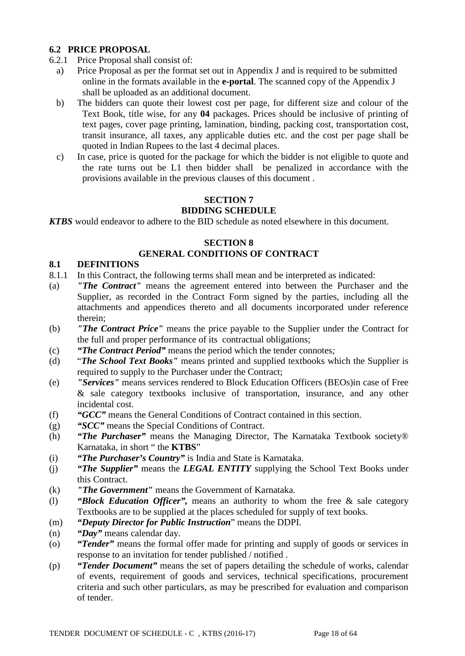# **6.2 PRICE PROPOSAL**

- 6.2.1 Price Proposal shall consist of:
	- a) Price Proposal as per the format set out in Appendix J and is required to be submitted online in the formats available in the **e-portal**. The scanned copy of the Appendix J shall be uploaded as an additional document.
	- b) The bidders can quote their lowest cost per page, for different size and colour of the Text Book, title wise, for any **04** packages. Prices should be inclusive of printing of text pages, cover page printing, lamination, binding, packing cost, transportation cost, transit insurance, all taxes, any applicable duties etc. and the cost per page shall be quoted in Indian Rupees to the last 4 decimal places.
	- c) In case, price is quoted for the package for which the bidder is not eligible to quote and the rate turns out be L1 then bidder shall be penalized in accordance with the provisions available in the previous clauses of this document .

# **SECTION 7 BIDDING SCHEDULE**

*KTBS* would endeavor to adhere to the BID schedule as noted elsewhere in this document.

# **SECTION 8**

# **GENERAL CONDITIONS OF CONTRACT**

# **8.1 DEFINITIONS**

- 8.1.1 In this Contract, the following terms shall mean and be interpreted as indicated:
- (a) *"The Contract"* means the agreement entered into between the Purchaser and the Supplier, as recorded in the Contract Form signed by the parties, including all the attachments and appendices thereto and all documents incorporated under reference therein;
- (b) *"The Contract Price"* means the price payable to the Supplier under the Contract for the full and proper performance of its contractual obligations;
- (c) *"The Contract Period"* means the period which the tender connotes*;*
- (d) "*The School Text Books"* means printed and supplied textbooks which the Supplier is required to supply to the Purchaser under the Contract;
- (e) *"Services"* means services rendered to Block Education Officers (BEOs)in case of Free & sale category textbooks inclusive of transportation, insurance, and any other incidental cost.
- (f) *"GCC"* means the General Conditions of Contract contained in this section.
- (g) *"SCC"* means the Special Conditions of Contract.
- (h) *"The Purchaser"* means the Managing Director, The Karnataka Textbook society® Karnataka, in short " the **KTBS**"
- (i) *"The Purchaser's Country"* is India and State is Karnataka.
- (j) *"The Supplier"* means the *LEGAL ENTITY* supplying the School Text Books under this Contract.
- (k) *"The Government"* means the Government of Karnataka.
- (l) *"Block Education Officer",* means an authority to whom the free & sale category Textbooks are to be supplied at the places scheduled for supply of text books.
- (m) *"Deputy Director for Public Instruction*" means the DDPI.
- (n) *"Day"* means calendar day.
- (o) *"Tender"* means the formal offer made for printing and supply of goods or services in response to an invitation for tender published / notified .
- (p) *"Tender Document"* means the set of papers detailing the schedule of works, calendar of events, requirement of goods and services, technical specifications, procurement criteria and such other particulars, as may be prescribed for evaluation and comparison of tender.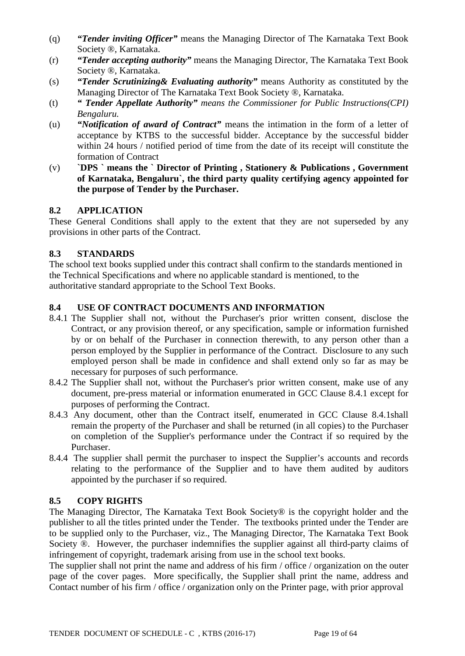- (q) *"Tender inviting Officer"* means the Managing Director of The Karnataka Text Book Society ®, Karnataka.
- (r) *"Tender accepting authority"* means the Managing Director, The Karnataka Text Book Society ®, Karnataka.
- (s) *"Tender Scrutinizing& Evaluating authority"* means Authority as constituted by the Managing Director of The Karnataka Text Book Society ®, Karnataka.
- (t) *" Tender Appellate Authority" means the Commissioner for Public Instructions(CPI) Bengaluru.*
- (u) *"Notification of award of Contract"* means the intimation in the form of a letter of acceptance by KTBS to the successful bidder. Acceptance by the successful bidder within 24 hours / notified period of time from the date of its receipt will constitute the formation of Contract
- (v) **`DPS ` means the ` Director of Printing , Stationery & Publications , Government of Karnataka, Bengaluru`, the third party quality certifying agency appointed for the purpose of Tender by the Purchaser.**

# **8.2 APPLICATION**

These General Conditions shall apply to the extent that they are not superseded by any provisions in other parts of the Contract.

# **8.3 STANDARDS**

The school text books supplied under this contract shall confirm to the standards mentioned in the Technical Specifications and where no applicable standard is mentioned, to the authoritative standard appropriate to the School Text Books.

# **8.4 USE OF CONTRACT DOCUMENTS AND INFORMATION**

- 8.4.1 The Supplier shall not, without the Purchaser's prior written consent, disclose the Contract, or any provision thereof, or any specification, sample or information furnished by or on behalf of the Purchaser in connection therewith, to any person other than a person employed by the Supplier in performance of the Contract. Disclosure to any such employed person shall be made in confidence and shall extend only so far as may be necessary for purposes of such performance.
- 8.4.2 The Supplier shall not, without the Purchaser's prior written consent, make use of any document, pre-press material or information enumerated in GCC Clause 8.4.1 except for purposes of performing the Contract.
- 8.4.3 Any document, other than the Contract itself, enumerated in GCC Clause 8.4.1shall remain the property of the Purchaser and shall be returned (in all copies) to the Purchaser on completion of the Supplier's performance under the Contract if so required by the Purchaser.
- 8.4.4 The supplier shall permit the purchaser to inspect the Supplier's accounts and records relating to the performance of the Supplier and to have them audited by auditors appointed by the purchaser if so required.

#### **8.5 COPY RIGHTS**

The Managing Director, The Karnataka Text Book Society® is the copyright holder and the publisher to all the titles printed under the Tender. The textbooks printed under the Tender are to be supplied only to the Purchaser, viz., The Managing Director, The Karnataka Text Book Society ®. However, the purchaser indemnifies the supplier against all third-party claims of infringement of copyright, trademark arising from use in the school text books.

The supplier shall not print the name and address of his firm / office / organization on the outer page of the cover pages. More specifically, the Supplier shall print the name, address and Contact number of his firm / office / organization only on the Printer page, with prior approval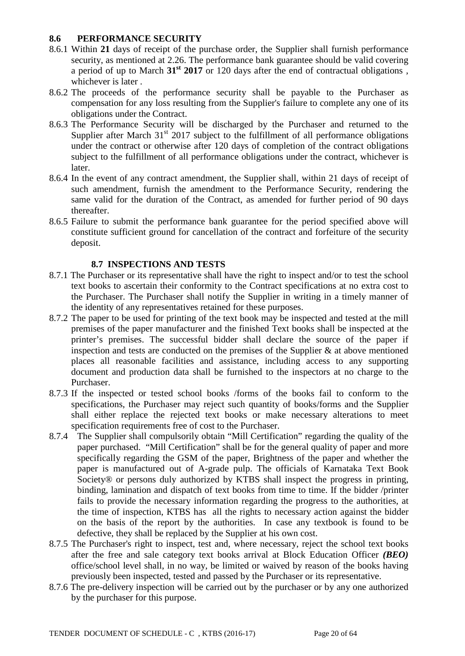#### **8.6 PERFORMANCE SECURITY**

- 8.6.1 Within **21** days of receipt of the purchase order, the Supplier shall furnish performance security, as mentioned at 2.26. The performance bank guarantee should be valid covering a period of up to March **31st 2017** or 120 days after the end of contractual obligations , whichever is later .
- 8.6.2 The proceeds of the performance security shall be payable to the Purchaser as compensation for any loss resulting from the Supplier's failure to complete any one of its obligations under the Contract.
- 8.6.3 The Performance Security will be discharged by the Purchaser and returned to the Supplier after March  $31<sup>st</sup>$  2017 subject to the fulfillment of all performance obligations under the contract or otherwise after 120 days of completion of the contract obligations subject to the fulfillment of all performance obligations under the contract, whichever is later.
- 8.6.4 In the event of any contract amendment, the Supplier shall, within 21 days of receipt of such amendment, furnish the amendment to the Performance Security, rendering the same valid for the duration of the Contract, as amended for further period of 90 days thereafter.
- 8.6.5 Failure to submit the performance bank guarantee for the period specified above will constitute sufficient ground for cancellation of the contract and forfeiture of the security deposit.

# **8.7 INSPECTIONS AND TESTS**

- 8.7.1 The Purchaser or its representative shall have the right to inspect and/or to test the school text books to ascertain their conformity to the Contract specifications at no extra cost to the Purchaser. The Purchaser shall notify the Supplier in writing in a timely manner of the identity of any representatives retained for these purposes.
- 8.7.2 The paper to be used for printing of the text book may be inspected and tested at the mill premises of the paper manufacturer and the finished Text books shall be inspected at the printer's premises. The successful bidder shall declare the source of the paper if inspection and tests are conducted on the premises of the Supplier  $\&$  at above mentioned places all reasonable facilities and assistance, including access to any supporting document and production data shall be furnished to the inspectors at no charge to the Purchaser.
- 8.7.3 If the inspected or tested school books /forms of the books fail to conform to the specifications, the Purchaser may reject such quantity of books/forms and the Supplier shall either replace the rejected text books or make necessary alterations to meet specification requirements free of cost to the Purchaser.
- 8.7.4 The Supplier shall compulsorily obtain "Mill Certification" regarding the quality of the paper purchased. "Mill Certification" shall be for the general quality of paper and more specifically regarding the GSM of the paper, Brightness of the paper and whether the paper is manufactured out of A-grade pulp. The officials of Karnataka Text Book Society® or persons duly authorized by KTBS shall inspect the progress in printing, binding, lamination and dispatch of text books from time to time. If the bidder /printer fails to provide the necessary information regarding the progress to the authorities, at the time of inspection, KTBS has all the rights to necessary action against the bidder on the basis of the report by the authorities. In case any textbook is found to be defective, they shall be replaced by the Supplier at his own cost.
- 8.7.5 The Purchaser's right to inspect, test and, where necessary, reject the school text books after the free and sale category text books arrival at Block Education Officer *(BEO)* office/school level shall, in no way, be limited or waived by reason of the books having previously been inspected, tested and passed by the Purchaser or its representative.
- 8.7.6 The pre-delivery inspection will be carried out by the purchaser or by any one authorized by the purchaser for this purpose.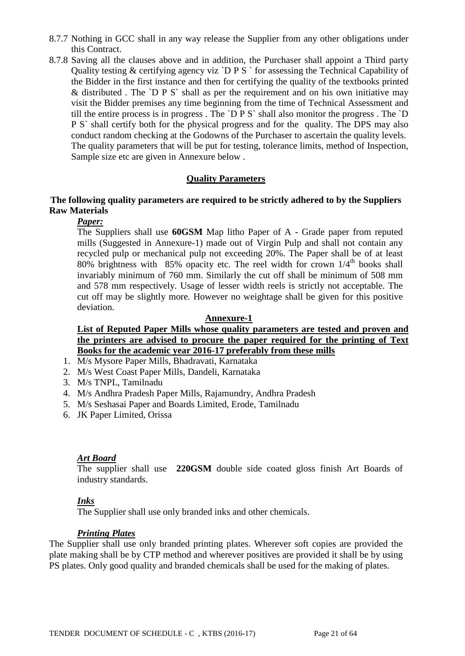- 8.7.7 Nothing in GCC shall in any way release the Supplier from any other obligations under this Contract.
- 8.7.8 Saving all the clauses above and in addition, the Purchaser shall appoint a Third party Quality testing  $&$  certifying agency viz `D P S ` for assessing the Technical Capability of the Bidder in the first instance and then for certifying the quality of the textbooks printed & distributed . The `D P S` shall as per the requirement and on his own initiative may visit the Bidder premises any time beginning from the time of Technical Assessment and till the entire process is in progress . The `D P S` shall also monitor the progress . The `D P S` shall certify both for the physical progress and for the quality. The DPS may also conduct random checking at the Godowns of the Purchaser to ascertain the quality levels. The quality parameters that will be put for testing, tolerance limits, method of Inspection, Sample size etc are given in Annexure below .

#### **Quality Parameters**

# **The following quality parameters are required to be strictly adhered to by the Suppliers Raw Materials**

# *Paper:*

The Suppliers shall use **60GSM** Map litho Paper of A - Grade paper from reputed mills (Suggested in Annexure-1) made out of Virgin Pulp and shall not contain any recycled pulp or mechanical pulp not exceeding 20%. The Paper shall be of at least 80% brightness with 85% opacity etc. The reel width for crown  $1/4<sup>th</sup>$  books shall invariably minimum of 760 mm. Similarly the cut off shall be minimum of 508 mm and 578 mm respectively. Usage of lesser width reels is strictly not acceptable. The cut off may be slightly more. However no weightage shall be given for this positive deviation.

#### **Annexure-1**

**List of Reputed Paper Mills whose quality parameters are tested and proven and the printers are advised to procure the paper required for the printing of Text Books for the academic year 2016-17 preferably from these mills**

- 1. M/s Mysore Paper Mills, Bhadravati, Karnataka
- 2. M/s West Coast Paper Mills, Dandeli, Karnataka
- 3. M/s TNPL, Tamilnadu
- 4. M/s Andhra Pradesh Paper Mills, Rajamundry, Andhra Pradesh
- 5. M/s Seshasai Paper and Boards Limited, Erode, Tamilnadu
- 6. JK Paper Limited, Orissa

#### *Art Board*

The supplier shall use **220GSM** double side coated gloss finish Art Boards of industry standards.

#### *Inks*

The Supplier shall use only branded inks and other chemicals.

#### *Printing Plates*

The Supplier shall use only branded printing plates. Wherever soft copies are provided the plate making shall be by CTP method and wherever positives are provided it shall be by using PS plates. Only good quality and branded chemicals shall be used for the making of plates.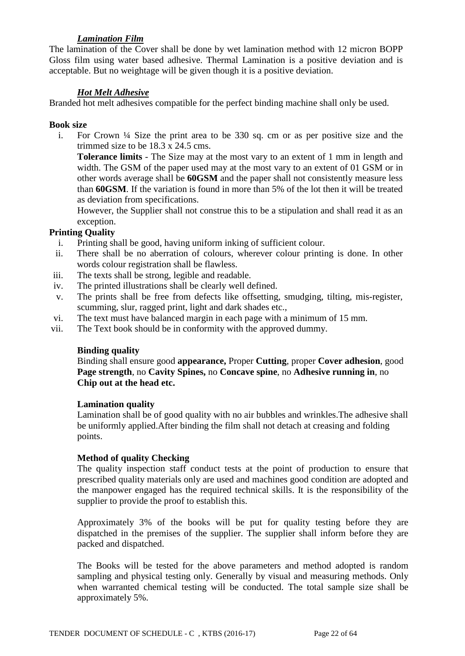# *Lamination Film*

The lamination of the Cover shall be done by wet lamination method with 12 micron BOPP Gloss film using water based adhesive. Thermal Lamination is a positive deviation and is acceptable. But no weightage will be given though it is a positive deviation.

# *Hot Melt Adhesive*

Branded hot melt adhesives compatible for the perfect binding machine shall only be used.

#### **Book size**

i. For Crown ¼ Size the print area to be 330 sq. cm or as per positive size and the trimmed size to be 18.3 x 24.5 cms.

**Tolerance limits** - The Size may at the most vary to an extent of 1 mm in length and width. The GSM of the paper used may at the most vary to an extent of 01 GSM or in other words average shall be **60GSM** and the paper shall not consistently measure less than **60GSM**. If the variation is found in more than 5% of the lot then it will be treated as deviation from specifications.

However, the Supplier shall not construe this to be a stipulation and shall read it as an exception.

# **Printing Quality**

- i. Printing shall be good, having uniform inking of sufficient colour.
- ii. There shall be no aberration of colours, wherever colour printing is done. In other words colour registration shall be flawless.
- iii. The texts shall be strong, legible and readable.
- iv. The printed illustrations shall be clearly well defined.
- v. The prints shall be free from defects like offsetting, smudging, tilting, mis-register, scumming, slur, ragged print, light and dark shades etc.,
- vi. The text must have balanced margin in each page with a minimum of 15 mm.
- vii. The Text book should be in conformity with the approved dummy.

#### **Binding quality**

Binding shall ensure good **appearance,** Proper **Cutting**, proper **Cover adhesion**, good **Page strength**, no **Cavity Spines,** no **Concave spine**, no **Adhesive running in**, no **Chip out at the head etc.**

#### **Lamination quality**

Lamination shall be of good quality with no air bubbles and wrinkles.The adhesive shall be uniformly applied.After binding the film shall not detach at creasing and folding points.

# **Method of quality Checking**

The quality inspection staff conduct tests at the point of production to ensure that prescribed quality materials only are used and machines good condition are adopted and the manpower engaged has the required technical skills. It is the responsibility of the supplier to provide the proof to establish this.

Approximately 3% of the books will be put for quality testing before they are dispatched in the premises of the supplier. The supplier shall inform before they are packed and dispatched.

The Books will be tested for the above parameters and method adopted is random sampling and physical testing only. Generally by visual and measuring methods. Only when warranted chemical testing will be conducted. The total sample size shall be approximately 5%.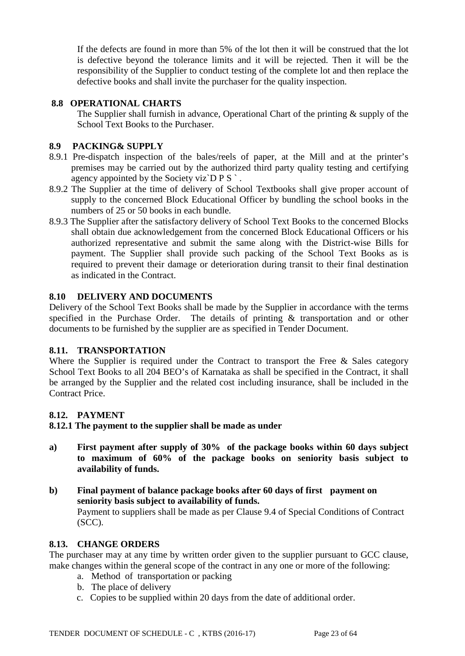If the defects are found in more than 5% of the lot then it will be construed that the lot is defective beyond the tolerance limits and it will be rejected. Then it will be the responsibility of the Supplier to conduct testing of the complete lot and then replace the defective books and shall invite the purchaser for the quality inspection.

# **8.8 OPERATIONAL CHARTS**

The Supplier shall furnish in advance, Operational Chart of the printing & supply of the School Text Books to the Purchaser.

# **8.9 PACKING& SUPPLY**

- 8.9.1 Pre-dispatch inspection of the bales/reels of paper, at the Mill and at the printer's premises may be carried out by the authorized third party quality testing and certifying agency appointed by the Society viz $\overline{D} P S$ .
- 8.9.2 The Supplier at the time of delivery of School Textbooks shall give proper account of supply to the concerned Block Educational Officer by bundling the school books in the numbers of 25 or 50 books in each bundle.
- 8.9.3 The Supplier after the satisfactory delivery of School Text Books to the concerned Blocks shall obtain due acknowledgement from the concerned Block Educational Officers or his authorized representative and submit the same along with the District-wise Bills for payment. The Supplier shall provide such packing of the School Text Books as is required to prevent their damage or deterioration during transit to their final destination as indicated in the Contract.

# **8.10 DELIVERY AND DOCUMENTS**

Delivery of the School Text Books shall be made by the Supplier in accordance with the terms specified in the Purchase Order. The details of printing & transportation and or other documents to be furnished by the supplier are as specified in Tender Document.

# **8.11. TRANSPORTATION**

Where the Supplier is required under the Contract to transport the Free & Sales category School Text Books to all 204 BEO's of Karnataka as shall be specified in the Contract, it shall be arranged by the Supplier and the related cost including insurance, shall be included in the Contract Price.

# **8.12. PAYMENT**

# **8.12.1 The payment to the supplier shall be made as under**

- **a) First payment after supply of 30% of the package books within 60 days subject to maximum of 60% of the package books on seniority basis subject to availability of funds.**
- **b) Final payment of balance package books after 60 days of first payment on seniority basis subject to availability of funds.** Payment to suppliers shall be made as per Clause 9.4 of Special Conditions of Contract (SCC).

# **8.13. CHANGE ORDERS**

The purchaser may at any time by written order given to the supplier pursuant to GCC clause, make changes within the general scope of the contract in any one or more of the following:

- a. Method of transportation or packing
- b. The place of delivery
- c. Copies to be supplied within 20 days from the date of additional order.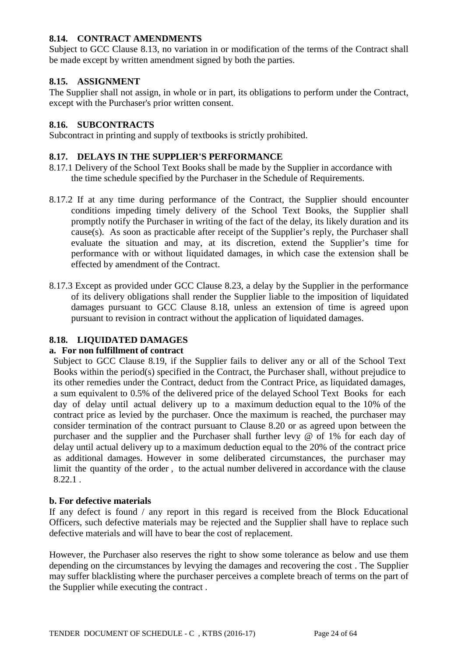# **8.14. CONTRACT AMENDMENTS**

Subject to GCC Clause 8.13, no variation in or modification of the terms of the Contract shall be made except by written amendment signed by both the parties.

# **8.15. ASSIGNMENT**

The Supplier shall not assign, in whole or in part, its obligations to perform under the Contract, except with the Purchaser's prior written consent.

#### **8.16. SUBCONTRACTS**

Subcontract in printing and supply of textbooks is strictly prohibited.

#### **8.17. DELAYS IN THE SUPPLIER'S PERFORMANCE**

- 8.17.1 Delivery of the School Text Books shall be made by the Supplier in accordance with the time schedule specified by the Purchaser in the Schedule of Requirements.
- 8.17.2 If at any time during performance of the Contract, the Supplier should encounter conditions impeding timely delivery of the School Text Books, the Supplier shall promptly notify the Purchaser in writing of the fact of the delay, its likely duration and its cause(s). As soon as practicable after receipt of the Supplier's reply, the Purchaser shall evaluate the situation and may, at its discretion, extend the Supplier's time for performance with or without liquidated damages, in which case the extension shall be effected by amendment of the Contract.
- 8.17.3 Except as provided under GCC Clause 8.23, a delay by the Supplier in the performance of its delivery obligations shall render the Supplier liable to the imposition of liquidated damages pursuant to GCC Clause 8.18, unless an extension of time is agreed upon pursuant to revision in contract without the application of liquidated damages.

# **8.18. LIQUIDATED DAMAGES**

#### **a. For non fulfillment of contract**

Subject to GCC Clause 8.19, if the Supplier fails to deliver any or all of the School Text Books within the period(s) specified in the Contract, the Purchaser shall, without prejudice to its other remedies under the Contract, deduct from the Contract Price, as liquidated damages, a sum equivalent to 0.5% of the delivered price of the delayed School Text Books for each day of delay until actual delivery up to a maximum deduction equal to the 10% of the contract price as levied by the purchaser. Once the maximum is reached, the purchaser may consider termination of the contract pursuant to Clause 8.20 or as agreed upon between the purchaser and the supplier and the Purchaser shall further levy @ of 1% for each day of delay until actual delivery up to a maximum deduction equal to the 20% of the contract price as additional damages. However in some deliberated circumstances, the purchaser may limit the quantity of the order , to the actual number delivered in accordance with the clause 8.22.1 .

#### **b. For defective materials**

If any defect is found / any report in this regard is received from the Block Educational Officers, such defective materials may be rejected and the Supplier shall have to replace such defective materials and will have to bear the cost of replacement.

However, the Purchaser also reserves the right to show some tolerance as below and use them depending on the circumstances by levying the damages and recovering the cost . The Supplier may suffer blacklisting where the purchaser perceives a complete breach of terms on the part of the Supplier while executing the contract .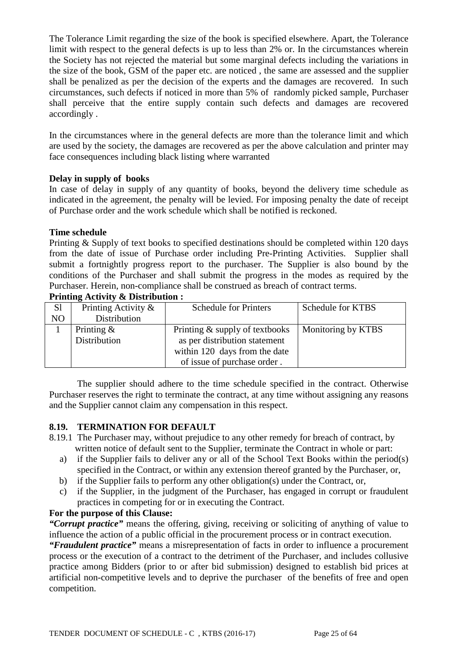The Tolerance Limit regarding the size of the book is specified elsewhere. Apart, the Tolerance limit with respect to the general defects is up to less than 2% or. In the circumstances wherein the Society has not rejected the material but some marginal defects including the variations in the size of the book, GSM of the paper etc. are noticed , the same are assessed and the supplier shall be penalized as per the decision of the experts and the damages are recovered. In such circumstances, such defects if noticed in more than 5% of randomly picked sample, Purchaser shall perceive that the entire supply contain such defects and damages are recovered accordingly .

In the circumstances where in the general defects are more than the tolerance limit and which are used by the society, the damages are recovered as per the above calculation and printer may face consequences including black listing where warranted

#### **Delay in supply of books**

In case of delay in supply of any quantity of books, beyond the delivery time schedule as indicated in the agreement, the penalty will be levied. For imposing penalty the date of receipt of Purchase order and the work schedule which shall be notified is reckoned.

# **Time schedule**

Printing & Supply of text books to specified destinations should be completed within 120 days from the date of issue of Purchase order including Pre-Printing Activities. Supplier shall submit a fortnightly progress report to the purchaser. The Supplier is also bound by the conditions of the Purchaser and shall submit the progress in the modes as required by the Purchaser. Herein, non-compliance shall be construed as breach of contract terms.

| S1             | Printing Activity & | <b>Schedule for Printers</b>   | Schedule for KTBS  |
|----------------|---------------------|--------------------------------|--------------------|
| N <sub>O</sub> | Distribution        |                                |                    |
|                | Printing $\&$       | Printing & supply of textbooks | Monitoring by KTBS |
|                | Distribution        | as per distribution statement  |                    |
|                |                     | within 120 days from the date  |                    |
|                |                     | of issue of purchase order.    |                    |

#### **Printing Activity & Distribution :**

The supplier should adhere to the time schedule specified in the contract. Otherwise Purchaser reserves the right to terminate the contract, at any time without assigning any reasons and the Supplier cannot claim any compensation in this respect.

#### **8.19. TERMINATION FOR DEFAULT**

- 8.19.1 The Purchaser may, without prejudice to any other remedy for breach of contract, by written notice of default sent to the Supplier, terminate the Contract in whole or part:
	- a) if the Supplier fails to deliver any or all of the School Text Books within the period(s) specified in the Contract, or within any extension thereof granted by the Purchaser, or,
	- b) if the Supplier fails to perform any other obligation(s) under the Contract, or,
	- c) if the Supplier, in the judgment of the Purchaser, has engaged in corrupt or fraudulent practices in competing for or in executing the Contract.

#### **For the purpose of this Clause:**

*"Corrupt practice"* means the offering, giving, receiving or soliciting of anything of value to influence the action of a public official in the procurement process or in contract execution.

*"Fraudulent practice"* means a misrepresentation of facts in order to influence a procurement process or the execution of a contract to the detriment of the Purchaser, and includes collusive practice among Bidders (prior to or after bid submission) designed to establish bid prices at artificial non-competitive levels and to deprive the purchaser of the benefits of free and open competition.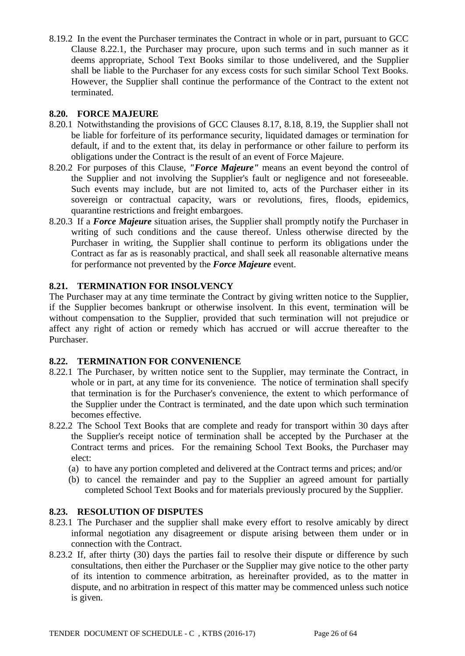8.19.2 In the event the Purchaser terminates the Contract in whole or in part, pursuant to GCC Clause 8.22.1, the Purchaser may procure, upon such terms and in such manner as it deems appropriate, School Text Books similar to those undelivered, and the Supplier shall be liable to the Purchaser for any excess costs for such similar School Text Books. However, the Supplier shall continue the performance of the Contract to the extent not terminated.

# **8.20. FORCE MAJEURE**

- 8.20.1 Notwithstanding the provisions of GCC Clauses 8.17, 8.18, 8.19, the Supplier shall not be liable for forfeiture of its performance security, liquidated damages or termination for default, if and to the extent that, its delay in performance or other failure to perform its obligations under the Contract is the result of an event of Force Majeure.
- 8.20.2 For purposes of this Clause, *"Force Majeure"* means an event beyond the control of the Supplier and not involving the Supplier's fault or negligence and not foreseeable. Such events may include, but are not limited to, acts of the Purchaser either in its sovereign or contractual capacity, wars or revolutions, fires, floods, epidemics, quarantine restrictions and freight embargoes.
- 8.20.3 If a *Force Majeure* situation arises, the Supplier shall promptly notify the Purchaser in writing of such conditions and the cause thereof. Unless otherwise directed by the Purchaser in writing, the Supplier shall continue to perform its obligations under the Contract as far as is reasonably practical, and shall seek all reasonable alternative means for performance not prevented by the *Force Majeure* event.

# **8.21. TERMINATION FOR INSOLVENCY**

The Purchaser may at any time terminate the Contract by giving written notice to the Supplier, if the Supplier becomes bankrupt or otherwise insolvent. In this event, termination will be without compensation to the Supplier, provided that such termination will not prejudice or affect any right of action or remedy which has accrued or will accrue thereafter to the Purchaser.

# **8.22. TERMINATION FOR CONVENIENCE**

- 8.22.1 The Purchaser, by written notice sent to the Supplier, may terminate the Contract, in whole or in part, at any time for its convenience. The notice of termination shall specify that termination is for the Purchaser's convenience, the extent to which performance of the Supplier under the Contract is terminated, and the date upon which such termination becomes effective.
- 8.22.2 The School Text Books that are complete and ready for transport within 30 days after the Supplier's receipt notice of termination shall be accepted by the Purchaser at the Contract terms and prices. For the remaining School Text Books, the Purchaser may elect:
	- (a) to have any portion completed and delivered at the Contract terms and prices; and/or
	- (b) to cancel the remainder and pay to the Supplier an agreed amount for partially completed School Text Books and for materials previously procured by the Supplier.

# **8.23. RESOLUTION OF DISPUTES**

- 8.23.1 The Purchaser and the supplier shall make every effort to resolve amicably by direct informal negotiation any disagreement or dispute arising between them under or in connection with the Contract.
- 8.23.2 If, after thirty (30) days the parties fail to resolve their dispute or difference by such consultations, then either the Purchaser or the Supplier may give notice to the other party of its intention to commence arbitration, as hereinafter provided, as to the matter in dispute, and no arbitration in respect of this matter may be commenced unless such notice is given.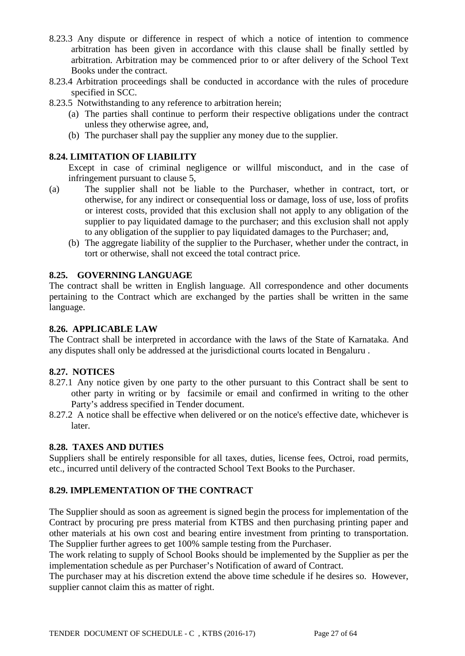- 8.23.3 Any dispute or difference in respect of which a notice of intention to commence arbitration has been given in accordance with this clause shall be finally settled by arbitration. Arbitration may be commenced prior to or after delivery of the School Text Books under the contract.
- 8.23.4 Arbitration proceedings shall be conducted in accordance with the rules of procedure specified in SCC.
- 8.23.5 Notwithstanding to any reference to arbitration herein;
	- (a) The parties shall continue to perform their respective obligations under the contract unless they otherwise agree, and,
	- (b) The purchaser shall pay the supplier any money due to the supplier.

# **8.24. LIMITATION OF LIABILITY**

Except in case of criminal negligence or willful misconduct, and in the case of infringement pursuant to clause 5,

- (a) The supplier shall not be liable to the Purchaser, whether in contract, tort, or otherwise, for any indirect or consequential loss or damage, loss of use, loss of profits or interest costs, provided that this exclusion shall not apply to any obligation of the supplier to pay liquidated damage to the purchaser; and this exclusion shall not apply to any obligation of the supplier to pay liquidated damages to the Purchaser; and,
	- (b) The aggregate liability of the supplier to the Purchaser, whether under the contract, in tort or otherwise, shall not exceed the total contract price.

# **8.25. GOVERNING LANGUAGE**

The contract shall be written in English language. All correspondence and other documents pertaining to the Contract which are exchanged by the parties shall be written in the same language.

#### **8.26. APPLICABLE LAW**

The Contract shall be interpreted in accordance with the laws of the State of Karnataka. And any disputes shall only be addressed at the jurisdictional courts located in Bengaluru .

#### **8.27. NOTICES**

- 8.27.1 Any notice given by one party to the other pursuant to this Contract shall be sent to other party in writing or by facsimile or email and confirmed in writing to the other Party's address specified in Tender document.
- 8.27.2 A notice shall be effective when delivered or on the notice's effective date, whichever is later.

#### **8.28. TAXES AND DUTIES**

Suppliers shall be entirely responsible for all taxes, duties, license fees, Octroi, road permits, etc., incurred until delivery of the contracted School Text Books to the Purchaser.

#### **8.29. IMPLEMENTATION OF THE CONTRACT**

The Supplier should as soon as agreement is signed begin the process for implementation of the Contract by procuring pre press material from KTBS and then purchasing printing paper and other materials at his own cost and bearing entire investment from printing to transportation. The Supplier further agrees to get 100% sample testing from the Purchaser.

The work relating to supply of School Books should be implemented by the Supplier as per the implementation schedule as per Purchaser's Notification of award of Contract.

The purchaser may at his discretion extend the above time schedule if he desires so. However, supplier cannot claim this as matter of right.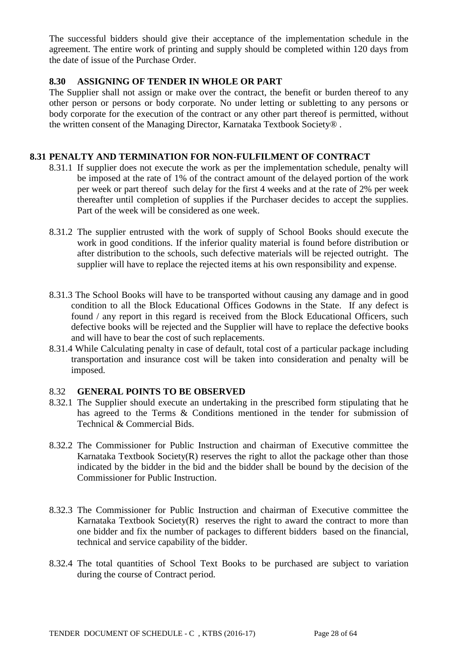The successful bidders should give their acceptance of the implementation schedule in the agreement. The entire work of printing and supply should be completed within 120 days from the date of issue of the Purchase Order.

# **8.30 ASSIGNING OF TENDER IN WHOLE OR PART**

The Supplier shall not assign or make over the contract, the benefit or burden thereof to any other person or persons or body corporate. No under letting or subletting to any persons or body corporate for the execution of the contract or any other part thereof is permitted, without the written consent of the Managing Director, Karnataka Textbook Society® .

#### **8.31 PENALTY AND TERMINATION FOR NON-FULFILMENT OF CONTRACT**

- 8.31.1 If supplier does not execute the work as per the implementation schedule, penalty will be imposed at the rate of 1% of the contract amount of the delayed portion of the work per week or part thereof such delay for the first 4 weeks and at the rate of 2% per week thereafter until completion of supplies if the Purchaser decides to accept the supplies. Part of the week will be considered as one week.
- 8.31.2 The supplier entrusted with the work of supply of School Books should execute the work in good conditions. If the inferior quality material is found before distribution or after distribution to the schools, such defective materials will be rejected outright. The supplier will have to replace the rejected items at his own responsibility and expense.
- 8.31.3 The School Books will have to be transported without causing any damage and in good condition to all the Block Educational Offices Godowns in the State. If any defect is found / any report in this regard is received from the Block Educational Officers, such defective books will be rejected and the Supplier will have to replace the defective books and will have to bear the cost of such replacements.
- 8.31.4 While Calculating penalty in case of default, total cost of a particular package including transportation and insurance cost will be taken into consideration and penalty will be imposed.

#### 8.32 **GENERAL POINTS TO BE OBSERVED**

- 8.32.1 The Supplier should execute an undertaking in the prescribed form stipulating that he has agreed to the Terms & Conditions mentioned in the tender for submission of Technical & Commercial Bids.
- 8.32.2 The Commissioner for Public Instruction and chairman of Executive committee the Karnataka Textbook Society(R) reserves the right to allot the package other than those indicated by the bidder in the bid and the bidder shall be bound by the decision of the Commissioner for Public Instruction.
- 8.32.3 The Commissioner for Public Instruction and chairman of Executive committee the Karnataka Textbook Society $(R)$  reserves the right to award the contract to more than one bidder and fix the number of packages to different bidders based on the financial, technical and service capability of the bidder.
- 8.32.4 The total quantities of School Text Books to be purchased are subject to variation during the course of Contract period.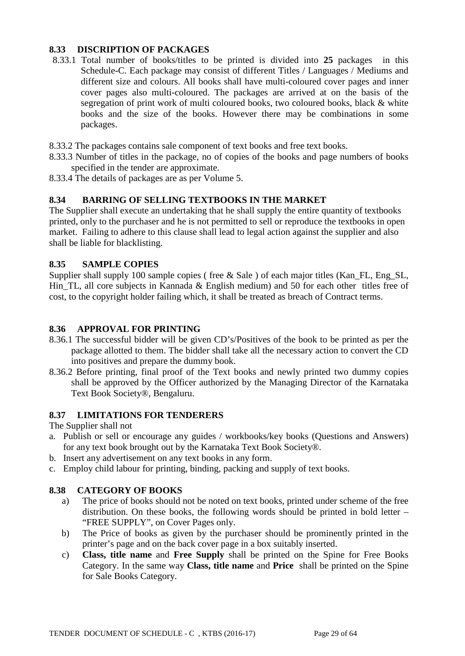# **8.33 DISCRIPTION OF PACKAGES**

- 8.33.1 Total number of books/titles to be printed is divided into **25** packages in this Schedule-C. Each package may consist of different Titles / Languages / Mediums and different size and colours. All books shall have multi-coloured cover pages and inner cover pages also multi-coloured. The packages are arrived at on the basis of the segregation of print work of multi coloured books, two coloured books, black & white books and the size of the books. However there may be combinations in some packages.
- 8.33.2 The packages contains sale component of text books and free text books.
- 8.33.3 Number of titles in the package, no of copies of the books and page numbers of books specified in the tender are approximate.
- 8.33.4 The details of packages are as per Volume 5.

# **8.34 BARRING OF SELLING TEXTBOOKS IN THE MARKET**

The Supplier shall execute an undertaking that he shall supply the entire quantity of textbooks printed, only to the purchaser and he is not permitted to sell or reproduce the textbooks in open market. Failing to adhere to this clause shall lead to legal action against the supplier and also shall be liable for blacklisting.

# **8.35 SAMPLE COPIES**

Supplier shall supply 100 sample copies (free & Sale) of each major titles (Kan\_FL, Eng\_SL, Hin TL, all core subjects in Kannada  $\&$  English medium) and 50 for each other titles free of cost, to the copyright holder failing which, it shall be treated as breach of Contract terms.

#### **8.36 APPROVAL FOR PRINTING**

- 8.36.1 The successful bidder will be given CD's/Positives of the book to be printed as per the package allotted to them. The bidder shall take all the necessary action to convert the CD into positives and prepare the dummy book.
- 8.36.2 Before printing, final proof of the Text books and newly printed two dummy copies shall be approved by the Officer authorized by the Managing Director of the Karnataka Text Book Society®, Bengaluru.

# **8.37 LIMITATIONS FOR TENDERERS**

The Supplier shall not

- a. Publish or sell or encourage any guides / workbooks/key books (Questions and Answers) for any text book brought out by the Karnataka Text Book Society®.
- b. Insert any advertisement on any text books in any form.
- c. Employ child labour for printing, binding, packing and supply of text books.

#### **8.38 CATEGORY OF BOOKS**

- a) The price of books should not be noted on text books, printed under scheme of the free distribution. On these books, the following words should be printed in bold letter – "FREE SUPPLY", on Cover Pages only.
- b) The Price of books as given by the purchaser should be prominently printed in the printer's page and on the back cover page in a box suitably inserted.
- c) **Class, title name** and **Free Supply** shall be printed on the Spine for Free Books Category. In the same way **Class, title name** and **Price** shall be printed on the Spine for Sale Books Category.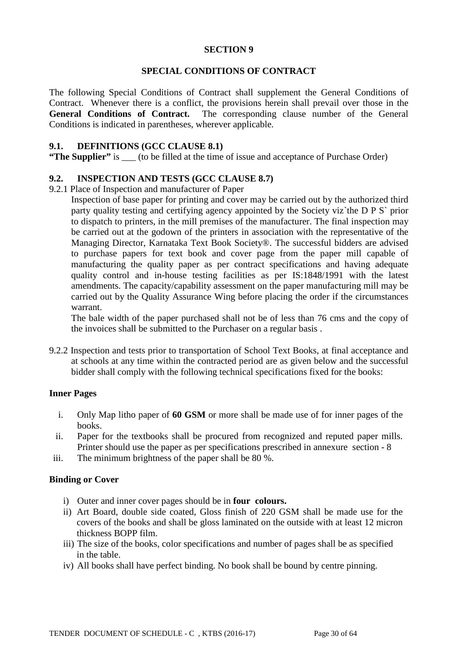# **SECTION 9**

### **SPECIAL CONDITIONS OF CONTRACT**

The following Special Conditions of Contract shall supplement the General Conditions of Contract. Whenever there is a conflict, the provisions herein shall prevail over those in the **General Conditions of Contract.** The corresponding clause number of the General Conditions is indicated in parentheses, wherever applicable.

#### **9.1. DEFINITIONS (GCC CLAUSE 8.1)**

**"The Supplier"** is \_\_\_ (to be filled at the time of issue and acceptance of Purchase Order)

# **9.2. INSPECTION AND TESTS (GCC CLAUSE 8.7)**

#### 9.2.1 Place of Inspection and manufacturer of Paper

Inspection of base paper for printing and cover may be carried out by the authorized third party quality testing and certifying agency appointed by the Society viz`the D P S` prior to dispatch to printers, in the mill premises of the manufacturer. The final inspection may be carried out at the godown of the printers in association with the representative of the Managing Director, Karnataka Text Book Society®. The successful bidders are advised to purchase papers for text book and cover page from the paper mill capable of manufacturing the quality paper as per contract specifications and having adequate quality control and in-house testing facilities as per IS:1848/1991 with the latest amendments. The capacity/capability assessment on the paper manufacturing mill may be carried out by the Quality Assurance Wing before placing the order if the circumstances warrant.

The bale width of the paper purchased shall not be of less than 76 cms and the copy of the invoices shall be submitted to the Purchaser on a regular basis .

9.2.2 Inspection and tests prior to transportation of School Text Books, at final acceptance and at schools at any time within the contracted period are as given below and the successful bidder shall comply with the following technical specifications fixed for the books:

#### **Inner Pages**

- i. Only Map litho paper of **60 GSM** or more shall be made use of for inner pages of the books.
- ii. Paper for the textbooks shall be procured from recognized and reputed paper mills. Printer should use the paper as per specifications prescribed in annexure section - 8
- iii. The minimum brightness of the paper shall be 80 %.

#### **Binding or Cover**

- i) Outer and inner cover pages should be in **four colours.**
- ii) Art Board, double side coated, Gloss finish of 220 GSM shall be made use for the covers of the books and shall be gloss laminated on the outside with at least 12 micron thickness BOPP film.
- iii) The size of the books, color specifications and number of pages shall be as specified in the table.
- iv) All books shall have perfect binding. No book shall be bound by centre pinning.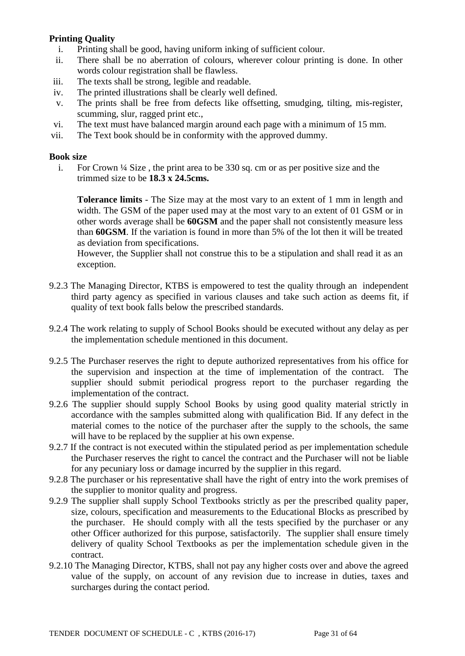# **Printing Quality**

- i. Printing shall be good, having uniform inking of sufficient colour.
- ii. There shall be no aberration of colours, wherever colour printing is done. In other words colour registration shall be flawless.
- iii. The texts shall be strong, legible and readable.
- iv. The printed illustrations shall be clearly well defined.
- v. The prints shall be free from defects like offsetting, smudging, tilting, mis-register, scumming, slur, ragged print etc.,
- vi. The text must have balanced margin around each page with a minimum of 15 mm.
- vii. The Text book should be in conformity with the approved dummy.

#### **Book size**

i. For Crown ¼ Size , the print area to be 330 sq. cm or as per positive size and the trimmed size to be **18.3 x 24.5cms.**

**Tolerance limits** - The Size may at the most vary to an extent of 1 mm in length and width. The GSM of the paper used may at the most vary to an extent of 01 GSM or in other words average shall be **60GSM** and the paper shall not consistently measure less than **60GSM**. If the variation is found in more than 5% of the lot then it will be treated as deviation from specifications.

However, the Supplier shall not construe this to be a stipulation and shall read it as an exception.

- 9.2.3 The Managing Director, KTBS is empowered to test the quality through an independent third party agency as specified in various clauses and take such action as deems fit, if quality of text book falls below the prescribed standards.
- 9.2.4 The work relating to supply of School Books should be executed without any delay as per the implementation schedule mentioned in this document.
- 9.2.5 The Purchaser reserves the right to depute authorized representatives from his office for the supervision and inspection at the time of implementation of the contract. The supplier should submit periodical progress report to the purchaser regarding the implementation of the contract.
- 9.2.6 The supplier should supply School Books by using good quality material strictly in accordance with the samples submitted along with qualification Bid. If any defect in the material comes to the notice of the purchaser after the supply to the schools, the same will have to be replaced by the supplier at his own expense.
- 9.2.7 If the contract is not executed within the stipulated period as per implementation schedule the Purchaser reserves the right to cancel the contract and the Purchaser will not be liable for any pecuniary loss or damage incurred by the supplier in this regard.
- 9.2.8 The purchaser or his representative shall have the right of entry into the work premises of the supplier to monitor quality and progress.
- 9.2.9 The supplier shall supply School Textbooks strictly as per the prescribed quality paper, size, colours, specification and measurements to the Educational Blocks as prescribed by the purchaser. He should comply with all the tests specified by the purchaser or any other Officer authorized for this purpose, satisfactorily. The supplier shall ensure timely delivery of quality School Textbooks as per the implementation schedule given in the contract.
- 9.2.10 The Managing Director, KTBS, shall not pay any higher costs over and above the agreed value of the supply, on account of any revision due to increase in duties, taxes and surcharges during the contact period.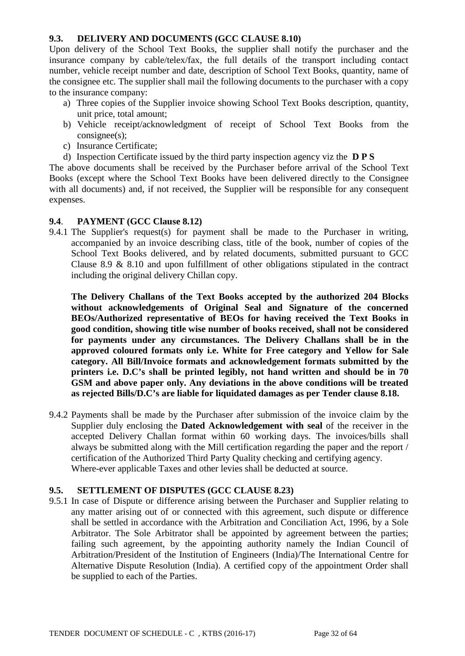# **9.3. DELIVERY AND DOCUMENTS (GCC CLAUSE 8.10)**

Upon delivery of the School Text Books, the supplier shall notify the purchaser and the insurance company by cable/telex/fax, the full details of the transport including contact number, vehicle receipt number and date, description of School Text Books, quantity, name of the consignee etc. The supplier shall mail the following documents to the purchaser with a copy to the insurance company:

- a) Three copies of the Supplier invoice showing School Text Books description, quantity, unit price, total amount;
- b) Vehicle receipt/acknowledgment of receipt of School Text Books from the consignee(s);
- c) Insurance Certificate;
- d) Inspection Certificate issued by the third party inspection agency viz the **D P S**

The above documents shall be received by the Purchaser before arrival of the School Text Books (except where the School Text Books have been delivered directly to the Consignee with all documents) and, if not received, the Supplier will be responsible for any consequent expenses.

# **9.4**. **PAYMENT (GCC Clause 8.12)**

9.4.1 The Supplier's request(s) for payment shall be made to the Purchaser in writing, accompanied by an invoice describing class, title of the book, number of copies of the School Text Books delivered, and by related documents, submitted pursuant to GCC Clause 8.9 & 8.10 and upon fulfillment of other obligations stipulated in the contract including the original delivery Chillan copy.

**The Delivery Challans of the Text Books accepted by the authorized 204 Blocks without acknowledgements of Original Seal and Signature of the concerned BEOs/Authorized representative of BEOs for having received the Text Books in good condition, showing title wise number of books received, shall not be considered for payments under any circumstances. The Delivery Challans shall be in the approved coloured formats only i.e. White for Free category and Yellow for Sale category. All Bill/Invoice formats and acknowledgement formats submitted by the printers i.e. D.C's shall be printed legibly, not hand written and should be in 70 GSM and above paper only. Any deviations in the above conditions will be treated as rejected Bills/D.C's are liable for liquidated damages as per Tender clause 8.18.** 

9.4.2 Payments shall be made by the Purchaser after submission of the invoice claim by the Supplier duly enclosing the **Dated Acknowledgement with seal** of the receiver in the accepted Delivery Challan format within 60 working days. The invoices/bills shall always be submitted along with the Mill certification regarding the paper and the report / certification of the Authorized Third Party Quality checking and certifying agency. Where-ever applicable Taxes and other levies shall be deducted at source.

# **9.5. SETTLEMENT OF DISPUTES (GCC CLAUSE 8.23)**

9.5.1 In case of Dispute or difference arising between the Purchaser and Supplier relating to any matter arising out of or connected with this agreement, such dispute or difference shall be settled in accordance with the Arbitration and Conciliation Act, 1996, by a Sole Arbitrator. The Sole Arbitrator shall be appointed by agreement between the parties; failing such agreement, by the appointing authority namely the Indian Council of Arbitration/President of the Institution of Engineers (India)/The International Centre for Alternative Dispute Resolution (India). A certified copy of the appointment Order shall be supplied to each of the Parties.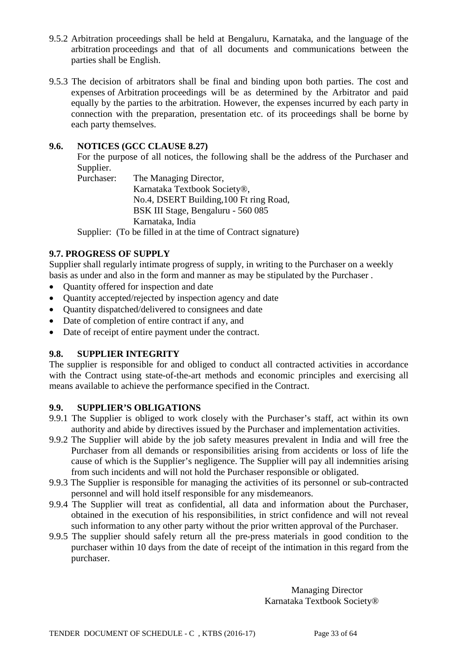- 9.5.2 Arbitration proceedings shall be held at Bengaluru, Karnataka, and the language of the arbitration proceedings and that of all documents and communications between the parties shall be English.
- 9.5.3 The decision of arbitrators shall be final and binding upon both parties. The cost and expenses of Arbitration proceedings will be as determined by the Arbitrator and paid equally by the parties to the arbitration. However, the expenses incurred by each party in connection with the preparation, presentation etc. of its proceedings shall be borne by each party themselves.

# **9.6. NOTICES (GCC CLAUSE 8.27)**

For the purpose of all notices, the following shall be the address of the Purchaser and Supplier.<br>Purchaser:

The Managing Director, Karnataka Textbook Society®, No.4, DSERT Building,100 Ft ring Road, BSK III Stage, Bengaluru - 560 085 Karnataka, India

Supplier: (To be filled in at the time of Contract signature)

# **9.7. PROGRESS OF SUPPLY**

Supplier shall regularly intimate progress of supply, in writing to the Purchaser on a weekly basis as under and also in the form and manner as may be stipulated by the Purchaser .

- Quantity offered for inspection and date
- Quantity accepted/rejected by inspection agency and date
- Quantity dispatched/delivered to consignees and date
- Date of completion of entire contract if any, and
- Date of receipt of entire payment under the contract.

# **9.8. SUPPLIER INTEGRITY**

The supplier is responsible for and obliged to conduct all contracted activities in accordance with the Contract using state-of-the-art methods and economic principles and exercising all means available to achieve the performance specified in the Contract.

#### **9.9. SUPPLIER'S OBLIGATIONS**

- 9.9.1 The Supplier is obliged to work closely with the Purchaser's staff, act within its own authority and abide by directives issued by the Purchaser and implementation activities.
- 9.9.2 The Supplier will abide by the job safety measures prevalent in India and will free the Purchaser from all demands or responsibilities arising from accidents or loss of life the cause of which is the Supplier's negligence. The Supplier will pay all indemnities arising from such incidents and will not hold the Purchaser responsible or obligated.
- 9.9.3 The Supplier is responsible for managing the activities of its personnel or sub-contracted personnel and will hold itself responsible for any misdemeanors.
- 9.9.4 The Supplier will treat as confidential, all data and information about the Purchaser, obtained in the execution of his responsibilities, in strict confidence and will not reveal such information to any other party without the prior written approval of the Purchaser.
- 9.9.5 The supplier should safely return all the pre-press materials in good condition to the purchaser within 10 days from the date of receipt of the intimation in this regard from the purchaser.

Managing Director Karnataka Textbook Society®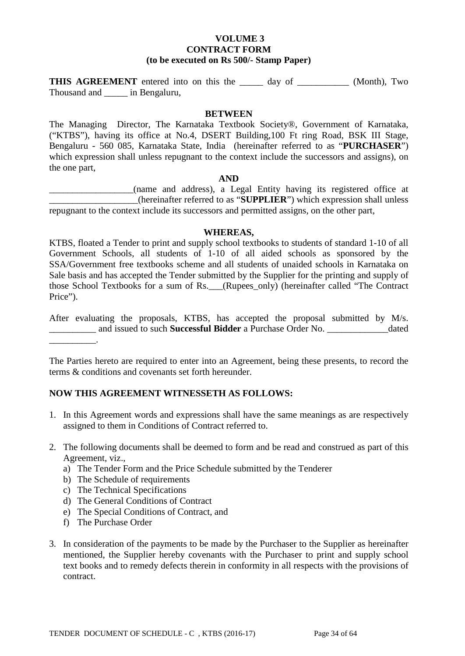#### **VOLUME 3 CONTRACT FORM (to be executed on Rs 500/- Stamp Paper)**

**THIS AGREEMENT** entered into on this the day of \_\_\_\_\_\_\_\_\_\_ (Month), Two Thousand and \_\_\_\_\_ in Bengaluru,

#### **BETWEEN**

The Managing Director, The Karnataka Textbook Society®, Government of Karnataka, ("KTBS"), having its office at No.4, DSERT Building,100 Ft ring Road, BSK III Stage, Bengaluru - 560 085, Karnataka State, India (hereinafter referred to as "**PURCHASER**") which expression shall unless repugnant to the context include the successors and assigns), on the one part,

#### **AND**

\_\_\_\_\_\_\_\_\_\_\_\_\_\_\_\_\_\_(name and address), a Legal Entity having its registered office at \_\_\_\_\_\_\_\_\_\_\_\_\_\_\_\_\_\_\_(hereinafter referred to as "**SUPPLIER**") which expression shall unless repugnant to the context include its successors and permitted assigns, on the other part,

#### **WHEREAS,**

KTBS, floated a Tender to print and supply school textbooks to students of standard 1-10 of all Government Schools, all students of 1-10 of all aided schools as sponsored by the SSA/Government free textbooks scheme and all students of unaided schools in Karnataka on Sale basis and has accepted the Tender submitted by the Supplier for the printing and supply of those School Textbooks for a sum of Rs.\_\_\_(Rupees\_only) (hereinafter called "The Contract Price").

After evaluating the proposals, KTBS, has accepted the proposal submitted by M/s. \_\_\_\_\_\_\_\_\_\_ and issued to such **Successful Bidder** a Purchase Order No. \_\_\_\_\_\_\_\_\_\_\_\_\_dated

The Parties hereto are required to enter into an Agreement, being these presents, to record the terms & conditions and covenants set forth hereunder.

#### **NOW THIS AGREEMENT WITNESSETH AS FOLLOWS:**

- 1. In this Agreement words and expressions shall have the same meanings as are respectively assigned to them in Conditions of Contract referred to.
- 2. The following documents shall be deemed to form and be read and construed as part of this Agreement, viz.,
	- a) The Tender Form and the Price Schedule submitted by the Tenderer
	- b) The Schedule of requirements
	- c) The Technical Specifications
	- d) The General Conditions of Contract
	- e) The Special Conditions of Contract, and
	- f) The Purchase Order

\_\_\_\_\_\_\_\_\_\_.

3. In consideration of the payments to be made by the Purchaser to the Supplier as hereinafter mentioned, the Supplier hereby covenants with the Purchaser to print and supply school text books and to remedy defects therein in conformity in all respects with the provisions of contract.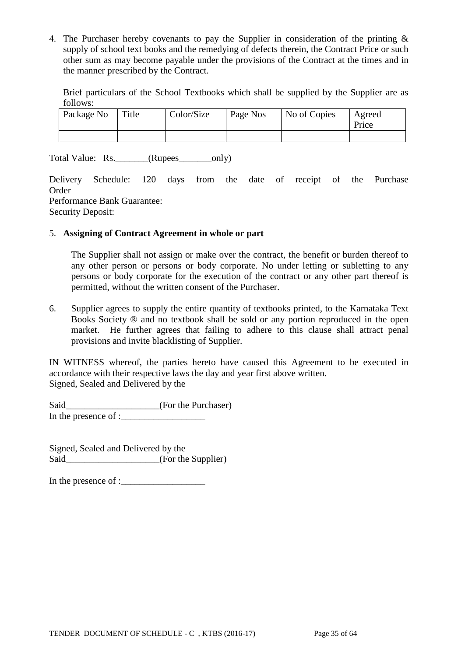4. The Purchaser hereby covenants to pay the Supplier in consideration of the printing & supply of school text books and the remedying of defects therein, the Contract Price or such other sum as may become payable under the provisions of the Contract at the times and in the manner prescribed by the Contract.

Brief particulars of the School Textbooks which shall be supplied by the Supplier are as follows:

| Package No | Title | Color/Size | Page Nos | No of Copies | Agreed<br>Price |
|------------|-------|------------|----------|--------------|-----------------|
|            |       |            |          |              |                 |

Total Value: Rs. \_\_\_\_\_\_(Rupees\_\_\_\_\_\_\_only)

Delivery Schedule: 120 days from the date of receipt of the Purchase Order Performance Bank Guarantee: Security Deposit:

#### 5. **Assigning of Contract Agreement in whole or part**

The Supplier shall not assign or make over the contract, the benefit or burden thereof to any other person or persons or body corporate. No under letting or subletting to any persons or body corporate for the execution of the contract or any other part thereof is permitted, without the written consent of the Purchaser.

6. Supplier agrees to supply the entire quantity of textbooks printed, to the Karnataka Text Books Society ® and no textbook shall be sold or any portion reproduced in the open market. He further agrees that failing to adhere to this clause shall attract penal provisions and invite blacklisting of Supplier.

IN WITNESS whereof, the parties hereto have caused this Agreement to be executed in accordance with their respective laws the day and year first above written. Signed, Sealed and Delivered by the

Said\_\_\_\_\_\_\_\_\_\_\_\_\_\_\_\_\_\_\_\_\_\_(For the Purchaser) In the presence of :\_\_\_\_\_\_\_\_\_\_\_\_\_\_\_\_\_\_

Signed, Sealed and Delivered by the Said\_\_\_\_\_\_\_\_\_\_\_\_\_\_\_\_\_\_(For the Supplier)

In the presence of : $\Box$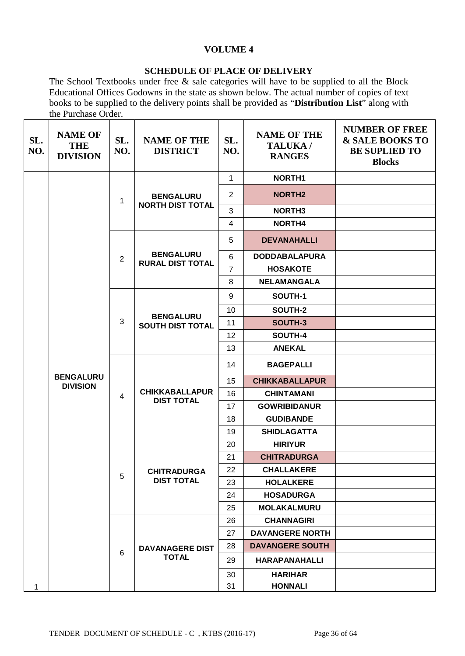# **VOLUME 4**

#### **SCHEDULE OF PLACE OF DELIVERY**

The School Textbooks under free & sale categories will have to be supplied to all the Block Educational Offices Godowns in the state as shown below. The actual number of copies of text books to be supplied to the delivery points shall be provided as "**Distribution List**" along with the Purchase Order.

 $\mathbf{r}$ 

| SL.<br>NO. | <b>NAME OF</b><br><b>THE</b><br><b>DIVISION</b> | SL.<br>NO.     | <b>NAME OF THE</b><br><b>DISTRICT</b>       | SL.<br>NO.     | <b>NAME OF THE</b><br>TALUKA/<br><b>RANGES</b> | <b>NUMBER OF FREE</b><br>& SALE BOOKS TO<br><b>BE SUPLIED TO</b><br><b>Blocks</b> |
|------------|-------------------------------------------------|----------------|---------------------------------------------|----------------|------------------------------------------------|-----------------------------------------------------------------------------------|
|            |                                                 |                |                                             | $\mathbf{1}$   | NORTH1                                         |                                                                                   |
|            |                                                 | 1              | <b>BENGALURU</b><br><b>NORTH DIST TOTAL</b> | $\overline{2}$ | <b>NORTH2</b>                                  |                                                                                   |
|            |                                                 |                |                                             | 3              | NORTH <sub>3</sub>                             |                                                                                   |
|            |                                                 |                |                                             | $\overline{4}$ | NORTH4                                         |                                                                                   |
|            |                                                 |                |                                             | 5              | <b>DEVANAHALLI</b>                             |                                                                                   |
|            |                                                 | 2              | <b>BENGALURU</b><br><b>RURAL DIST TOTAL</b> | 6              | <b>DODDABALAPURA</b>                           |                                                                                   |
|            |                                                 |                |                                             | $\overline{7}$ | <b>HOSAKOTE</b>                                |                                                                                   |
|            |                                                 |                |                                             | 8              | <b>NELAMANGALA</b>                             |                                                                                   |
|            |                                                 |                |                                             | 9              | SOUTH-1                                        |                                                                                   |
|            |                                                 |                | <b>BENGALURU</b>                            | 10             | SOUTH-2                                        |                                                                                   |
|            |                                                 | 3              | <b>SOUTH DIST TOTAL</b>                     | 11             | SOUTH-3                                        |                                                                                   |
|            |                                                 |                |                                             | 12             | SOUTH-4                                        |                                                                                   |
|            |                                                 |                |                                             | 13             | <b>ANEKAL</b>                                  |                                                                                   |
|            |                                                 |                |                                             | 14             | <b>BAGEPALLI</b>                               |                                                                                   |
|            | <b>BENGALURU</b><br><b>DIVISION</b>             |                |                                             | 15             | <b>CHIKKABALLAPUR</b>                          |                                                                                   |
|            |                                                 | $\overline{4}$ | <b>CHIKKABALLAPUR</b><br><b>DIST TOTAL</b>  | 16             | <b>CHINTAMANI</b>                              |                                                                                   |
|            |                                                 |                |                                             | 17             | <b>GOWRIBIDANUR</b>                            |                                                                                   |
|            |                                                 |                |                                             | 18             | <b>GUDIBANDE</b>                               |                                                                                   |
|            |                                                 |                |                                             | 19             | <b>SHIDLAGATTA</b>                             |                                                                                   |
|            |                                                 |                |                                             | 20             | <b>HIRIYUR</b>                                 |                                                                                   |
|            |                                                 |                |                                             | 21             | <b>CHITRADURGA</b>                             |                                                                                   |
|            |                                                 | 5              | <b>CHITRADURGA</b>                          | 22             | <b>CHALLAKERE</b>                              |                                                                                   |
|            |                                                 |                | <b>DIST TOTAL</b>                           | 23             | <b>HOLALKERE</b>                               |                                                                                   |
|            |                                                 |                |                                             | 24             | <b>HOSADURGA</b>                               |                                                                                   |
|            |                                                 |                |                                             | 25             | <b>MOLAKALMURU</b>                             |                                                                                   |
|            |                                                 |                |                                             | 26             | <b>CHANNAGIRI</b>                              |                                                                                   |
|            |                                                 |                |                                             | 27             | <b>DAVANGERE NORTH</b>                         |                                                                                   |
|            |                                                 | 6              | <b>DAVANAGERE DIST</b>                      | 28             | <b>DAVANGERE SOUTH</b>                         |                                                                                   |
|            |                                                 |                | <b>TOTAL</b>                                | 29             | <b>HARAPANAHALLI</b>                           |                                                                                   |
|            |                                                 |                |                                             | 30             | <b>HARIHAR</b>                                 |                                                                                   |
| 1          |                                                 |                | 31                                          | <b>HONNALI</b> |                                                |                                                                                   |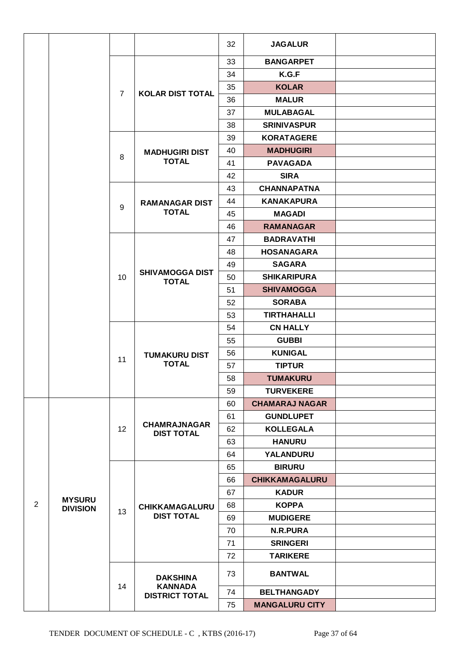|   |                                  |                |                                          | 32       | <b>JAGALUR</b>        |  |
|---|----------------------------------|----------------|------------------------------------------|----------|-----------------------|--|
|   |                                  |                |                                          |          | <b>BANGARPET</b>      |  |
|   |                                  |                |                                          | 33<br>34 | K.G.F                 |  |
|   |                                  |                |                                          |          |                       |  |
|   |                                  | $\overline{7}$ | <b>KOLAR DIST TOTAL</b>                  | 35       | <b>KOLAR</b>          |  |
|   |                                  |                |                                          | 36       | <b>MALUR</b>          |  |
|   |                                  |                |                                          | 37       | <b>MULABAGAL</b>      |  |
|   |                                  |                |                                          | 38       | <b>SRINIVASPUR</b>    |  |
|   |                                  |                |                                          | 39       | <b>KORATAGERE</b>     |  |
|   |                                  | 8              | <b>MADHUGIRI DIST</b><br><b>TOTAL</b>    | 40       | <b>MADHUGIRI</b>      |  |
|   |                                  |                |                                          | 41       | <b>PAVAGADA</b>       |  |
|   |                                  |                |                                          | 42       | <b>SIRA</b>           |  |
|   |                                  |                |                                          | 43       | <b>CHANNAPATNA</b>    |  |
|   |                                  | 9              | <b>RAMANAGAR DIST</b>                    | 44       | <b>KANAKAPURA</b>     |  |
|   |                                  |                | <b>TOTAL</b>                             | 45       | <b>MAGADI</b>         |  |
|   |                                  |                |                                          | 46       | <b>RAMANAGAR</b>      |  |
|   |                                  |                |                                          | 47       | <b>BADRAVATHI</b>     |  |
|   |                                  |                |                                          | 48       | <b>HOSANAGARA</b>     |  |
|   |                                  |                | <b>SHIVAMOGGA DIST</b>                   | 49       | <b>SAGARA</b>         |  |
|   |                                  | 10             | <b>TOTAL</b>                             | 50       | <b>SHIKARIPURA</b>    |  |
|   |                                  |                |                                          | 51       | <b>SHIVAMOGGA</b>     |  |
|   |                                  |                |                                          | 52       | <b>SORABA</b>         |  |
|   |                                  |                |                                          | 53       | <b>TIRTHAHALLI</b>    |  |
|   |                                  |                |                                          | 54       | <b>CN HALLY</b>       |  |
|   |                                  |                |                                          | 55       | <b>GUBBI</b>          |  |
|   |                                  | 11             | <b>TUMAKURU DIST</b>                     | 56       | <b>KUNIGAL</b>        |  |
|   |                                  |                | <b>TOTAL</b>                             | 57       | <b>TIPTUR</b>         |  |
|   |                                  |                |                                          | 58       | <b>TUMAKURU</b>       |  |
|   |                                  |                |                                          | 59       | <b>TURVEKERE</b>      |  |
|   |                                  |                |                                          | 60       | <b>CHAMARAJ NAGAR</b> |  |
|   |                                  |                |                                          | 61       | <b>GUNDLUPET</b>      |  |
|   |                                  | 12             | <b>CHAMRAJNAGAR</b><br><b>DIST TOTAL</b> | 62       | <b>KOLLEGALA</b>      |  |
|   |                                  |                |                                          | 63       | <b>HANURU</b>         |  |
|   |                                  |                |                                          | 64       | <b>YALANDURU</b>      |  |
|   |                                  |                |                                          | 65       | <b>BIRURU</b>         |  |
|   |                                  |                |                                          | 66       | <b>CHIKKAMAGALURU</b> |  |
|   |                                  |                |                                          | 67       | <b>KADUR</b>          |  |
| 2 | <b>MYSURU</b><br><b>DIVISION</b> | 13             | <b>CHIKKAMAGALURU</b>                    | 68       | <b>KOPPA</b>          |  |
|   |                                  |                | <b>DIST TOTAL</b>                        | 69       | <b>MUDIGERE</b>       |  |
|   |                                  |                |                                          | 70       | <b>N.R.PURA</b>       |  |
|   |                                  |                |                                          | 71       | <b>SRINGERI</b>       |  |
|   |                                  |                |                                          | 72       | <b>TARIKERE</b>       |  |
|   |                                  |                | <b>DAKSHINA</b>                          | 73       | <b>BANTWAL</b>        |  |
|   |                                  | 14             | <b>KANNADA</b><br><b>DISTRICT TOTAL</b>  | 74       | <b>BELTHANGADY</b>    |  |
|   |                                  |                |                                          | 75       | <b>MANGALURU CITY</b> |  |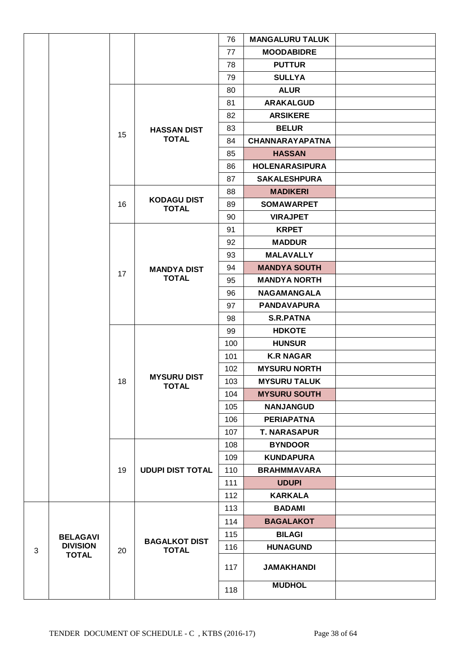|   |                 |    |                                    | 76  | <b>MANGALURU TALUK</b> |  |
|---|-----------------|----|------------------------------------|-----|------------------------|--|
|   |                 |    |                                    | 77  | <b>MOODABIDRE</b>      |  |
|   |                 |    |                                    | 78  | <b>PUTTUR</b>          |  |
|   |                 |    |                                    | 79  | <b>SULLYA</b>          |  |
|   |                 |    |                                    | 80  | <b>ALUR</b>            |  |
|   |                 |    |                                    | 81  | <b>ARAKALGUD</b>       |  |
|   |                 |    |                                    | 82  | <b>ARSIKERE</b>        |  |
|   |                 |    | <b>HASSAN DIST</b>                 | 83  | <b>BELUR</b>           |  |
|   |                 | 15 | <b>TOTAL</b>                       | 84  | <b>CHANNARAYAPATNA</b> |  |
|   |                 |    |                                    | 85  | <b>HASSAN</b>          |  |
|   |                 |    |                                    | 86  | <b>HOLENARASIPURA</b>  |  |
|   |                 |    |                                    | 87  | <b>SAKALESHPURA</b>    |  |
|   |                 |    |                                    | 88  | <b>MADIKERI</b>        |  |
|   |                 | 16 | <b>KODAGU DIST</b><br><b>TOTAL</b> | 89  | <b>SOMAWARPET</b>      |  |
|   |                 |    |                                    | 90  | <b>VIRAJPET</b>        |  |
|   |                 |    |                                    | 91  | <b>KRPET</b>           |  |
|   |                 |    |                                    | 92  | <b>MADDUR</b>          |  |
|   |                 |    |                                    | 93  | <b>MALAVALLY</b>       |  |
|   |                 |    | <b>MANDYA DIST</b>                 | 94  | <b>MANDYA SOUTH</b>    |  |
|   |                 | 17 | <b>TOTAL</b>                       | 95  | <b>MANDYA NORTH</b>    |  |
|   |                 |    |                                    | 96  | <b>NAGAMANGALA</b>     |  |
|   |                 |    |                                    | 97  | <b>PANDAVAPURA</b>     |  |
|   |                 |    |                                    | 98  | <b>S.R.PATNA</b>       |  |
|   |                 |    |                                    | 99  | <b>HDKOTE</b>          |  |
|   |                 |    |                                    | 100 | <b>HUNSUR</b>          |  |
|   |                 |    |                                    | 101 | <b>K.R NAGAR</b>       |  |
|   |                 |    |                                    | 102 | <b>MYSURU NORTH</b>    |  |
|   |                 | 18 | <b>MYSURU DIST</b><br><b>TOTAL</b> | 103 | <b>MYSURU TALUK</b>    |  |
|   |                 |    |                                    | 104 | <b>MYSURU SOUTH</b>    |  |
|   |                 |    |                                    | 105 | <b>NANJANGUD</b>       |  |
|   |                 |    |                                    | 106 | <b>PERIAPATNA</b>      |  |
|   |                 |    |                                    | 107 | <b>T. NARASAPUR</b>    |  |
|   |                 |    |                                    | 108 | <b>BYNDOOR</b>         |  |
|   |                 |    |                                    | 109 | <b>KUNDAPURA</b>       |  |
|   |                 | 19 | <b>UDUPI DIST TOTAL</b>            | 110 | <b>BRAHMMAVARA</b>     |  |
|   |                 |    |                                    | 111 | <b>UDUPI</b>           |  |
|   |                 |    |                                    | 112 | <b>KARKALA</b>         |  |
|   |                 |    |                                    | 113 | <b>BADAMI</b>          |  |
|   |                 |    |                                    | 114 | <b>BAGALAKOT</b>       |  |
|   | <b>BELAGAVI</b> |    | <b>BAGALKOT DIST</b>               | 115 | <b>BILAGI</b>          |  |
| 3 | <b>DIVISION</b> | 20 | <b>TOTAL</b>                       | 116 | <b>HUNAGUND</b>        |  |
|   | <b>TOTAL</b>    |    |                                    | 117 | <b>JAMAKHANDI</b>      |  |
|   |                 |    |                                    | 118 | <b>MUDHOL</b>          |  |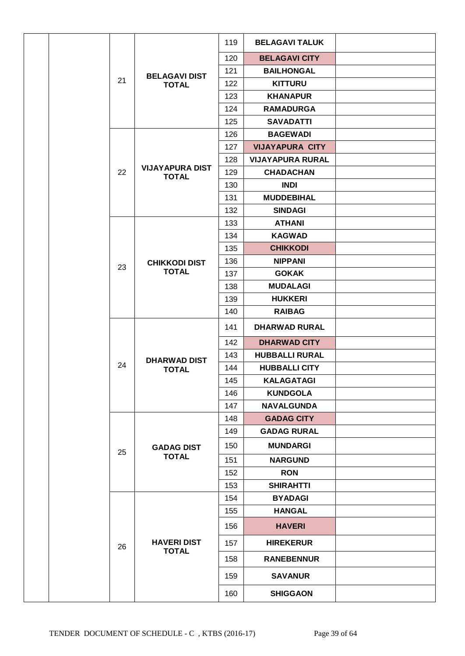|  |    |                                        | 119 | <b>BELAGAVI TALUK</b>   |  |
|--|----|----------------------------------------|-----|-------------------------|--|
|  |    |                                        | 120 | <b>BELAGAVI CITY</b>    |  |
|  |    | <b>BELAGAVI DIST</b>                   | 121 | <b>BAILHONGAL</b>       |  |
|  | 21 | <b>TOTAL</b>                           | 122 | <b>KITTURU</b>          |  |
|  |    |                                        | 123 | <b>KHANAPUR</b>         |  |
|  |    |                                        | 124 | <b>RAMADURGA</b>        |  |
|  |    |                                        | 125 | <b>SAVADATTI</b>        |  |
|  |    |                                        | 126 | <b>BAGEWADI</b>         |  |
|  |    |                                        | 127 | <b>VIJAYAPURA CITY</b>  |  |
|  |    |                                        | 128 | <b>VIJAYAPURA RURAL</b> |  |
|  | 22 | <b>VIJAYAPURA DIST</b><br><b>TOTAL</b> | 129 | <b>CHADACHAN</b>        |  |
|  |    |                                        | 130 | <b>INDI</b>             |  |
|  |    |                                        | 131 | <b>MUDDEBIHAL</b>       |  |
|  |    |                                        | 132 | <b>SINDAGI</b>          |  |
|  |    |                                        | 133 | <b>ATHANI</b>           |  |
|  |    |                                        | 134 | <b>KAGWAD</b>           |  |
|  |    |                                        | 135 | <b>CHIKKODI</b>         |  |
|  |    | <b>CHIKKODI DIST</b>                   | 136 | <b>NIPPANI</b>          |  |
|  | 23 | <b>TOTAL</b>                           | 137 | <b>GOKAK</b>            |  |
|  |    |                                        | 138 | <b>MUDALAGI</b>         |  |
|  |    |                                        | 139 | <b>HUKKERI</b>          |  |
|  |    |                                        | 140 | <b>RAIBAG</b>           |  |
|  |    |                                        | 141 | <b>DHARWAD RURAL</b>    |  |
|  |    |                                        | 142 | <b>DHARWAD CITY</b>     |  |
|  |    | <b>DHARWAD DIST</b>                    | 143 | <b>HUBBALLI RURAL</b>   |  |
|  | 24 | <b>TOTAL</b>                           | 144 | <b>HUBBALLI CITY</b>    |  |
|  |    |                                        | 145 | <b>KALAGATAGI</b>       |  |
|  |    |                                        | 146 | <b>KUNDGOLA</b>         |  |
|  |    |                                        | 147 | <b>NAVALGUNDA</b>       |  |
|  |    |                                        | 148 | <b>GADAG CITY</b>       |  |
|  |    |                                        | 149 | <b>GADAG RURAL</b>      |  |
|  | 25 | <b>GADAG DIST</b>                      | 150 | <b>MUNDARGI</b>         |  |
|  |    | <b>TOTAL</b>                           | 151 | <b>NARGUND</b>          |  |
|  |    |                                        | 152 | <b>RON</b>              |  |
|  |    |                                        | 153 | <b>SHIRAHTTI</b>        |  |
|  |    |                                        | 154 | <b>BYADAGI</b>          |  |
|  |    |                                        | 155 | <b>HANGAL</b>           |  |
|  |    |                                        | 156 | <b>HAVERI</b>           |  |
|  | 26 | <b>HAVERI DIST</b><br><b>TOTAL</b>     | 157 | <b>HIREKERUR</b>        |  |
|  |    |                                        | 158 | <b>RANEBENNUR</b>       |  |
|  |    |                                        | 159 | <b>SAVANUR</b>          |  |
|  |    |                                        | 160 | <b>SHIGGAON</b>         |  |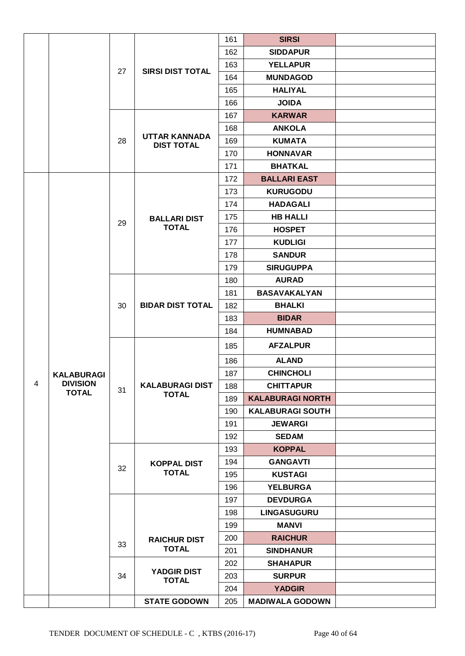|   |                                 |    |                                           | 161 | <b>SIRSI</b>            |  |
|---|---------------------------------|----|-------------------------------------------|-----|-------------------------|--|
|   |                                 |    |                                           | 162 | <b>SIDDAPUR</b>         |  |
|   |                                 |    | <b>SIRSI DIST TOTAL</b>                   | 163 | <b>YELLAPUR</b>         |  |
|   |                                 | 27 |                                           | 164 | <b>MUNDAGOD</b>         |  |
|   |                                 |    |                                           | 165 | <b>HALIYAL</b>          |  |
|   |                                 |    |                                           | 166 | <b>JOIDA</b>            |  |
|   |                                 |    |                                           | 167 | <b>KARWAR</b>           |  |
|   |                                 |    |                                           | 168 | <b>ANKOLA</b>           |  |
|   |                                 | 28 | <b>UTTAR KANNADA</b><br><b>DIST TOTAL</b> | 169 | <b>KUMATA</b>           |  |
|   |                                 |    |                                           | 170 | <b>HONNAVAR</b>         |  |
|   |                                 |    |                                           | 171 | <b>BHATKAL</b>          |  |
|   |                                 |    |                                           | 172 | <b>BALLARI EAST</b>     |  |
|   |                                 |    |                                           | 173 | <b>KURUGODU</b>         |  |
|   |                                 |    |                                           | 174 | <b>HADAGALI</b>         |  |
|   |                                 |    | <b>BALLARI DIST</b>                       | 175 | <b>HB HALLI</b>         |  |
|   |                                 | 29 | <b>TOTAL</b>                              | 176 | <b>HOSPET</b>           |  |
|   |                                 |    |                                           | 177 | <b>KUDLIGI</b>          |  |
|   |                                 |    |                                           | 178 | <b>SANDUR</b>           |  |
|   |                                 |    |                                           | 179 | <b>SIRUGUPPA</b>        |  |
|   |                                 |    |                                           | 180 | <b>AURAD</b>            |  |
|   |                                 |    |                                           | 181 | <b>BASAVAKALYAN</b>     |  |
|   |                                 | 30 | <b>BIDAR DIST TOTAL</b>                   | 182 | <b>BHALKI</b>           |  |
|   |                                 |    |                                           | 183 | <b>BIDAR</b>            |  |
|   |                                 |    |                                           | 184 | <b>HUMNABAD</b>         |  |
|   |                                 |    |                                           | 185 | <b>AFZALPUR</b>         |  |
|   |                                 |    |                                           | 186 | <b>ALAND</b>            |  |
|   | <b>KALABURAGI</b>               |    |                                           | 187 | <b>CHINCHOLI</b>        |  |
| 4 | <b>DIVISION</b><br><b>TOTAL</b> | 31 | <b>KALABURAGI DIST</b>                    | 188 | <b>CHITTAPUR</b>        |  |
|   |                                 |    | <b>TOTAL</b>                              | 189 | <b>KALABURAGI NORTH</b> |  |
|   |                                 |    |                                           | 190 | <b>KALABURAGI SOUTH</b> |  |
|   |                                 |    |                                           | 191 | <b>JEWARGI</b>          |  |
|   |                                 |    |                                           | 192 | <b>SEDAM</b>            |  |
|   |                                 |    |                                           | 193 | <b>KOPPAL</b>           |  |
|   |                                 | 32 | <b>KOPPAL DIST</b>                        | 194 | <b>GANGAVTI</b>         |  |
|   |                                 |    | <b>TOTAL</b>                              | 195 | <b>KUSTAGI</b>          |  |
|   |                                 |    |                                           | 196 | <b>YELBURGA</b>         |  |
|   |                                 |    |                                           | 197 | <b>DEVDURGA</b>         |  |
|   |                                 |    |                                           | 198 | <b>LINGASUGURU</b>      |  |
|   |                                 |    |                                           | 199 | <b>MANVI</b>            |  |
|   |                                 | 33 | <b>RAICHUR DIST</b>                       | 200 | <b>RAICHUR</b>          |  |
|   |                                 |    | <b>TOTAL</b>                              | 201 | <b>SINDHANUR</b>        |  |
|   |                                 |    |                                           | 202 | <b>SHAHAPUR</b>         |  |
|   |                                 | 34 | <b>YADGIR DIST</b><br><b>TOTAL</b>        | 203 | <b>SURPUR</b>           |  |
|   |                                 |    |                                           | 204 | <b>YADGIR</b>           |  |
|   |                                 |    | <b>STATE GODOWN</b>                       | 205 | <b>MADIWALA GODOWN</b>  |  |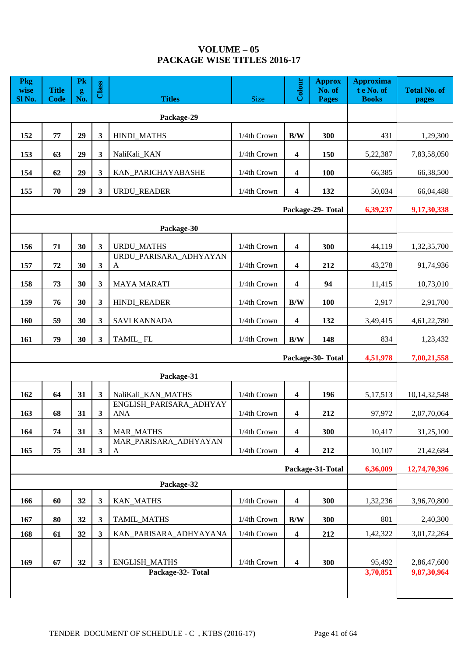# **VOLUME – 05** PACKAGE WISE TITLES 2016-17

| <b>Pkg</b><br>wise<br>Sl No. | <b>Title</b><br><b>Code</b> | Pk<br>g<br>No. | Class        | <b>Titles</b>                             | <b>Size</b> | Colour                  | <b>Approx</b><br>No. of<br><b>Pages</b> | <b>Approxima</b><br>t e No. of<br><b>Books</b> | <b>Total No. of</b><br>pages |
|------------------------------|-----------------------------|----------------|--------------|-------------------------------------------|-------------|-------------------------|-----------------------------------------|------------------------------------------------|------------------------------|
|                              |                             |                |              | Package-29                                |             |                         |                                         |                                                |                              |
| 152                          | 77                          | 29             | 3            | HINDI_MATHS                               | 1/4th Crown | B/W                     | 300                                     | 431                                            | 1,29,300                     |
| 153                          | 63                          | 29             | $\mathbf{3}$ | NaliKali_KAN                              | 1/4th Crown | 4                       | 150                                     | 5,22,387                                       | 7,83,58,050                  |
| 154                          | 62                          | 29             | 3            | KAN_PARICHAYABASHE                        | 1/4th Crown | 4                       | 100                                     | 66,385                                         | 66,38,500                    |
| 155                          | 70                          | 29             | 3            | URDU_READER                               | 1/4th Crown | 4                       | 132                                     | 50,034                                         | 66,04,488                    |
|                              |                             |                |              |                                           |             |                         | Package-29-Total                        | 6,39,237                                       | 9,17,30,338                  |
|                              | Package-30                  |                |              |                                           |             |                         |                                         |                                                |                              |
| 156                          | 71                          | 30             | 3            | <b>URDU_MATHS</b>                         | 1/4th Crown | 4                       | 300                                     | 44,119                                         | 1,32,35,700                  |
| 157                          | 72                          | 30             | $\mathbf{3}$ | URDU_PARISARA_ADHYAYAN<br>A               | 1/4th Crown | $\overline{\mathbf{4}}$ | 212                                     | 43,278                                         | 91,74,936                    |
| 158                          | 73                          | 30             | 3            | <b>MAYA MARATI</b>                        | 1/4th Crown | 4                       | 94                                      | 11,415                                         | 10,73,010                    |
| 159                          | 76                          | 30             | 3            | <b>HINDI_READER</b>                       | 1/4th Crown | B/W                     | 100                                     | 2,917                                          | 2,91,700                     |
| 160                          | 59                          | 30             | 3            | <b>SAVI KANNADA</b>                       | 1/4th Crown | 4                       | 132                                     | 3,49,415                                       | 4,61,22,780                  |
| 161                          | 79                          | 30             | $\mathbf{3}$ | TAMIL_FL                                  | 1/4th Crown | B/W                     | 148                                     | 834                                            | 1,23,432                     |
|                              |                             |                |              |                                           |             |                         | Package-30-Total                        | 4,51,978                                       | 7,00,21,558                  |
|                              |                             |                |              | Package-31                                |             |                         |                                         |                                                |                              |
| 162                          | 64                          | 31             | $\mathbf{3}$ | NaliKali_KAN_MATHS                        | 1/4th Crown | $\overline{\mathbf{4}}$ | 196                                     | 5,17,513                                       | 10, 14, 32, 548              |
| 163                          | 68                          | 31             | $\mathbf{3}$ | ENGLISH_PARISARA_ADHYAY<br><b>ANA</b>     | 1/4th Crown | 4                       | 212                                     | 97,972                                         | 2,07,70,064                  |
| 164                          | 74                          | 31             | $\mathbf{3}$ | <b>MAR_MATHS</b>                          | 1/4th Crown | $\overline{\mathbf{4}}$ | 300                                     | 10,417                                         | 31,25,100                    |
| 165                          | 75                          | 31             | $\mathbf{3}$ | MAR PARISARA ADHYAYAN<br>A                | 1/4th Crown | 4                       | 212                                     | 10,107                                         | 21,42,684                    |
|                              |                             |                |              |                                           |             |                         | Package-31-Total                        | 6,36,009                                       | 12,74,70,396                 |
|                              |                             |                |              | Package-32                                |             |                         |                                         |                                                |                              |
| 166                          | 60                          | 32             | $\mathbf{3}$ | <b>KAN_MATHS</b>                          | 1/4th Crown | $\overline{\mathbf{4}}$ | 300                                     | 1,32,236                                       | 3,96,70,800                  |
| 167                          | 80                          | 32             | $\mathbf{3}$ | TAMIL_MATHS                               | 1/4th Crown | B/W                     | 300                                     | 801                                            | 2,40,300                     |
| 168                          | 61                          | 32             | $\mathbf{3}$ | KAN_PARISARA_ADHYAYANA                    | 1/4th Crown | $\overline{\mathbf{4}}$ | 212                                     | 1,42,322                                       | 3,01,72,264                  |
| 169                          | 67                          | 32             | $\mathbf{3}$ | <b>ENGLISH_MATHS</b><br>Package-32- Total | 1/4th Crown | $\boldsymbol{4}$        | 300                                     | 95,492<br>3,70,851                             | 2,86,47,600<br>9,87,30,964   |
|                              |                             |                |              |                                           |             |                         |                                         |                                                |                              |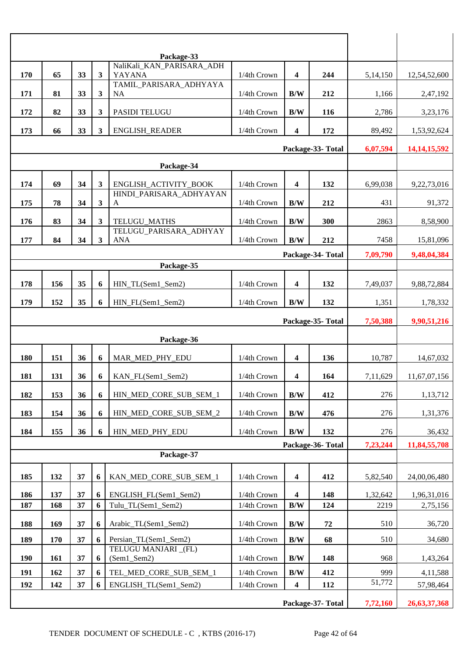| 170        | 65         | 33 | $\mathbf{3}$     | Package-33<br>NaliKali_KAN_PARISARA_ADH<br>YAYANA | 1/4th Crown     | 4                       | 244              | 5,14,150 | 12,54,52,600    |
|------------|------------|----|------------------|---------------------------------------------------|-----------------|-------------------------|------------------|----------|-----------------|
| 171        | 81         | 33 | 3                | TAMIL PARISARA ADHYAYA<br><b>NA</b>               | 1/4th Crown     | B/W                     | 212              | 1,166    | 2,47,192        |
| 172        | 82         | 33 | 3                | PASIDI TELUGU                                     | 1/4th Crown     | B/W                     | 116              | 2,786    | 3,23,176        |
| 173        | 66         | 33 | 3                | ENGLISH_READER                                    | 1/4th Crown     | $\overline{\mathbf{4}}$ | 172              | 89,492   | 1,53,92,624     |
|            |            |    | Package-33-Total | 6,07,594                                          | 14, 14, 15, 592 |                         |                  |          |                 |
|            | Package-34 |    |                  |                                                   |                 |                         |                  |          |                 |
| 174        | 69         | 34 | 3                | ENGLISH_ACTIVITY_BOOK                             | 1/4th Crown     | $\overline{\mathbf{4}}$ | 132              | 6,99,038 | 9,22,73,016     |
| 175        | 78         | 34 | 3                | HINDI_PARISARA_ADHYAYAN<br>$\mathbf{A}$           | 1/4th Crown     | B/W                     | 212              | 431      | 91,372          |
| 176        | 83         | 34 | 3                | TELUGU_MATHS                                      | 1/4th Crown     | B/W                     | 300              | 2863     | 8,58,900        |
| 177        | 84         | 34 | 3                | TELUGU_PARISARA_ADHYAY<br><b>ANA</b>              | 1/4th Crown     | B/W                     | 212              | 7458     | 15,81,096       |
|            |            |    |                  |                                                   |                 |                         | Package-34-Total | 7,09,790 | 9,48,04,384     |
|            |            |    |                  | Package-35                                        |                 |                         |                  |          |                 |
| 178        | 156        | 35 | 6                | HIN_TL(Sem1_Sem2)                                 | 1/4th Crown     | 4                       | 132              | 7,49,037 | 9,88,72,884     |
| 179        | 152        | 35 | 6                | HIN_FL(Sem1_Sem2)                                 | 1/4th Crown     | $\mathbf{B}/\mathbf{W}$ | 132              | 1,351    | 1,78,332        |
|            |            |    |                  |                                                   |                 |                         | Package-35-Total | 7,50,388 | 9,90,51,216     |
|            |            |    |                  | Package-36                                        |                 |                         |                  |          |                 |
| 180        | 151        | 36 | 6                | MAR_MED_PHY_EDU                                   | 1/4th Crown     | $\overline{\mathbf{4}}$ | 136              | 10,787   | 14,67,032       |
| 181        | 131        | 36 | 6                | KAN_FL(Sem1_Sem2)                                 | 1/4th Crown     | 4                       | 164              | 7,11,629 | 11,67,07,156    |
| 182        | 153        | 36 | 6                | HIN_MED_CORE_SUB_SEM_1                            | 1/4th Crown     | B/W                     | 412              | 276      | 1,13,712        |
| 183        | 154        | 36 | 6                | HIN_MED_CORE_SUB_SEM_2                            | 1/4th Crown     | B/W                     | 476              | 276      | 1,31,376        |
| 184        | 155        | 36 | 6                | HIN_MED_PHY_EDU                                   | 1/4th Crown     | B/W                     | 132              | 276      | 36,432          |
|            |            |    |                  |                                                   |                 |                         | Package-36-Total | 7,23,244 | 11,84,55,708    |
|            |            |    |                  | Package-37                                        |                 |                         |                  |          |                 |
| 185        | 132        | 37 | 6                | KAN_MED_CORE_SUB_SEM_1                            | 1/4th Crown     | $\overline{\mathbf{4}}$ | 412              | 5,82,540 | 24,00,06,480    |
| 186        | 137        | 37 | 6                | ENGLISH_FL(Sem1_Sem2)                             | 1/4th Crown     | $\overline{\mathbf{4}}$ | 148              | 1,32,642 | 1,96,31,016     |
| 187        | 168        | 37 | 6                | Tulu_TL(Sem1_Sem2)                                | 1/4th Crown     | B/W                     | 124              | 2219     | 2,75,156        |
| 188        | 169        | 37 | 6                | Arabic_TL(Sem1_Sem2)                              | 1/4th Crown     | B/W                     | 72               | 510      | 36,720          |
| 189        | 170        | 37 | 6                | Persian_TL(Sem1_Sem2)                             | 1/4th Crown     | $\mathbf{B}/\mathbf{W}$ | 68               | 510      | 34,680          |
| <b>190</b> | 161        | 37 | 6                | TELUGU MANJARI_(FL)<br>(Sem1_Sem2)                | 1/4th Crown     | B/W                     | 148              | 968      | 1,43,264        |
| 191        | 162        | 37 | 6                | TEL_MED_CORE_SUB_SEM_1                            | 1/4th Crown     | B/W                     | 412              | 999      | 4,11,588        |
| 192        | 142        | 37 |                  | ENGLISH_TL(Sem1_Sem2)                             | 1/4th Crown     | $\overline{\mathbf{4}}$ | 112              | 51,772   | 57,98,464       |
|            |            |    |                  |                                                   |                 |                         | Package-37-Total | 7,72,160 | 26, 63, 37, 368 |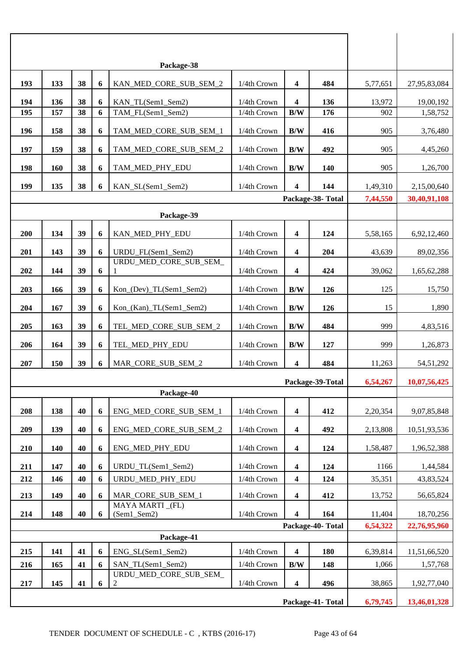|                  |            |    |   | Package-38                     |             |                         |                   |          |              |
|------------------|------------|----|---|--------------------------------|-------------|-------------------------|-------------------|----------|--------------|
| 193              | 133        | 38 | 6 | KAN_MED_CORE_SUB_SEM_2         | 1/4th Crown | 4                       | 484               | 5,77,651 | 27,95,83,084 |
| 194              | 136        | 38 | 6 | KAN_TL(Sem1_Sem2)              | 1/4th Crown | 4                       | 136               | 13,972   | 19,00,192    |
| 195              | 157        | 38 | 6 | TAM FL(Sem1 Sem2)              | 1/4th Crown | B/W                     | 176               | 902      | 1,58,752     |
| 196              | 158        | 38 | 6 | TAM_MED_CORE_SUB_SEM_1         | 1/4th Crown | B/W                     | 416               | 905      | 3,76,480     |
| 197              | 159        | 38 | 6 | TAM_MED_CORE_SUB_SEM_2         | 1/4th Crown | B/W                     | 492               | 905      | 4,45,260     |
| 198              | <b>160</b> | 38 | 6 | TAM_MED_PHY_EDU                | 1/4th Crown | B/W                     | <b>140</b>        | 905      | 1,26,700     |
| 199              | 135        | 38 | 6 | KAN_SL(Sem1_Sem2)              | 1/4th Crown | 4                       | 144               | 1,49,310 | 2,15,00,640  |
|                  |            |    |   |                                |             |                         | Package-38-Total  | 7,44,550 | 30,40,91,108 |
|                  |            |    |   | Package-39                     |             |                         |                   |          |              |
| 200              | 134        | 39 | 6 | KAN_MED_PHY_EDU                | 1/4th Crown | 4                       | 124               | 5,58,165 | 6,92,12,460  |
| 201              | 143        | 39 | 6 | URDU_FL(Sem1_Sem2)             | 1/4th Crown | 4                       | 204               | 43,639   | 89,02,356    |
| 202              | 144        | 39 | 6 | URDU_MED_CORE_SUB_SEM_<br>1    | 1/4th Crown | 4                       | 424               | 39,062   | 1,65,62,288  |
| 203              | 166        | 39 | 6 | Kon_(Dev)_TL(Sem1_Sem2)        | 1/4th Crown | B/W                     | 126               | 125      | 15,750       |
| 204              | 167        | 39 | 6 | Kon_(Kan)_TL(Sem1_Sem2)        | 1/4th Crown | B/W                     | 126               | 15       | 1,890        |
| 205              | 163        | 39 | 6 | TEL_MED_CORE_SUB_SEM_2         | 1/4th Crown | B/W                     | 484               | 999      | 4,83,516     |
| 206              | 164        | 39 | 6 | TEL_MED_PHY_EDU                | 1/4th Crown | B/W                     | 127               | 999      | 1,26,873     |
| 207              | 150        | 39 | 6 | MAR_CORE_SUB_SEM_2             | 1/4th Crown | 4                       | 484               | 11,263   | 54,51,292    |
|                  |            |    |   |                                |             |                         | Package-39-Total  | 6,54,267 | 10,07,56,425 |
|                  |            |    |   | Package-40                     |             |                         |                   |          |              |
| 208              | 138        | 40 | 6 | ENG MED CORE SUB SEM 1         | 1/4th Crown | 4                       | 412               | 2,20,354 | 9,07,85,848  |
| 209              | 139        | 40 | 6 | ENG_MED_CORE_SUB_SEM_2         | 1/4th Crown | 4                       | 492               | 2,13,808 | 10,51,93,536 |
| 210              | 140        | 40 | 6 | ENG MED PHY EDU                | 1/4th Crown | $\overline{\mathbf{4}}$ | 124               | 1,58,487 | 1,96,52,388  |
| 211              | 147        | 40 | 6 | URDU_TL(Sem1_Sem2)             | 1/4th Crown | $\overline{\mathbf{4}}$ | 124               | 1166     | 1,44,584     |
| 212              | 146        | 40 | 6 | URDU_MED_PHY_EDU               | 1/4th Crown | $\overline{\mathbf{4}}$ | 124               | 35,351   | 43,83,524    |
| 213              | 149        | 40 | 6 | MAR_CORE_SUB_SEM_1             | 1/4th Crown | 4                       | 412               | 13,752   | 56,65,824    |
| 214              | 148        | 40 | 6 | MAYA MARTI (FL)<br>(Sem1_Sem2) | 1/4th Crown | 4                       | 164               | 11,404   | 18,70,256    |
| Package-40-Total |            |    |   |                                |             |                         |                   | 6,54,322 | 22,76,95,960 |
|                  |            |    |   | Package-41                     |             |                         |                   |          |              |
| 215              | 141        | 41 | 6 | ENG_SL(Sem1_Sem2)              | 1/4th Crown | 4                       | 180               | 6,39,814 | 11,51,66,520 |
| 216              | 165        | 41 | 6 | SAN TL(Sem1 Sem2)              | 1/4th Crown | B/W                     | 148               | 1,066    | 1,57,768     |
| 217              | 145        | 41 | 6 | URDU_MED_CORE_SUB_SEM_<br>2    | 1/4th Crown | $\overline{\mathbf{4}}$ | 496               | 38,865   | 1,92,77,040  |
|                  |            |    |   |                                |             |                         | Package-41- Total | 6,79,745 | 13,46,01,328 |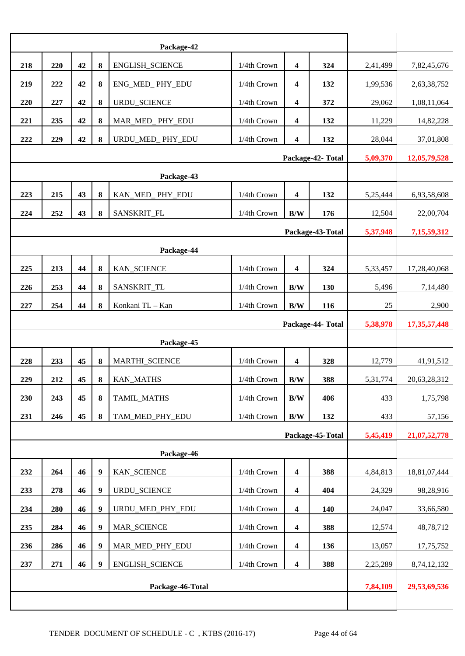| 218                          | 220                                                           | 42 | 8                | ENGLISH_SCIENCE     | 1/4th Crown | $\overline{\mathbf{4}}$ | 324               | 2,41,499        | 7,82,45,676  |
|------------------------------|---------------------------------------------------------------|----|------------------|---------------------|-------------|-------------------------|-------------------|-----------------|--------------|
| 219                          | 222                                                           | 42 | 8                | ENG_MED_PHY_EDU     | 1/4th Crown | 4                       | 132               | 1,99,536        | 2,63,38,752  |
| 220                          | 227                                                           | 42 | 8                | URDU_SCIENCE        | 1/4th Crown | 4                       | 372               | 29,062          | 1,08,11,064  |
| 221                          | 235                                                           | 42 | 8                | MAR_MED_PHY_EDU     | 1/4th Crown | 4                       | 132               | 11,229          | 14,82,228    |
| 222                          | URDU_MED_PHY_EDU<br>1/4th Crown<br>229<br>42<br>8<br>4<br>132 |    |                  |                     |             |                         | 28,044            | 37,01,808       |              |
|                              |                                                               |    |                  |                     |             |                         | Package-42- Total | 5,09,370        | 12,05,79,528 |
|                              |                                                               |    |                  |                     |             |                         |                   |                 |              |
| 223                          | 215                                                           | 43 | 8                | KAN MED PHY EDU     | 1/4th Crown | 4                       | 132               | 5,25,444        | 6,93,58,608  |
| 224                          | 252                                                           | 43 | 8                | SANSKRIT_FL         | 1/4th Crown | B/W                     | 176               | 12,504          | 22,00,704    |
| Package-43-Total<br>5,37,948 |                                                               |    |                  |                     |             |                         |                   |                 | 7,15,59,312  |
|                              |                                                               |    |                  | Package-44          |             |                         |                   |                 |              |
| 225                          | 213                                                           | 44 | 8                | KAN_SCIENCE         | 1/4th Crown | $\overline{\mathbf{4}}$ | 324               | 5,33,457        | 17,28,40,068 |
| 226                          | 253                                                           | 44 | 8                | SANSKRIT_TL         | 1/4th Crown | B/W                     | 130               | 5,496           | 7,14,480     |
| 227                          | 254                                                           | 44 | 8                | Konkani TL - Kan    | 1/4th Crown | B/W                     | 116               | 25              | 2,900        |
| Package-44- Total            |                                                               |    |                  |                     |             |                         | 5,38,978          | 17, 35, 57, 448 |              |
| Package-45                   |                                                               |    |                  |                     |             |                         |                   |                 |              |
|                              |                                                               |    |                  |                     |             |                         |                   |                 |              |
| 228                          | 233                                                           | 45 | 8                | MARTHI_SCIENCE      | 1/4th Crown | 4                       | 328               | 12,779          | 41,91,512    |
| 229                          | 212                                                           | 45 | 8                | <b>KAN_MATHS</b>    | 1/4th Crown | B/W                     | 388               | 5,31,774        | 20,63,28,312 |
| 230                          | 243                                                           | 45 | 8                | TAMIL_MATHS         | 1/4th Crown | $\mathbf{B}/\mathbf{W}$ | 406               | 433             | 1,75,798     |
| 231                          | 246                                                           | 45 | 8                | TAM_MED_PHY_EDU     | 1/4th Crown | $\mathbf{B}/\mathbf{W}$ | 132               | 433             | 57,156       |
|                              |                                                               |    |                  |                     |             |                         | Package-45-Total  | 5,45,419        | 21,07,52,778 |
|                              |                                                               |    |                  | Package-46          |             |                         |                   |                 |              |
| 232                          | 264                                                           | 46 | $\boldsymbol{9}$ | KAN_SCIENCE         | 1/4th Crown | $\overline{\mathbf{4}}$ | 388               | 4,84,813        | 18,81,07,444 |
| 233                          | 278                                                           | 46 | $\boldsymbol{9}$ | <b>URDU_SCIENCE</b> | 1/4th Crown | $\overline{\mathbf{4}}$ | 404               | 24,329          | 98,28,916    |
| 234                          | 280                                                           | 46 | $\boldsymbol{9}$ | URDU_MED_PHY_EDU    | 1/4th Crown | $\overline{\mathbf{4}}$ | 140               | 24,047          | 33,66,580    |
| 235                          | 284                                                           | 46 | $\boldsymbol{9}$ | MAR_SCIENCE         | 1/4th Crown | $\overline{\mathbf{4}}$ | 388               | 12,574          | 48,78,712    |
| 236                          | 286                                                           | 46 | 9                | MAR_MED_PHY_EDU     | 1/4th Crown | $\boldsymbol{4}$        | 136               | 13,057          | 17,75,752    |
| 237                          | 271                                                           | 46 | 9                | ENGLISH_SCIENCE     | 1/4th Crown | $\overline{\mathbf{4}}$ | 388               | 2,25,289        | 8,74,12,132  |
|                              |                                                               |    |                  | Package-46-Total    |             |                         |                   | 7,84,109        | 29,53,69,536 |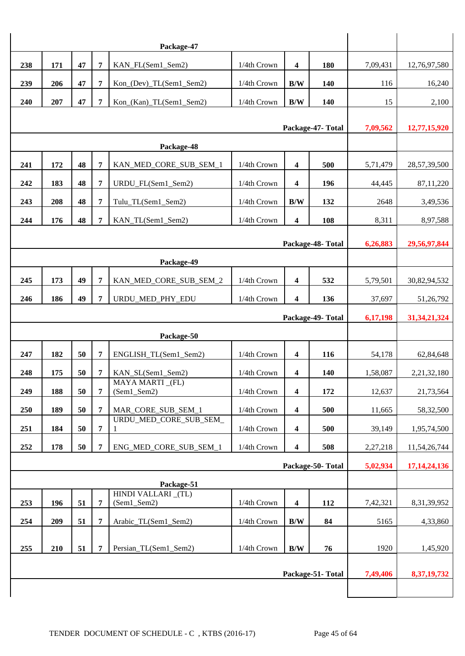|                                |                                               |    |                | Package-47                       |             |                         |                  |          |                             |  |
|--------------------------------|-----------------------------------------------|----|----------------|----------------------------------|-------------|-------------------------|------------------|----------|-----------------------------|--|
| 238                            | 171                                           | 47 | 7              | KAN_FL(Sem1_Sem2)                | 1/4th Crown | 4                       | 180              | 7,09,431 | 12,76,97,580                |  |
| 239                            | 206                                           | 47 | 7              | Kon_(Dev)_TL(Sem1_Sem2)          | 1/4th Crown | B/W                     | 140              | 116      | 16,240                      |  |
| 240                            | 207                                           | 47 | 7              | Kon_(Kan)_TL(Sem1_Sem2)          | 1/4th Crown | B/W                     | 140              | 15       | 2,100                       |  |
|                                |                                               |    |                |                                  |             |                         |                  |          |                             |  |
|                                | Package-47- Total<br>7,09,562<br>12,77,15,920 |    |                |                                  |             |                         |                  |          |                             |  |
|                                |                                               |    |                | Package-48                       |             |                         |                  |          |                             |  |
| 241                            | 172                                           | 48 | 7              | KAN_MED_CORE_SUB_SEM_1           | 1/4th Crown | $\overline{\mathbf{4}}$ | 500              | 5,71,479 | 28,57,39,500                |  |
| 242                            | 183                                           | 48 | 7              | URDU_FL(Sem1_Sem2)               | 1/4th Crown | $\boldsymbol{4}$        | 196              | 44,445   | 87,11,220                   |  |
| 243                            | 208                                           | 48 | 7              | Tulu_TL(Sem1_Sem2)               | 1/4th Crown | B/W                     | 132              | 2648     | 3,49,536                    |  |
| 244                            | 176                                           | 48 | 7              | KAN_TL(Sem1_Sem2)                | 1/4th Crown | 4                       | 108              | 8,311    | 8,97,588                    |  |
|                                |                                               |    |                |                                  |             |                         | Package-48-Total | 6,26,883 | 29,56,97,844                |  |
|                                |                                               |    |                | Package-49                       |             |                         |                  |          |                             |  |
| 245                            | 173                                           | 49 | 7              | KAN_MED_CORE_SUB_SEM_2           | 1/4th Crown | 4                       | 532              | 5,79,501 | 30,82,94,532                |  |
| 246                            | 186                                           | 49 | 7              | URDU_MED_PHY_EDU                 | 1/4th Crown | $\overline{\mathbf{4}}$ | 136              | 37,697   | 51,26,792                   |  |
|                                |                                               |    |                |                                  |             |                         |                  | 6,17,198 | 31, 34, 21, 324             |  |
| Package-49-Total<br>Package-50 |                                               |    |                |                                  |             |                         |                  |          |                             |  |
| 247                            | 182                                           | 50 | 7              | ENGLISH_TL(Sem1_Sem2)            | 1/4th Crown | 4                       | 116              | 54,178   | 62,84,648                   |  |
| 248                            | 175                                           | 50 | 7              | KAN_SL(Sem1_Sem2)                | 1/4th Crown | 4                       | 140              | 1,58,087 | 2,21,32,180                 |  |
| 249                            | 188                                           | 50 | $\overline{7}$ | MAYA MARTI_(FL)<br>(Sem1_Sem2)   | 1/4th Crown | $\overline{\mathbf{4}}$ | 172              | 12,637   | 21,73,564                   |  |
| 250                            | 189                                           | 50 | 7              | MAR_CORE_SUB_SEM_1               | 1/4th Crown | $\overline{\mathbf{4}}$ | 500              | 11,665   |                             |  |
|                                | 184                                           | 50 | 7              | URDU MED CORE SUB SEM            | 1/4th Crown | 4                       | 500              | 39,149   | 58,32,500                   |  |
| 251<br>252                     | 178                                           | 50 | 7              | 1<br>ENG_MED_CORE_SUB_SEM_1      | 1/4th Crown | $\overline{\mathbf{4}}$ | 508              |          | 1,95,74,500<br>11,54,26,744 |  |
|                                |                                               |    |                |                                  |             |                         |                  | 2,27,218 |                             |  |
|                                |                                               |    |                |                                  |             |                         | Package-50-Total | 5,02,934 | 17, 14, 24, 136             |  |
|                                |                                               |    |                | Package-51<br>HINDI VALLARI_(TL) |             |                         |                  |          |                             |  |
| 253                            | 196                                           | 51 | $\overline{7}$ | (Sem1_Sem2)                      | 1/4th Crown | $\overline{\mathbf{4}}$ | 112              | 7,42,321 | 8,31,39,952                 |  |
| 254                            | 209                                           | 51 | $\overline{7}$ | Arabic_TL(Sem1_Sem2)             | 1/4th Crown | $\mathbf{B}/\mathbf{W}$ | 84               | 5165     | 4,33,860                    |  |
| 255                            | 210                                           | 51 | $\overline{7}$ | Persian_TL(Sem1_Sem2)            | 1/4th Crown | $\mathbf{B}/\mathbf{W}$ | 76               | 1920     | 1,45,920                    |  |
|                                |                                               |    |                |                                  |             |                         |                  |          |                             |  |
|                                |                                               |    |                |                                  |             |                         | Package-51-Total | 7,49,406 | 8, 37, 19, 732              |  |
|                                |                                               |    |                |                                  |             |                         |                  |          |                             |  |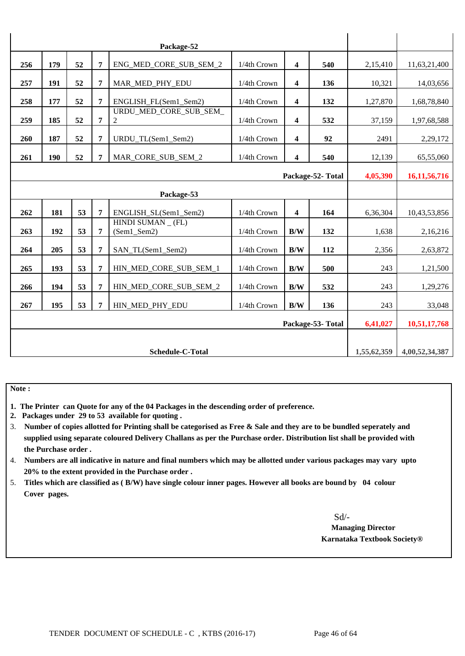| 256        | 179 | 52 | 7 | ENG_MED_CORE_SUB_SEM_2                  | 1/4th Crown | $\overline{\mathbf{4}}$ | 540              | 2,15,410    | 11,63,21,400    |
|------------|-----|----|---|-----------------------------------------|-------------|-------------------------|------------------|-------------|-----------------|
| 257        | 191 | 52 | 7 | MAR MED PHY EDU                         | 1/4th Crown | 4                       | 136              | 10,321      | 14,03,656       |
| 258        | 177 | 52 | 7 | ENGLISH FL(Sem1 Sem2)                   | 1/4th Crown | 4                       | 132              | 1,27,870    | 1,68,78,840     |
| 259        | 185 | 52 | 7 | URDU MED CORE SUB SEM<br>$\overline{c}$ | 1/4th Crown | 4                       | 532              | 37,159      | 1,97,68,588     |
| 260        | 187 | 52 | 7 | URDU_TL(Sem1_Sem2)                      | 1/4th Crown | 4                       | 92               | 2491        | 2,29,172        |
| 261        | 190 | 52 | 7 | MAR CORE SUB SEM 2                      | 1/4th Crown | 4                       | 540              | 12,139      | 65,55,060       |
|            |     |    |   |                                         |             |                         | Package-52-Total | 4,05,390    | 16, 11, 56, 716 |
| Package-53 |     |    |   |                                         |             |                         |                  |             |                 |
| 262        | 181 | 53 | 7 | ENGLISH_SL(Sem1_Sem2)                   | 1/4th Crown | 4                       | 164              | 6,36,304    | 10,43,53,856    |
| 263        | 192 | 53 | 7 | HINDI SUMAN (FL)<br>(Sem1_Sem2)         | 1/4th Crown | B/W                     | 132              | 1,638       | 2,16,216        |
| 264        | 205 | 53 | 7 | SAN_TL(Sem1_Sem2)                       | 1/4th Crown | B/W                     | 112              | 2,356       | 2,63,872        |
| 265        | 193 | 53 | 7 | HIN MED CORE SUB SEM 1                  | 1/4th Crown | B/W                     | 500              | 243         | 1,21,500        |
| 266        | 194 | 53 | 7 | HIN_MED_CORE_SUB_SEM_2                  | 1/4th Crown | B/W                     | 532              | 243         | 1,29,276        |
| 267        | 195 | 53 | 7 | HIN MED PHY EDU                         | 1/4th Crown | B/W                     | 136              | 243         | 33,048          |
|            |     |    |   |                                         |             |                         | Package-53-Total | 6,41,027    | 10,51,17,768    |
|            |     |    |   |                                         |             |                         |                  |             |                 |
|            |     |    |   | Schedule-C-Total                        |             |                         |                  | 1,55,62,359 | 4,00,52,34,387  |

**Note :** 

- **1. The Printer can Quote for any of the 04 Packages in the descending order of preference.**
- **2. Packages under 29 to 53 available for quoting .**
- 3. **Number of copies allotted for Printing shall be categorised as Free & Sale and they are to be bundled seperately and supplied using separate coloured Delivery Challans as per the Purchase order. Distribution list shall be provided with the Purchase order .**
- 4. **Numbers are all indicative in nature and final numbers which may be allotted under various packages may vary upto 20% to the extent provided in the Purchase order .**
- 5. **Titles which are classified as ( B/W) have single colour inner pages. However all books are bound by 04 colour Cover pages.**

Sd/-

 **Managing Director Karnataka Textbook Society®**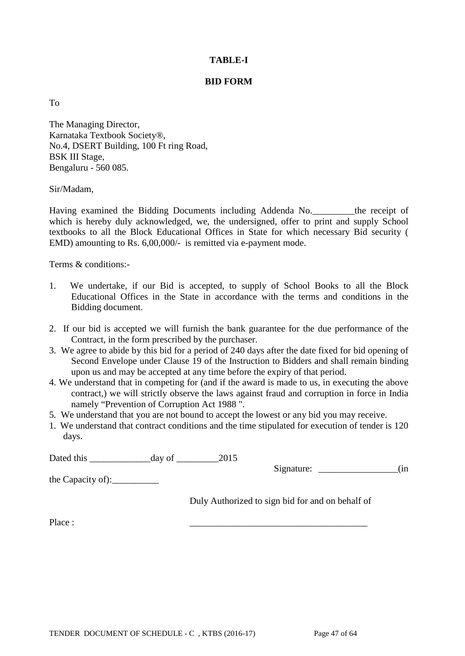# **TABLE-I**

### **BID FORM**

To

The Managing Director, Karnataka Textbook Society®, No.4, DSERT Building, 100 Ft ring Road, BSK III Stage, Bengaluru - 560 085.

#### Sir/Madam,

Having examined the Bidding Documents including Addenda No.\_\_\_\_\_\_\_\_\_the receipt of which is hereby duly acknowledged, we, the undersigned, offer to print and supply School textbooks to all the Block Educational Offices in State for which necessary Bid security ( EMD) amounting to Rs. 6,00,000/- is remitted via e-payment mode.

Terms & conditions:-

- 1. We undertake, if our Bid is accepted, to supply of School Books to all the Block Educational Offices in the State in accordance with the terms and conditions in the Bidding document.
- 2. If our bid is accepted we will furnish the bank guarantee for the due performance of the Contract, in the form prescribed by the purchaser.
- 3. We agree to abide by this bid for a period of 240 days after the date fixed for bid opening of Second Envelope under Clause 19 of the Instruction to Bidders and shall remain binding upon us and may be accepted at any time before the expiry of that period.
- 4. We understand that in competing for (and if the award is made to us, in executing the above contract,) we will strictly observe the laws against fraud and corruption in force in India namely "Prevention of Corruption Act 1988 ".
- 5. We understand that you are not bound to accept the lowest or any bid you may receive.
- 1. We understand that contract conditions and the time stipulated for execution of tender is 120 days.

Dated this day of 2015

Signature: \_\_\_\_\_\_\_\_\_\_\_\_\_\_\_\_\_\_\_\_(in

the Capacity of):\_\_\_\_\_\_\_\_\_\_

Duly Authorized to sign bid for and on behalf of

Place : \_\_\_\_\_\_\_\_\_\_\_\_\_\_\_\_\_\_\_\_\_\_\_\_\_\_\_\_\_\_\_\_\_\_\_\_\_\_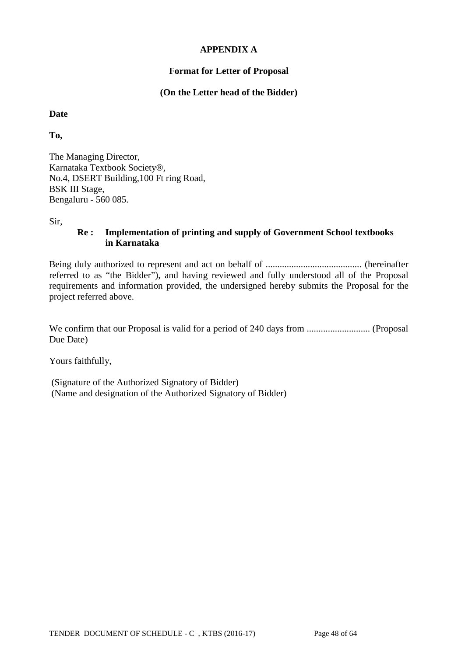# **APPENDIX A**

# **Format for Letter of Proposal**

# **(On the Letter head of the Bidder)**

#### **Date**

**To,**

The Managing Director, Karnataka Textbook Society®, No.4, DSERT Building,100 Ft ring Road, BSK III Stage, Bengaluru - 560 085.

Sir,

#### **Re : Implementation of printing and supply of Government School textbooks in Karnataka**

Being duly authorized to represent and act on behalf of ......................................... (hereinafter referred to as "the Bidder"), and having reviewed and fully understood all of the Proposal requirements and information provided, the undersigned hereby submits the Proposal for the project referred above.

We confirm that our Proposal is valid for a period of 240 days from ........................... (Proposal Due Date)

Yours faithfully,

(Signature of the Authorized Signatory of Bidder) (Name and designation of the Authorized Signatory of Bidder)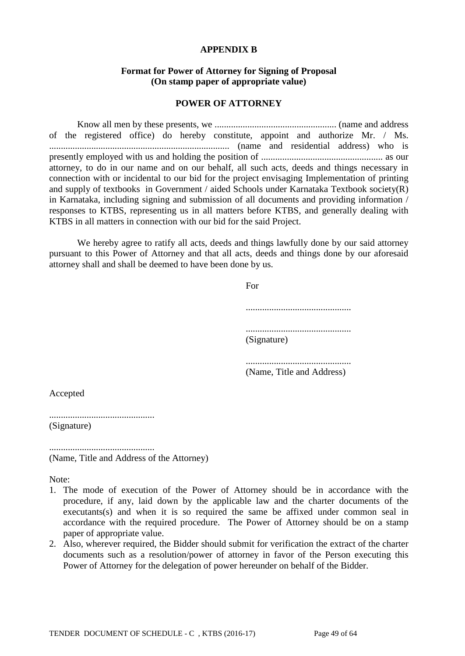#### **APPENDIX B**

#### **Format for Power of Attorney for Signing of Proposal (On stamp paper of appropriate value)**

#### **POWER OF ATTORNEY**

Know all men by these presents, we .................................................... (name and address of the registered office) do hereby constitute, appoint and authorize Mr. / Ms. ............................................................................. (name and residential address) who is presently employed with us and holding the position of .................................................... as our attorney, to do in our name and on our behalf, all such acts, deeds and things necessary in connection with or incidental to our bid for the project envisaging Implementation of printing and supply of textbooks in Government / aided Schools under Karnataka Textbook society(R) in Karnataka, including signing and submission of all documents and providing information / responses to KTBS, representing us in all matters before KTBS, and generally dealing with KTBS in all matters in connection with our bid for the said Project.

We hereby agree to ratify all acts, deeds and things lawfully done by our said attorney pursuant to this Power of Attorney and that all acts, deeds and things done by our aforesaid attorney shall and shall be deemed to have been done by us.

> For ............................................. ............................................. (Signature) ............................................. (Name, Title and Address)

Accepted

............................................. (Signature)

............................................. (Name, Title and Address of the Attorney)

Note:

- 1. The mode of execution of the Power of Attorney should be in accordance with the procedure, if any, laid down by the applicable law and the charter documents of the executants(s) and when it is so required the same be affixed under common seal in accordance with the required procedure. The Power of Attorney should be on a stamp paper of appropriate value.
- 2. Also, wherever required, the Bidder should submit for verification the extract of the charter documents such as a resolution/power of attorney in favor of the Person executing this Power of Attorney for the delegation of power hereunder on behalf of the Bidder.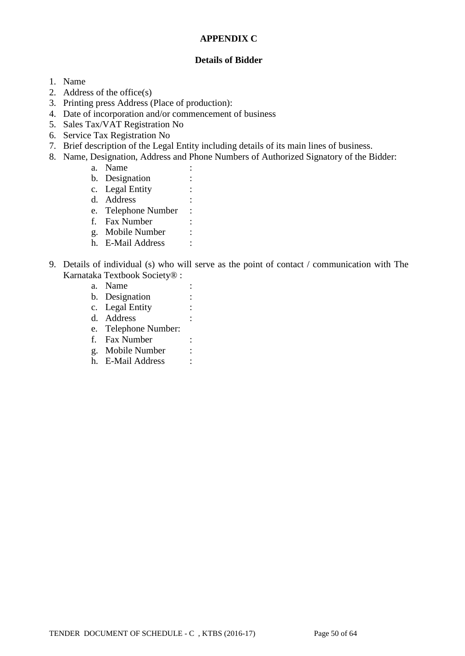### **APPENDIX C**

#### **Details of Bidder**

- 1. Name
- 2. Address of the office(s)
- 3. Printing press Address (Place of production):
- 4. Date of incorporation and/or commencement of business
- 5. Sales Tax/VAT Registration No
- 6. Service Tax Registration No
- 7. Brief description of the Legal Entity including details of its main lines of business.
- 8. Name, Designation, Address and Phone Numbers of Authorized Signatory of the Bidder:
	- a. Name :
	- b. Designation :
	- c. Legal Entity :
	- d. Address :
	- e. Telephone Number :
	- f. Fax Number :
	- g. Mobile Number :
	- h. E-Mail Address :
- 9. Details of individual (s) who will serve as the point of contact / communication with The Karnataka Textbook Society® :
	- a. Name : b. Designation : c. Legal Entity : d. Address : e. Telephone Number: f. Fax Number : g. Mobile Number : h. E-Mail Address :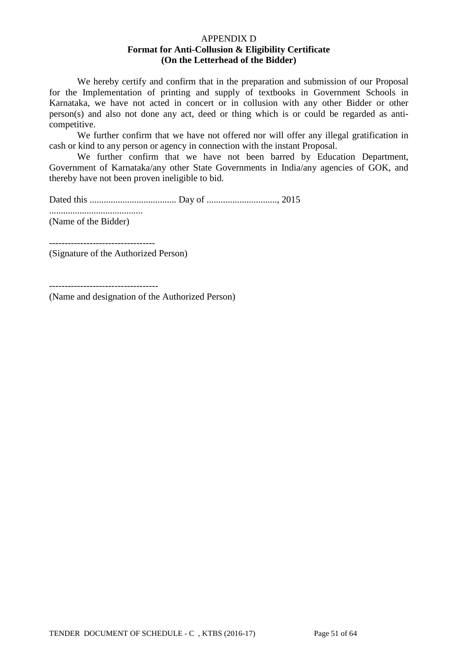#### APPENDIX D **Format for Anti-Collusion & Eligibility Certificate (On the Letterhead of the Bidder)**

We hereby certify and confirm that in the preparation and submission of our Proposal for the Implementation of printing and supply of textbooks in Government Schools in Karnataka, we have not acted in concert or in collusion with any other Bidder or other person(s) and also not done any act, deed or thing which is or could be regarded as anticompetitive.

We further confirm that we have not offered nor will offer any illegal gratification in cash or kind to any person or agency in connection with the instant Proposal.

We further confirm that we have not been barred by Education Department, Government of Karnataka/any other State Governments in India/any agencies of GOK, and thereby have not been proven ineligible to bid.

Dated this ..................................... Day of .............................., 2015

........................................

(Name of the Bidder)

(Signature of the Authorized Person)

----------------------------------

-----------------------------------

(Name and designation of the Authorized Person)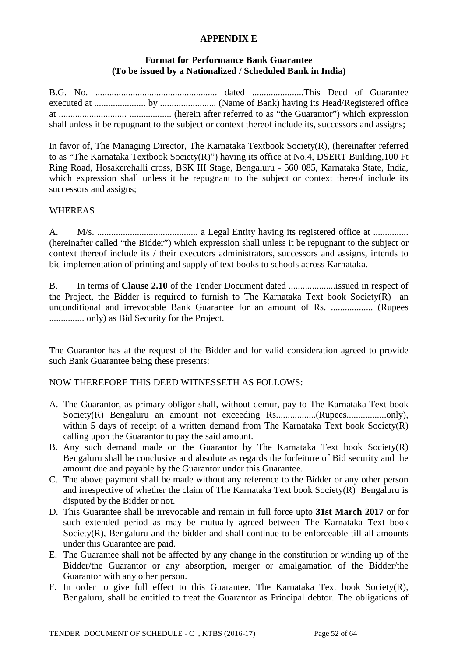#### **APPENDIX E**

# **Format for Performance Bank Guarantee (To be issued by a Nationalized / Scheduled Bank in India)**

B.G. No. .................................................... dated ......................This Deed of Guarantee executed at ...................... by ........................ (Name of Bank) having its Head/Registered office at ............................. .................. (herein after referred to as "the Guarantor") which expression shall unless it be repugnant to the subject or context thereof include its, successors and assigns;

In favor of, The Managing Director, The Karnataka Textbook Society(R), (hereinafter referred to as "The Karnataka Textbook Society(R)") having its office at No.4, DSERT Building,100 Ft Ring Road, Hosakerehalli cross, BSK III Stage, Bengaluru - 560 085, Karnataka State, India, which expression shall unless it be repugnant to the subject or context thereof include its successors and assigns;

# WHEREAS

A. M/s. ........................................... a Legal Entity having its registered office at ............... (hereinafter called "the Bidder") which expression shall unless it be repugnant to the subject or context thereof include its / their executors administrators, successors and assigns, intends to bid implementation of printing and supply of text books to schools across Karnataka.

B. In terms of **Clause 2.10** of the Tender Document dated ....................issued in respect of the Project, the Bidder is required to furnish to The Karnataka Text book Society(R) an unconditional and irrevocable Bank Guarantee for an amount of Rs. .................. (Rupees ............... only) as Bid Security for the Project.

The Guarantor has at the request of the Bidder and for valid consideration agreed to provide such Bank Guarantee being these presents:

NOW THEREFORE THIS DEED WITNESSETH AS FOLLOWS:

- A. The Guarantor, as primary obligor shall, without demur, pay to The Karnataka Text book Society(R) Bengaluru an amount not exceeding Rs.................(Rupees.................only), within 5 days of receipt of a written demand from The Karnataka Text book Society(R) calling upon the Guarantor to pay the said amount.
- B. Any such demand made on the Guarantor by The Karnataka Text book Society(R) Bengaluru shall be conclusive and absolute as regards the forfeiture of Bid security and the amount due and payable by the Guarantor under this Guarantee.
- C. The above payment shall be made without any reference to the Bidder or any other person and irrespective of whether the claim of The Karnataka Text book Society(R) Bengaluru is disputed by the Bidder or not.
- D. This Guarantee shall be irrevocable and remain in full force upto **31st March 2017** or for such extended period as may be mutually agreed between The Karnataka Text book Society(R), Bengaluru and the bidder and shall continue to be enforceable till all amounts under this Guarantee are paid.
- E. The Guarantee shall not be affected by any change in the constitution or winding up of the Bidder/the Guarantor or any absorption, merger or amalgamation of the Bidder/the Guarantor with any other person.
- F. In order to give full effect to this Guarantee, The Karnataka Text book Society(R), Bengaluru, shall be entitled to treat the Guarantor as Principal debtor. The obligations of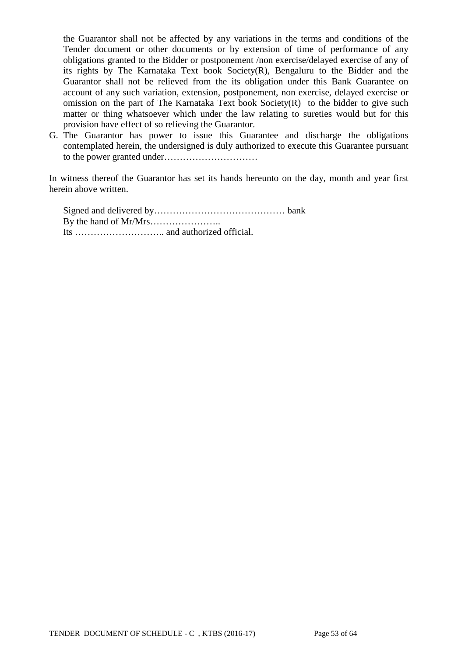the Guarantor shall not be affected by any variations in the terms and conditions of the Tender document or other documents or by extension of time of performance of any obligations granted to the Bidder or postponement /non exercise/delayed exercise of any of its rights by The Karnataka Text book Society(R), Bengaluru to the Bidder and the Guarantor shall not be relieved from the its obligation under this Bank Guarantee on account of any such variation, extension, postponement, non exercise, delayed exercise or omission on the part of The Karnataka Text book Society(R) to the bidder to give such matter or thing whatsoever which under the law relating to sureties would but for this provision have effect of so relieving the Guarantor.

G. The Guarantor has power to issue this Guarantee and discharge the obligations contemplated herein, the undersigned is duly authorized to execute this Guarantee pursuant to the power granted under…………………………

In witness thereof the Guarantor has set its hands hereunto on the day, month and year first herein above written.

Signed and delivered by…………………………………… bank By the hand of Mr/Mrs………………….. Its ……………………….. and authorized official.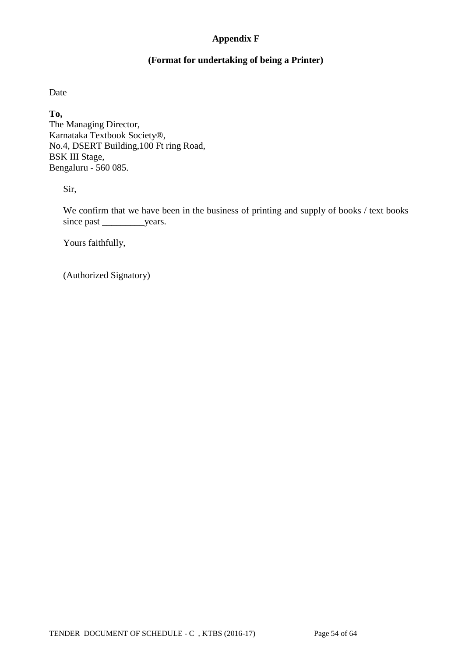# **Appendix F**

# **(Format for undertaking of being a Printer)**

Date

**To,**

The Managing Director, Karnataka Textbook Society®, No.4, DSERT Building,100 Ft ring Road, BSK III Stage, Bengaluru - 560 085.

Sir,

We confirm that we have been in the business of printing and supply of books / text books since past \_\_\_\_\_\_\_\_\_\_\_years.

Yours faithfully,

(Authorized Signatory)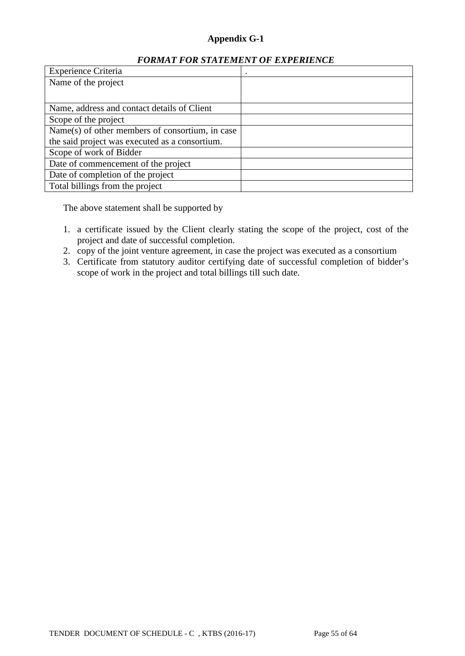# **Appendix G-1**

# *FORMAT FOR STATEMENT OF EXPERIENCE*

| <b>Experience Criteria</b>                      |  |
|-------------------------------------------------|--|
| Name of the project                             |  |
|                                                 |  |
| Name, address and contact details of Client     |  |
| Scope of the project                            |  |
| Name(s) of other members of consortium, in case |  |
| the said project was executed as a consortium.  |  |
| Scope of work of Bidder                         |  |
| Date of commencement of the project             |  |
| Date of completion of the project               |  |
| Total billings from the project                 |  |

The above statement shall be supported by

- 1. a certificate issued by the Client clearly stating the scope of the project, cost of the project and date of successful completion.
- 2. copy of the joint venture agreement, in case the project was executed as a consortium
- 3. Certificate from statutory auditor certifying date of successful completion of bidder's scope of work in the project and total billings till such date.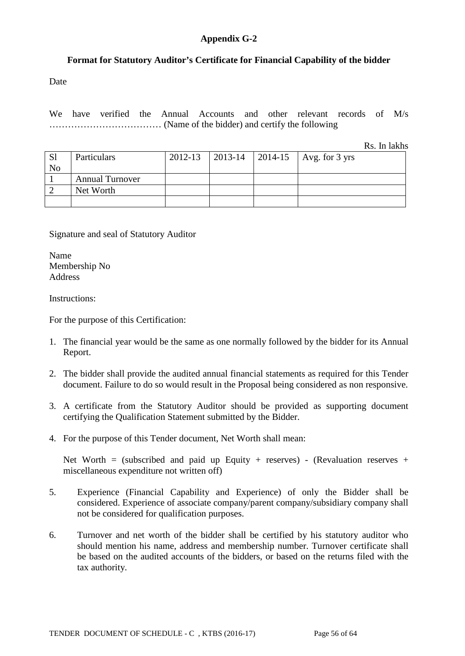# **Appendix G-2**

# **Format for Statutory Auditor's Certificate for Financial Capability of the bidder**

Date

We have verified the Annual Accounts and other relevant records of M/s ……………………………… (Name of the bidder) and certify the following

Rs. In lakhs

| S <sub>1</sub><br>N <sub>o</sub> | Particulars            | 2012-13 |  | 2013-14   2014-15   Avg. for 3 yrs |
|----------------------------------|------------------------|---------|--|------------------------------------|
|                                  | <b>Annual Turnover</b> |         |  |                                    |
|                                  | Net Worth              |         |  |                                    |
|                                  |                        |         |  |                                    |

Signature and seal of Statutory Auditor

Name Membership No Address

Instructions:

For the purpose of this Certification:

- 1. The financial year would be the same as one normally followed by the bidder for its Annual Report.
- 2. The bidder shall provide the audited annual financial statements as required for this Tender document. Failure to do so would result in the Proposal being considered as non responsive.
- 3. A certificate from the Statutory Auditor should be provided as supporting document certifying the Qualification Statement submitted by the Bidder.
- 4. For the purpose of this Tender document, Net Worth shall mean:

Net Worth = (subscribed and paid up Equity + reserves) - (Revaluation reserves + miscellaneous expenditure not written off)

- 5. Experience (Financial Capability and Experience) of only the Bidder shall be considered. Experience of associate company/parent company/subsidiary company shall not be considered for qualification purposes.
- 6. Turnover and net worth of the bidder shall be certified by his statutory auditor who should mention his name, address and membership number. Turnover certificate shall be based on the audited accounts of the bidders, or based on the returns filed with the tax authority.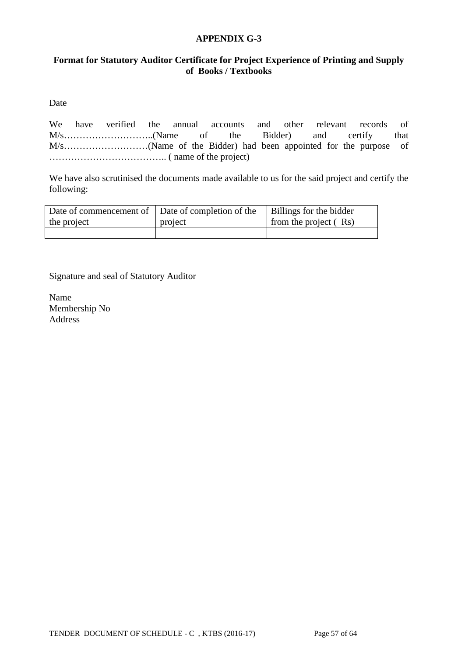#### **APPENDIX G-3**

# **Format for Statutory Auditor Certificate for Project Experience of Printing and Supply of Books / Textbooks**

Date

We have verified the annual accounts and other relevant records of M/s………………………..(Name of the Bidder) and certify that M/s………………………(Name of the Bidder) had been appointed for the purpose of ……………………………….. ( name of the project)

We have also scrutinised the documents made available to us for the said project and certify the following:

| Date of commencement of Date of completion of the |         | Billings for the bidder |
|---------------------------------------------------|---------|-------------------------|
| the project                                       | project | from the project $(Rs)$ |
|                                                   |         |                         |

Signature and seal of Statutory Auditor

Name Membership No Address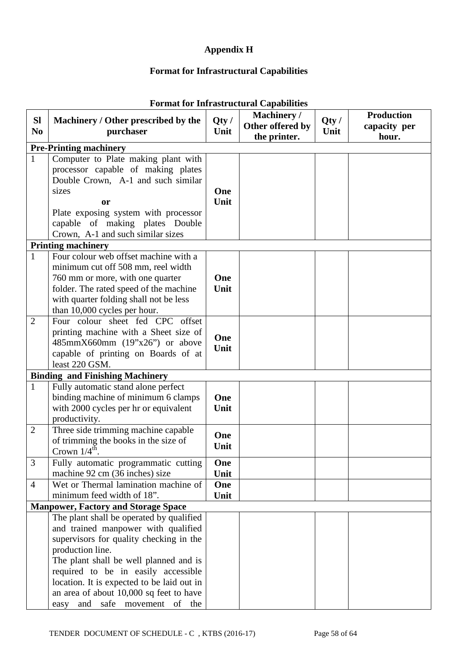# **Appendix H**

# **Format for Infrastructural Capabilities**

| <b>Sl</b>      |                                                        |              | Machinery /      |              | <b>Production</b> |
|----------------|--------------------------------------------------------|--------------|------------------|--------------|-------------------|
| N <sub>0</sub> | Machinery / Other prescribed by the<br>purchaser       | Qty/<br>Unit | Other offered by | Qty/<br>Unit | capacity per      |
|                |                                                        |              | the printer.     |              | hour.             |
|                | <b>Pre-Printing machinery</b>                          |              |                  |              |                   |
| $\mathbf{1}$   | Computer to Plate making plant with                    |              |                  |              |                   |
|                | processor capable of making plates                     |              |                  |              |                   |
|                | Double Crown, A-1 and such similar                     |              |                  |              |                   |
|                | sizes                                                  | One<br>Unit  |                  |              |                   |
|                | <b>or</b><br>Plate exposing system with processor      |              |                  |              |                   |
|                | capable of making plates Double                        |              |                  |              |                   |
|                | Crown, A-1 and such similar sizes                      |              |                  |              |                   |
|                | <b>Printing machinery</b>                              |              |                  |              |                   |
| $\mathbf{1}$   | Four colour web offset machine with a                  |              |                  |              |                   |
|                | minimum cut off 508 mm, reel width                     |              |                  |              |                   |
|                | 760 mm or more, with one quarter                       | One          |                  |              |                   |
|                | folder. The rated speed of the machine                 | Unit         |                  |              |                   |
|                | with quarter folding shall not be less                 |              |                  |              |                   |
|                | than 10,000 cycles per hour.                           |              |                  |              |                   |
| $\overline{2}$ | Four colour sheet fed CPC offset                       |              |                  |              |                   |
|                | printing machine with a Sheet size of                  | One          |                  |              |                   |
|                | 485mmX660mm (19"x26") or above                         | Unit         |                  |              |                   |
|                | capable of printing on Boards of at                    |              |                  |              |                   |
|                | least 220 GSM.                                         |              |                  |              |                   |
|                | <b>Binding and Finishing Machinery</b>                 |              |                  |              |                   |
| $\mathbf{1}$   | Fully automatic stand alone perfect                    |              |                  |              |                   |
|                | binding machine of minimum 6 clamps                    | One          |                  |              |                   |
|                | with 2000 cycles per hr or equivalent<br>productivity. | Unit         |                  |              |                   |
| $\overline{2}$ | Three side trimming machine capable                    |              |                  |              |                   |
|                | of trimming the books in the size of                   | One          |                  |              |                   |
|                | Crown $1/4^{\text{th}}$ .                              | Unit         |                  |              |                   |
| 3              | Fully automatic programmatic cutting                   | One          |                  |              |                   |
|                | machine 92 cm (36 inches) size                         | Unit         |                  |              |                   |
| $\overline{4}$ | Wet or Thermal lamination machine of                   | One          |                  |              |                   |
|                | minimum feed width of 18".                             | Unit         |                  |              |                   |
|                | <b>Manpower, Factory and Storage Space</b>             |              |                  |              |                   |
|                | The plant shall be operated by qualified               |              |                  |              |                   |
|                | and trained manpower with qualified                    |              |                  |              |                   |
|                | supervisors for quality checking in the                |              |                  |              |                   |
|                | production line.                                       |              |                  |              |                   |
|                | The plant shall be well planned and is                 |              |                  |              |                   |
|                | required to be in easily accessible                    |              |                  |              |                   |
|                | location. It is expected to be laid out in             |              |                  |              |                   |
|                | an area of about 10,000 sq feet to have                |              |                  |              |                   |
|                | easy and safe movement of the                          |              |                  |              |                   |

# **Format for Infrastructural Capabilities**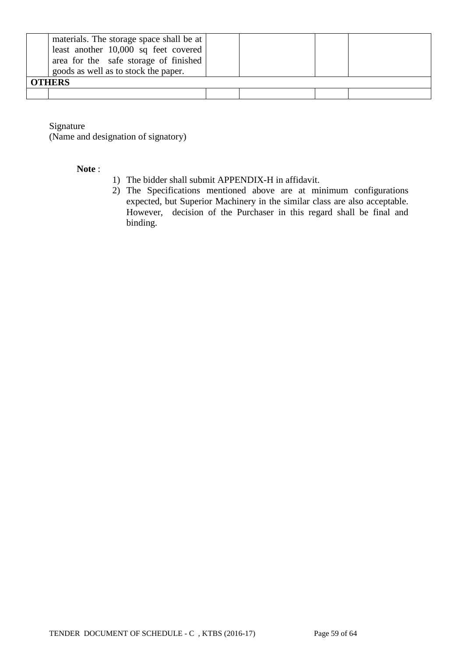| materials. The storage space shall be at<br>least another 10,000 sq feet covered |  |  |  |  |  |
|----------------------------------------------------------------------------------|--|--|--|--|--|
| area for the safe storage of finished<br>goods as well as to stock the paper.    |  |  |  |  |  |
| <b>OTHERS</b>                                                                    |  |  |  |  |  |
|                                                                                  |  |  |  |  |  |

Signature

(Name and designation of signatory)

#### **Note** :

- 1) The bidder shall submit APPENDIX-H in affidavit.
- 2) The Specifications mentioned above are at minimum configurations expected, but Superior Machinery in the similar class are also acceptable. However, decision of the Purchaser in this regard shall be final and binding.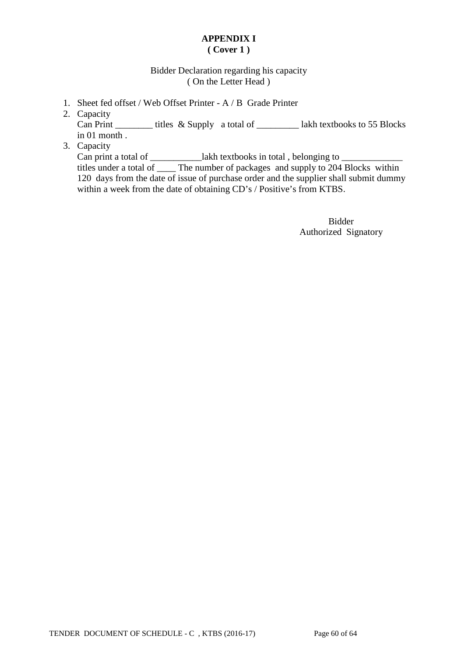# **APPENDIX I ( Cover 1 )**

# Bidder Declaration regarding his capacity ( On the Letter Head )

- 1. Sheet fed offset / Web Offset Printer A / B Grade Printer
- 2. Capacity

Can Print \_\_\_\_\_\_\_\_\_ titles & Supply a total of \_\_\_\_\_\_\_\_\_\_ lakh textbooks to 55 Blocks in 01 month .

3. Capacity

Can print a total of \_\_\_\_\_\_\_\_\_\_\_\_\_lakh textbooks in total, belonging to \_\_\_\_\_\_\_\_\_\_\_\_\_ titles under a total of \_\_\_\_ The number of packages and supply to 204 Blocks within 120 days from the date of issue of purchase order and the supplier shall submit dummy within a week from the date of obtaining CD's / Positive's from KTBS.

> Bidder Authorized Signatory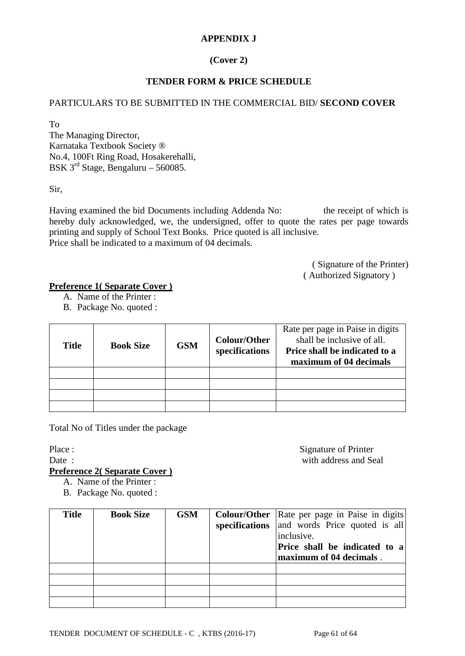# **APPENDIX J**

# **(Cover 2)**

# **TENDER FORM & PRICE SCHEDULE**

#### PARTICULARS TO BE SUBMITTED IN THE COMMERCIAL BID/ **SECOND COVER**

To The Managing Director, Karnataka Textbook Society ® No.4, 100Ft Ring Road, Hosakerehalli, BSK  $3^{rd}$  Stage, Bengaluru – 560085.

Sir,

Having examined the bid Documents including Addenda No: the receipt of which is hereby duly acknowledged, we, the undersigned, offer to quote the rates per page towards printing and supply of School Text Books. Price quoted is all inclusive. Price shall be indicated to a maximum of 04 decimals.

> ( Signature of the Printer) ( Authorized Signatory )

# **Preference 1( Separate Cover )**

- A. Name of the Printer :
- B. Package No. quoted :

| <b>Title</b> | <b>Book Size</b> | <b>GSM</b> | <b>Colour/Other</b><br>specifications | Rate per page in Paise in digits<br>shall be inclusive of all.<br>Price shall be indicated to a<br>maximum of 04 decimals |
|--------------|------------------|------------|---------------------------------------|---------------------------------------------------------------------------------------------------------------------------|
|              |                  |            |                                       |                                                                                                                           |
|              |                  |            |                                       |                                                                                                                           |
|              |                  |            |                                       |                                                                                                                           |
|              |                  |            |                                       |                                                                                                                           |

Total No of Titles under the package

Place : Signature of Printer Date : with address and Seal

#### **Preference 2( Separate Cover )**

A. Name of the Printer :

B. Package No. quoted :

| <b>Title</b> | <b>Book Size</b> | <b>GSM</b> | <b>Colour/Other</b>   Rate per page in Paise in digits  <br>specifications and words Price quoted is all<br>inclusive.<br>Price shall be indicated to a<br>maximum of 04 decimals. |
|--------------|------------------|------------|------------------------------------------------------------------------------------------------------------------------------------------------------------------------------------|
|              |                  |            |                                                                                                                                                                                    |
|              |                  |            |                                                                                                                                                                                    |
|              |                  |            |                                                                                                                                                                                    |
|              |                  |            |                                                                                                                                                                                    |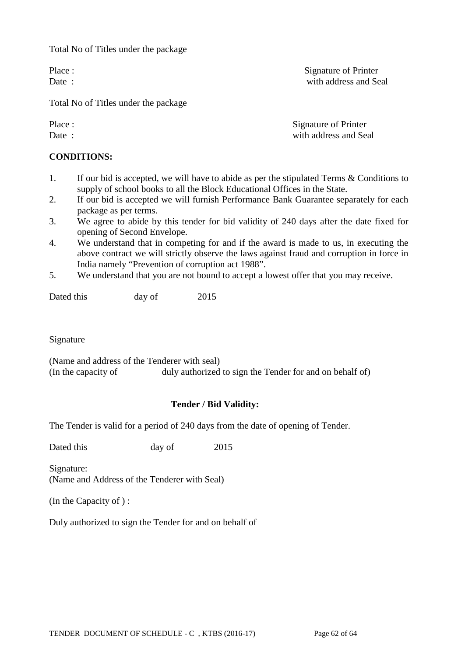Total No of Titles under the package

Total No of Titles under the package

#### **CONDITIONS:**

- 1. If our bid is accepted, we will have to abide as per the stipulated Terms & Conditions to supply of school books to all the Block Educational Offices in the State.
- 2. If our bid is accepted we will furnish Performance Bank Guarantee separately for each package as per terms.
- 3. We agree to abide by this tender for bid validity of 240 days after the date fixed for opening of Second Envelope.
- 4. We understand that in competing for and if the award is made to us, in executing the above contract we will strictly observe the laws against fraud and corruption in force in India namely "Prevention of corruption act 1988".
- 5. We understand that you are not bound to accept a lowest offer that you may receive.

Dated this day of 2015

Signature

(Name and address of the Tenderer with seal) (In the capacity of duly authorized to sign the Tender for and on behalf of)

# **Tender / Bid Validity:**

The Tender is valid for a period of 240 days from the date of opening of Tender.

Dated this day of 2015

Signature: (Name and Address of the Tenderer with Seal)

(In the Capacity of ) :

Duly authorized to sign the Tender for and on behalf of

TENDER DOCUMENT OF SCHEDULE - C, KTBS (2016-17) Page 62 of 64

Place : Signature of Printer Date : with address and Seal

Place :<br>
Date :<br>  $\begin{array}{ccc}\n\text{D} & \text{Signature of Printer} \\
\text{with address and Se}\n\end{array}$ with address and Seal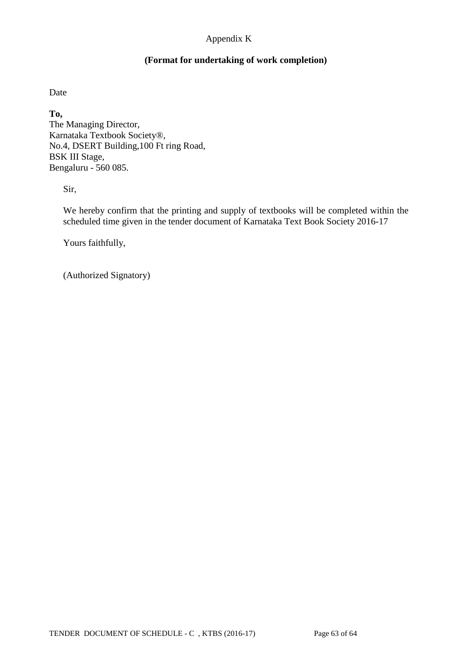# Appendix K

### **(Format for undertaking of work completion)**

Date

**To,**

The Managing Director, Karnataka Textbook Society®, No.4, DSERT Building,100 Ft ring Road, BSK III Stage, Bengaluru - 560 085.

Sir,

We hereby confirm that the printing and supply of textbooks will be completed within the scheduled time given in the tender document of Karnataka Text Book Society 2016-17

Yours faithfully,

(Authorized Signatory)